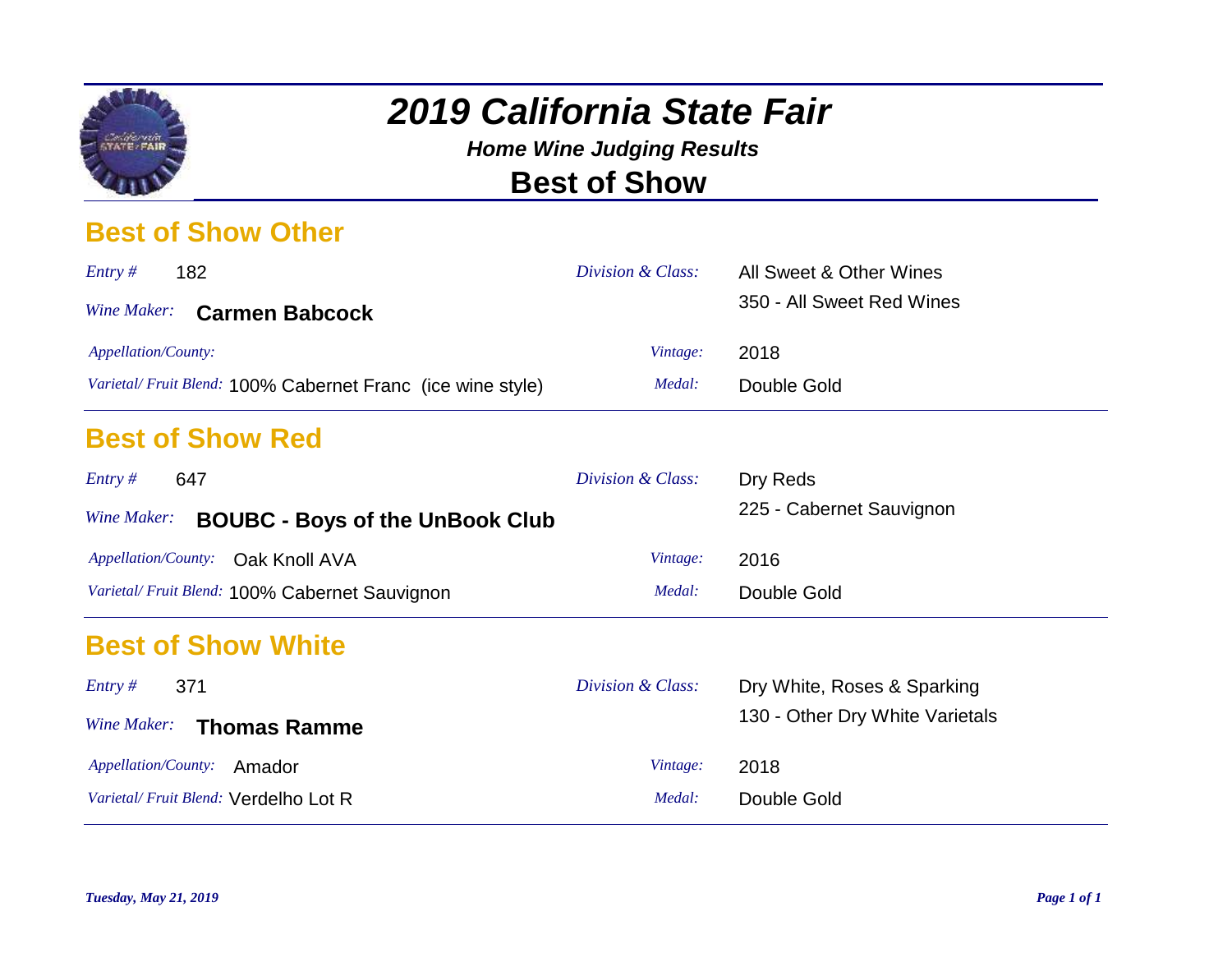

*Home Wine Judging Results* **Best of Show**

#### **Best of Show Other**

| Entropy #<br>182                                           | Division & Class: | All Sweet & Other Wines   |
|------------------------------------------------------------|-------------------|---------------------------|
| Wine Maker: Carmen Babcock                                 |                   | 350 - All Sweet Red Wines |
| <i>Appellation/County:</i>                                 | Vintage:          | 2018                      |
| Varietal/Fruit Blend: 100% Cabernet Franc (ice wine style) | Medal:            | Double Gold               |
|                                                            |                   |                           |

#### **Best of Show Red**

| Entropy #<br>647                                      | Division & Class: | Dry Reds                 |
|-------------------------------------------------------|-------------------|--------------------------|
| Wine Maker:<br><b>BOUBC - Boys of the UnBook Club</b> |                   | 225 - Cabernet Sauvignon |
| Appellation/County: Oak Knoll AVA                     | Vintage:          | 2016                     |
| Varietal/Fruit Blend: 100% Cabernet Sauvignon         | Medal:            | Double Gold              |

#### **Best of Show White**

| 371<br>Entropy #                     | Division & Class: | Dry White, Roses & Sparking     |
|--------------------------------------|-------------------|---------------------------------|
| Wine Maker: Thomas Ramme             |                   | 130 - Other Dry White Varietals |
| Appellation/County:<br>Amador        | Vintage:          | 2018                            |
| Varietal/Fruit Blend: Verdelho Lot R | Medal:            | Double Gold                     |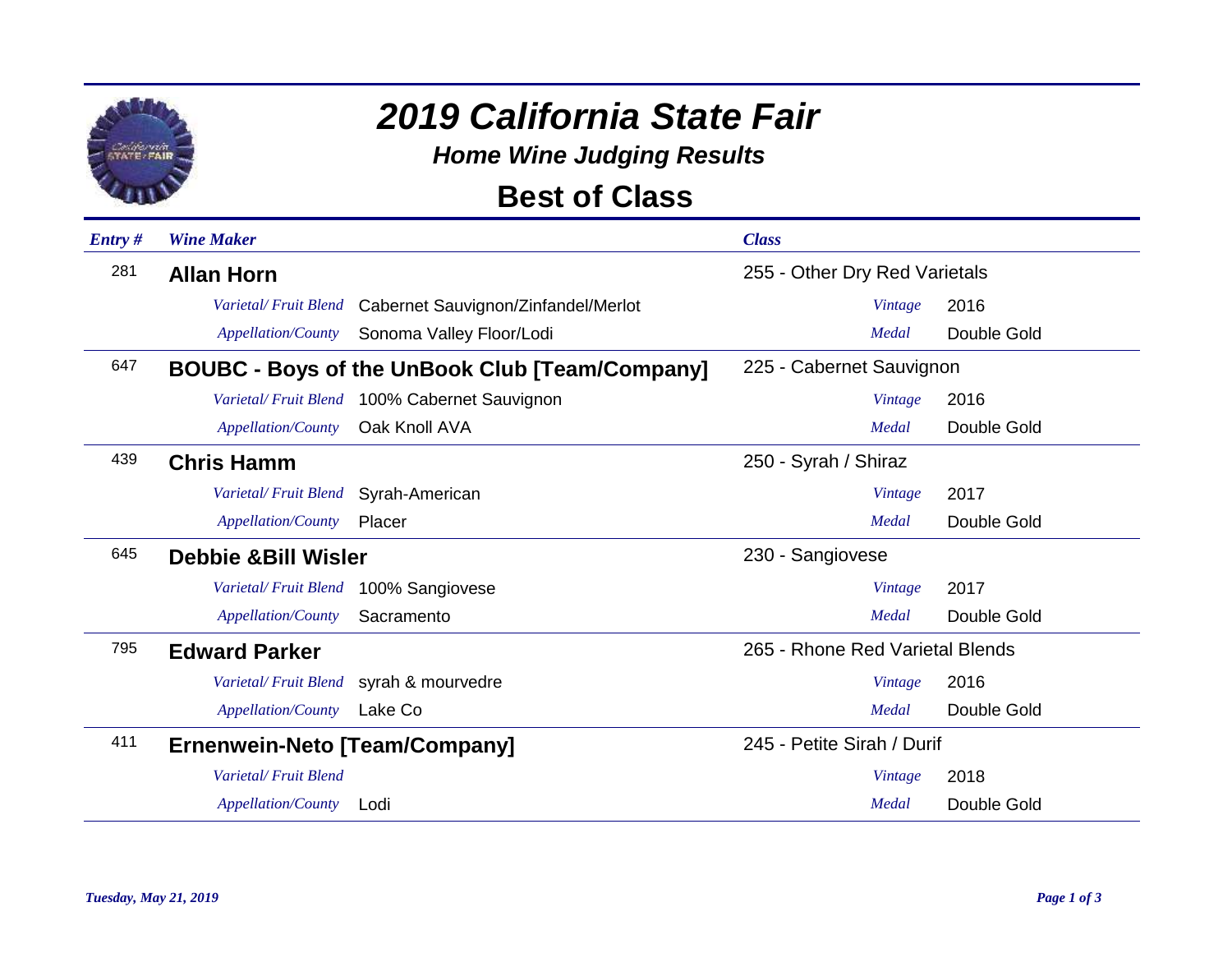

*Home Wine Judging Results*

### **Best of Class**

| $Entry \#$ | <b>Wine Maker</b>              |                                                       | <b>Class</b>                    |                |             |
|------------|--------------------------------|-------------------------------------------------------|---------------------------------|----------------|-------------|
| 281        | <b>Allan Horn</b>              |                                                       | 255 - Other Dry Red Varietals   |                |             |
|            | Varietal/Fruit Blend           | Cabernet Sauvignon/Zinfandel/Merlot                   |                                 | <b>Vintage</b> | 2016        |
|            | <b>Appellation/County</b>      | Sonoma Valley Floor/Lodi                              |                                 | Medal          | Double Gold |
| 647        |                                | <b>BOUBC - Boys of the UnBook Club [Team/Company]</b> | 225 - Cabernet Sauvignon        |                |             |
|            |                                | Varietal/Fruit Blend 100% Cabernet Sauvignon          |                                 | Vintage        | 2016        |
|            | <b>Appellation/County</b>      | Oak Knoll AVA                                         |                                 | Medal          | Double Gold |
| 439        | <b>Chris Hamm</b>              |                                                       | 250 - Syrah / Shiraz            |                |             |
|            | Varietal/Fruit Blend           | Syrah-American                                        |                                 | Vintage        | 2017        |
|            | Appellation/County             | Placer                                                |                                 | Medal          | Double Gold |
| 645        | <b>Debbie &amp;Bill Wisler</b> |                                                       | 230 - Sangiovese                |                |             |
|            | Varietal/Fruit Blend           | 100% Sangiovese                                       |                                 | <b>Vintage</b> | 2017        |
|            | Appellation/County             | Sacramento                                            |                                 | Medal          | Double Gold |
| 795        | <b>Edward Parker</b>           |                                                       | 265 - Rhone Red Varietal Blends |                |             |
|            |                                | Varietal/Fruit Blend syrah & mourvedre                |                                 | Vintage        | 2016        |
|            | Appellation/County             | Lake Co                                               |                                 | Medal          | Double Gold |
| 411        | Ernenwein-Neto [Team/Company]  |                                                       | 245 - Petite Sirah / Durif      |                |             |
|            | Varietal/Fruit Blend           |                                                       |                                 | Vintage        | 2018        |
|            | <b>Appellation/County</b>      | Lodi                                                  |                                 | Medal          | Double Gold |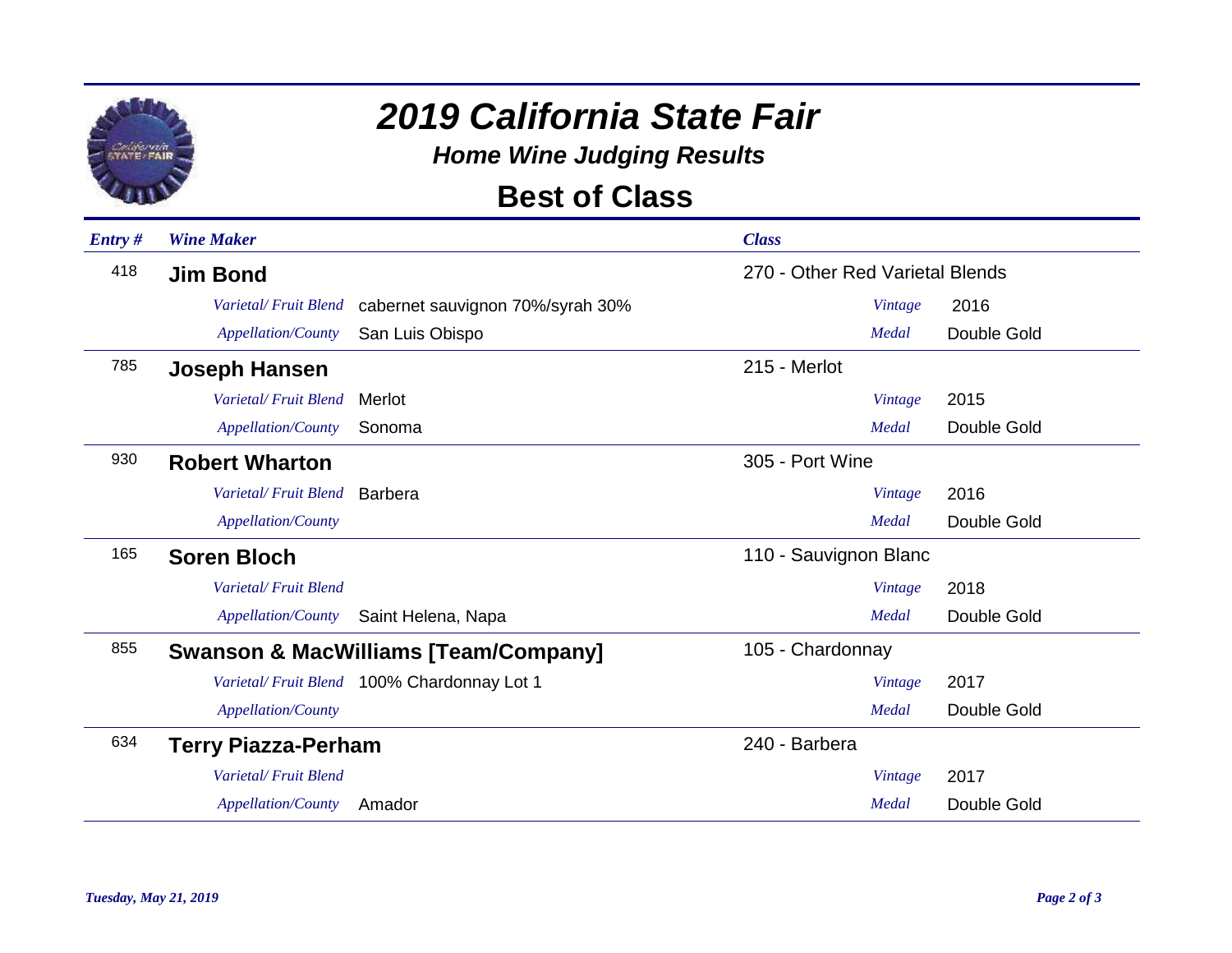

*Home Wine Judging Results*

### **Best of Class**

| Entry# | <b>Wine Maker</b>          |                                                 | <b>Class</b>                    |         |             |
|--------|----------------------------|-------------------------------------------------|---------------------------------|---------|-------------|
| 418    | <b>Jim Bond</b>            |                                                 | 270 - Other Red Varietal Blends |         |             |
|        | Varietal/Fruit Blend       | cabernet sauvignon 70%/syrah 30%                |                                 | Vintage | 2016        |
|        | <b>Appellation/County</b>  | San Luis Obispo                                 |                                 | Medal   | Double Gold |
| 785    | Joseph Hansen              |                                                 | 215 - Merlot                    |         |             |
|        | Varietal/Fruit Blend       | Merlot                                          |                                 | Vintage | 2015        |
|        | Appellation/County         | Sonoma                                          |                                 | Medal   | Double Gold |
| 930    | <b>Robert Wharton</b>      |                                                 | 305 - Port Wine                 |         |             |
|        | Varietal/Fruit Blend       | <b>Barbera</b>                                  |                                 | Vintage | 2016        |
|        | Appellation/County         |                                                 |                                 | Medal   | Double Gold |
| 165    | <b>Soren Bloch</b>         |                                                 | 110 - Sauvignon Blanc           |         |             |
|        | Varietal/Fruit Blend       |                                                 |                                 | Vintage | 2018        |
|        | <b>Appellation/County</b>  | Saint Helena, Napa                              |                                 | Medal   | Double Gold |
| 855    |                            | <b>Swanson &amp; MacWilliams [Team/Company]</b> | 105 - Chardonnay                |         |             |
|        |                            | Varietal/Fruit Blend 100% Chardonnay Lot 1      |                                 | Vintage | 2017        |
|        | <b>Appellation/County</b>  |                                                 |                                 | Medal   | Double Gold |
| 634    | <b>Terry Piazza-Perham</b> |                                                 | 240 - Barbera                   |         |             |
|        | Varietal/Fruit Blend       |                                                 |                                 | Vintage | 2017        |
|        | <b>Appellation/County</b>  | Amador                                          |                                 | Medal   | Double Gold |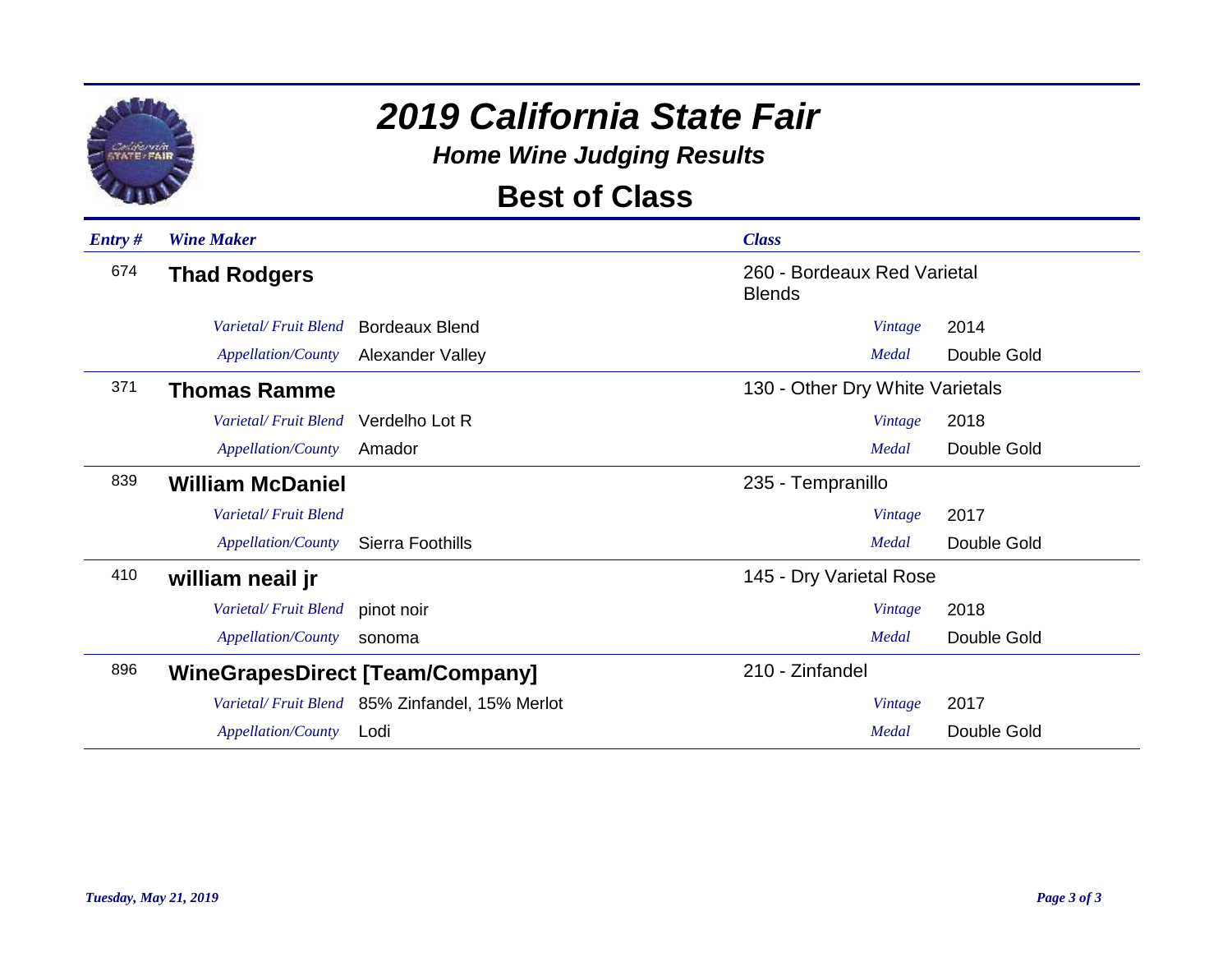

*Home Wine Judging Results*

### **Best of Class**

| $Entry \#$ | <b>Wine Maker</b>         |                                                | <b>Class</b>                                 |         |             |
|------------|---------------------------|------------------------------------------------|----------------------------------------------|---------|-------------|
| 674        | <b>Thad Rodgers</b>       |                                                | 260 - Bordeaux Red Varietal<br><b>Blends</b> |         |             |
|            | Varietal/Fruit Blend      | <b>Bordeaux Blend</b>                          |                                              | Vintage | 2014        |
|            | <b>Appellation/County</b> | Alexander Valley                               |                                              | Medal   | Double Gold |
| 371        | <b>Thomas Ramme</b>       |                                                | 130 - Other Dry White Varietals              |         |             |
|            | Varietal/Fruit Blend      | Verdelho Lot R                                 |                                              | Vintage | 2018        |
|            | Appellation/County        | Amador                                         |                                              | Medal   | Double Gold |
| 839        | <b>William McDaniel</b>   |                                                | 235 - Tempranillo                            |         |             |
|            | Varietal/Fruit Blend      |                                                |                                              | Vintage | 2017        |
|            | <b>Appellation/County</b> | Sierra Foothills                               |                                              | Medal   | Double Gold |
| 410        | william neail jr          |                                                | 145 - Dry Varietal Rose                      |         |             |
|            | Varietal/Fruit Blend      | pinot noir                                     |                                              | Vintage | 2018        |
|            | Appellation/County        | sonoma                                         |                                              | Medal   | Double Gold |
| 896        |                           | <b>WineGrapesDirect [Team/Company]</b>         | 210 - Zinfandel                              |         |             |
|            |                           | Varietal/Fruit Blend 85% Zinfandel, 15% Merlot |                                              | Vintage | 2017        |
|            | <b>Appellation/County</b> | Lodi                                           |                                              | Medal   | Double Gold |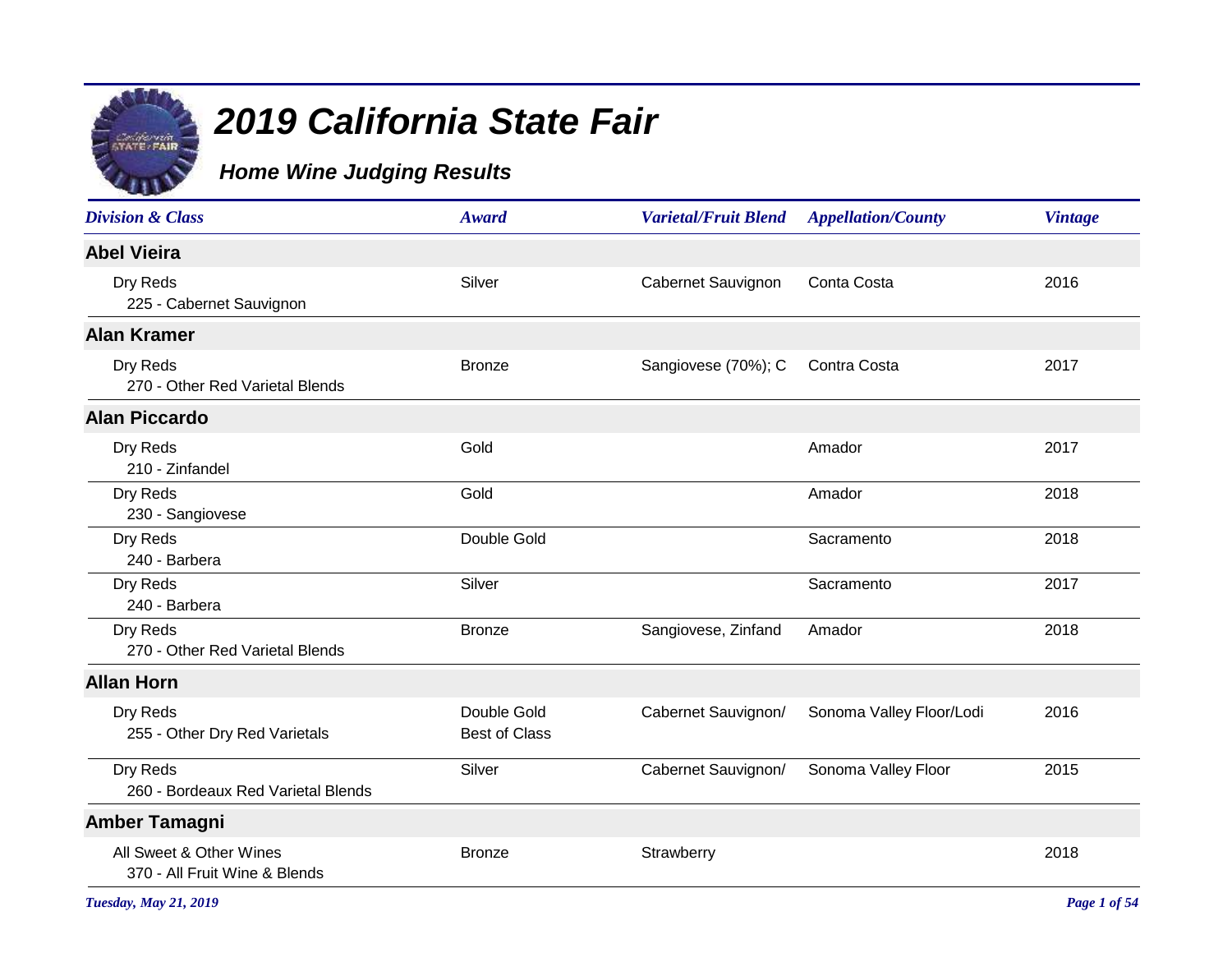

#### *Home Wine Judging Results*

| <b>Division &amp; Class</b>                              | Award                               | <b>Varietal/Fruit Blend</b> | <b>Appellation/County</b> | <b>Vintage</b> |
|----------------------------------------------------------|-------------------------------------|-----------------------------|---------------------------|----------------|
| <b>Abel Vieira</b>                                       |                                     |                             |                           |                |
| Dry Reds<br>225 - Cabernet Sauvignon                     | Silver                              | Cabernet Sauvignon          | Conta Costa               | 2016           |
| <b>Alan Kramer</b>                                       |                                     |                             |                           |                |
| Dry Reds<br>270 - Other Red Varietal Blends              | <b>Bronze</b>                       | Sangiovese (70%); C         | Contra Costa              | 2017           |
| <b>Alan Piccardo</b>                                     |                                     |                             |                           |                |
| Dry Reds<br>210 - Zinfandel                              | Gold                                |                             | Amador                    | 2017           |
| Dry Reds<br>230 - Sangiovese                             | Gold                                |                             | Amador                    | 2018           |
| Dry Reds<br>240 - Barbera                                | Double Gold                         |                             | Sacramento                | 2018           |
| Dry Reds<br>240 - Barbera                                | Silver                              |                             | Sacramento                | 2017           |
| Dry Reds<br>270 - Other Red Varietal Blends              | <b>Bronze</b>                       | Sangiovese, Zinfand         | Amador                    | 2018           |
| <b>Allan Horn</b>                                        |                                     |                             |                           |                |
| Dry Reds<br>255 - Other Dry Red Varietals                | Double Gold<br><b>Best of Class</b> | Cabernet Sauvignon/         | Sonoma Valley Floor/Lodi  | 2016           |
| Dry Reds<br>260 - Bordeaux Red Varietal Blends           | Silver                              | Cabernet Sauvignon/         | Sonoma Valley Floor       | 2015           |
| <b>Amber Tamagni</b>                                     |                                     |                             |                           |                |
| All Sweet & Other Wines<br>370 - All Fruit Wine & Blends | <b>Bronze</b>                       | Strawberry                  |                           | 2018           |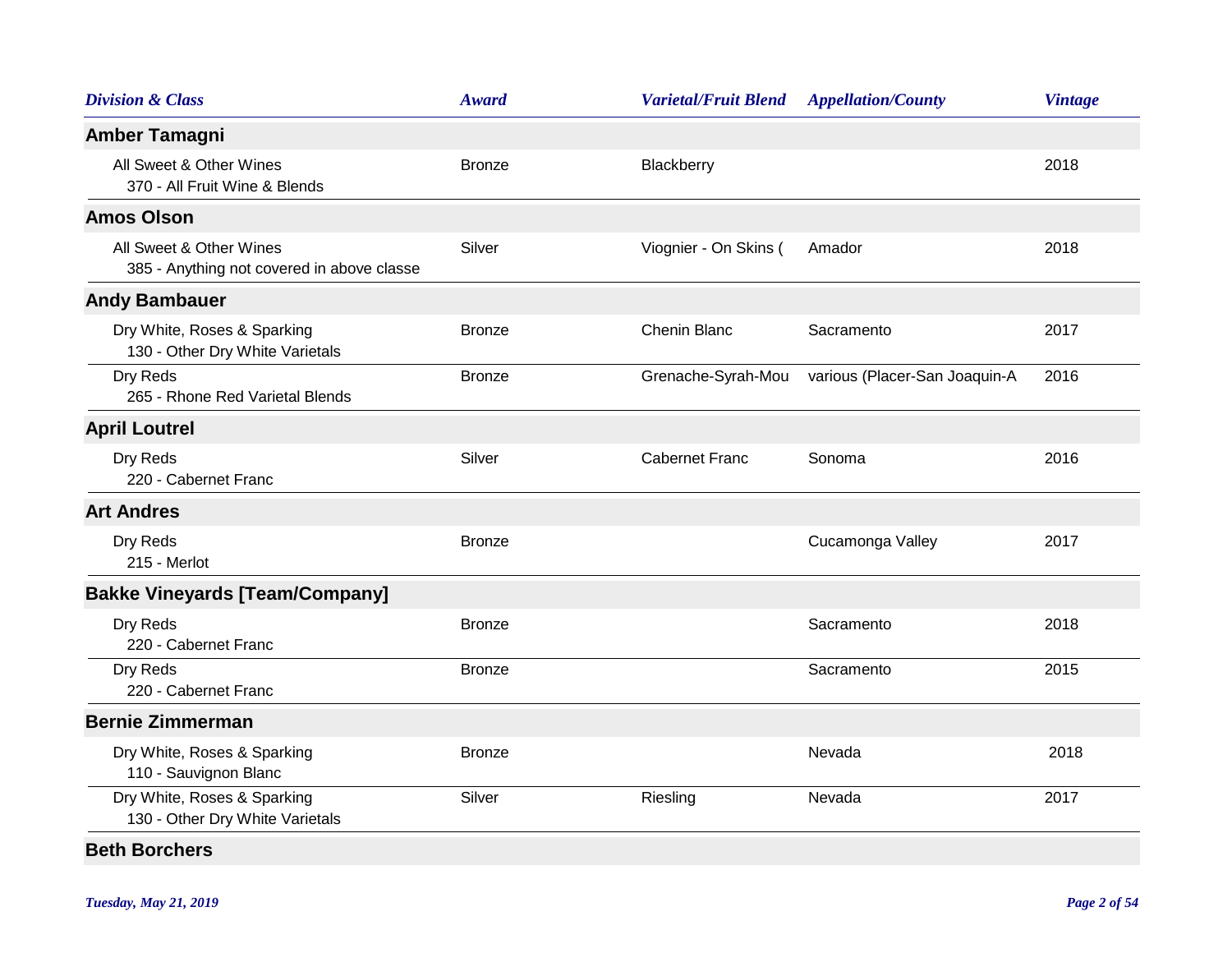| <b>Division &amp; Class</b>                                           | <b>Award</b>  | <b>Varietal/Fruit Blend</b> | <b>Appellation/County</b>     | <b>Vintage</b> |
|-----------------------------------------------------------------------|---------------|-----------------------------|-------------------------------|----------------|
| Amber Tamagni                                                         |               |                             |                               |                |
| All Sweet & Other Wines<br>370 - All Fruit Wine & Blends              | <b>Bronze</b> | Blackberry                  |                               | 2018           |
| <b>Amos Olson</b>                                                     |               |                             |                               |                |
| All Sweet & Other Wines<br>385 - Anything not covered in above classe | Silver        | Viognier - On Skins (       | Amador                        | 2018           |
| <b>Andy Bambauer</b>                                                  |               |                             |                               |                |
| Dry White, Roses & Sparking<br>130 - Other Dry White Varietals        | <b>Bronze</b> | Chenin Blanc                | Sacramento                    | 2017           |
| Dry Reds<br>265 - Rhone Red Varietal Blends                           | <b>Bronze</b> | Grenache-Syrah-Mou          | various (Placer-San Joaquin-A | 2016           |
| <b>April Loutrel</b>                                                  |               |                             |                               |                |
| Dry Reds<br>220 - Cabernet Franc                                      | Silver        | <b>Cabernet Franc</b>       | Sonoma                        | 2016           |
| <b>Art Andres</b>                                                     |               |                             |                               |                |
| Dry Reds<br>215 - Merlot                                              | <b>Bronze</b> |                             | Cucamonga Valley              | 2017           |
| <b>Bakke Vineyards [Team/Company]</b>                                 |               |                             |                               |                |
| Dry Reds<br>220 - Cabernet Franc                                      | <b>Bronze</b> |                             | Sacramento                    | 2018           |
| Dry Reds<br>220 - Cabernet Franc                                      | <b>Bronze</b> |                             | Sacramento                    | 2015           |
| <b>Bernie Zimmerman</b>                                               |               |                             |                               |                |
| Dry White, Roses & Sparking<br>110 - Sauvignon Blanc                  | <b>Bronze</b> |                             | Nevada                        | 2018           |
| Dry White, Roses & Sparking<br>130 - Other Dry White Varietals        | Silver        | Riesling                    | Nevada                        | 2017           |
| <b>Beth Borchers</b>                                                  |               |                             |                               |                |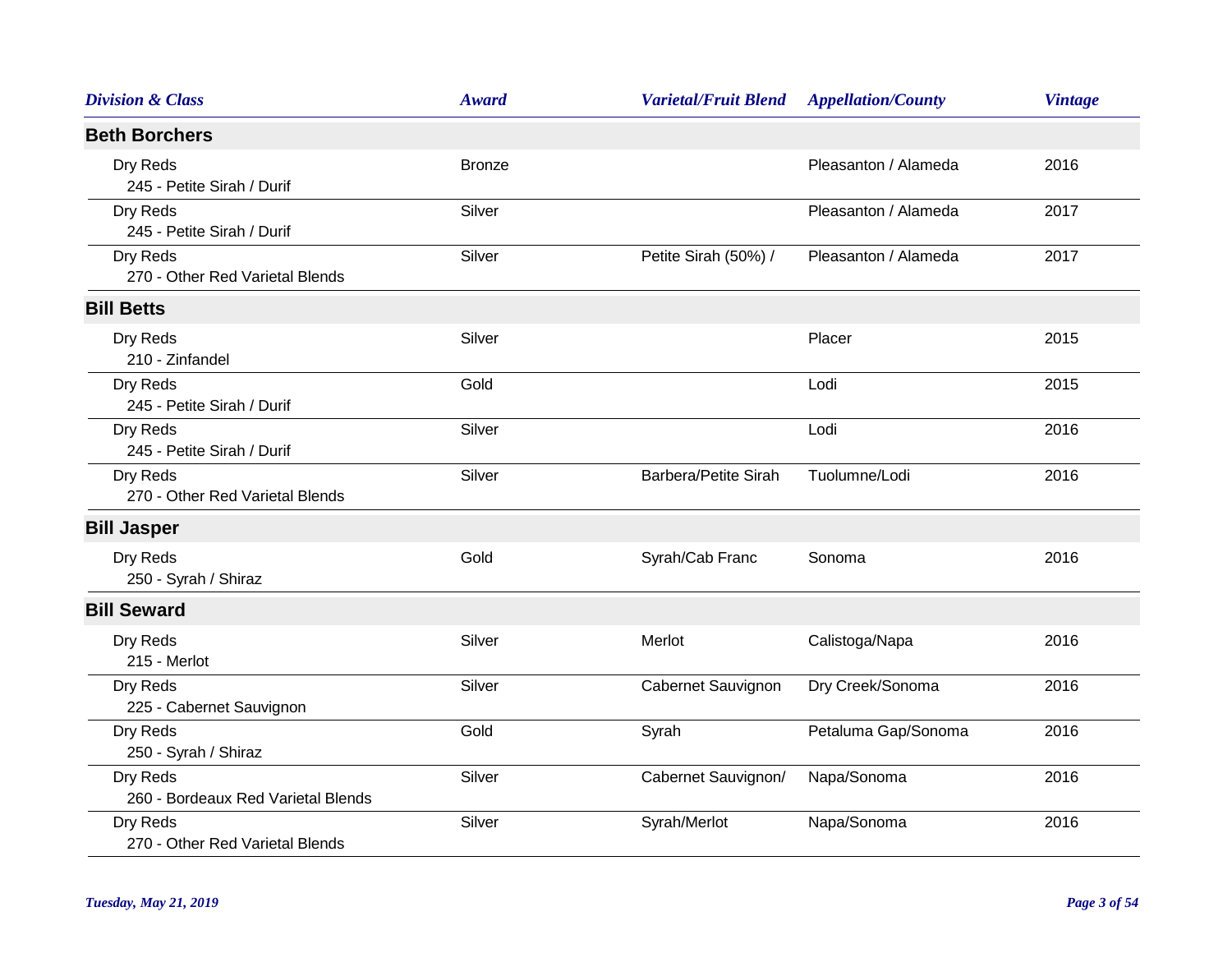| <b>Division &amp; Class</b>                    | <b>Award</b>  | <b>Varietal/Fruit Blend</b> | <b>Appellation/County</b> | <b>Vintage</b> |
|------------------------------------------------|---------------|-----------------------------|---------------------------|----------------|
| <b>Beth Borchers</b>                           |               |                             |                           |                |
| Dry Reds<br>245 - Petite Sirah / Durif         | <b>Bronze</b> |                             | Pleasanton / Alameda      | 2016           |
| Dry Reds<br>245 - Petite Sirah / Durif         | Silver        |                             | Pleasanton / Alameda      | 2017           |
| Dry Reds<br>270 - Other Red Varietal Blends    | Silver        | Petite Sirah (50%) /        | Pleasanton / Alameda      | 2017           |
| <b>Bill Betts</b>                              |               |                             |                           |                |
| Dry Reds<br>210 - Zinfandel                    | Silver        |                             | Placer                    | 2015           |
| Dry Reds<br>245 - Petite Sirah / Durif         | Gold          |                             | Lodi                      | 2015           |
| Dry Reds<br>245 - Petite Sirah / Durif         | Silver        |                             | Lodi                      | 2016           |
| Dry Reds<br>270 - Other Red Varietal Blends    | Silver        | Barbera/Petite Sirah        | Tuolumne/Lodi             | 2016           |
| <b>Bill Jasper</b>                             |               |                             |                           |                |
| Dry Reds<br>250 - Syrah / Shiraz               | Gold          | Syrah/Cab Franc             | Sonoma                    | 2016           |
| <b>Bill Seward</b>                             |               |                             |                           |                |
| Dry Reds<br>215 - Merlot                       | Silver        | Merlot                      | Calistoga/Napa            | 2016           |
| Dry Reds<br>225 - Cabernet Sauvignon           | Silver        | Cabernet Sauvignon          | Dry Creek/Sonoma          | 2016           |
| Dry Reds<br>250 - Syrah / Shiraz               | Gold          | Syrah                       | Petaluma Gap/Sonoma       | 2016           |
| Dry Reds<br>260 - Bordeaux Red Varietal Blends | Silver        | Cabernet Sauvignon/         | Napa/Sonoma               | 2016           |
| Dry Reds<br>270 - Other Red Varietal Blends    | Silver        | Syrah/Merlot                | Napa/Sonoma               | 2016           |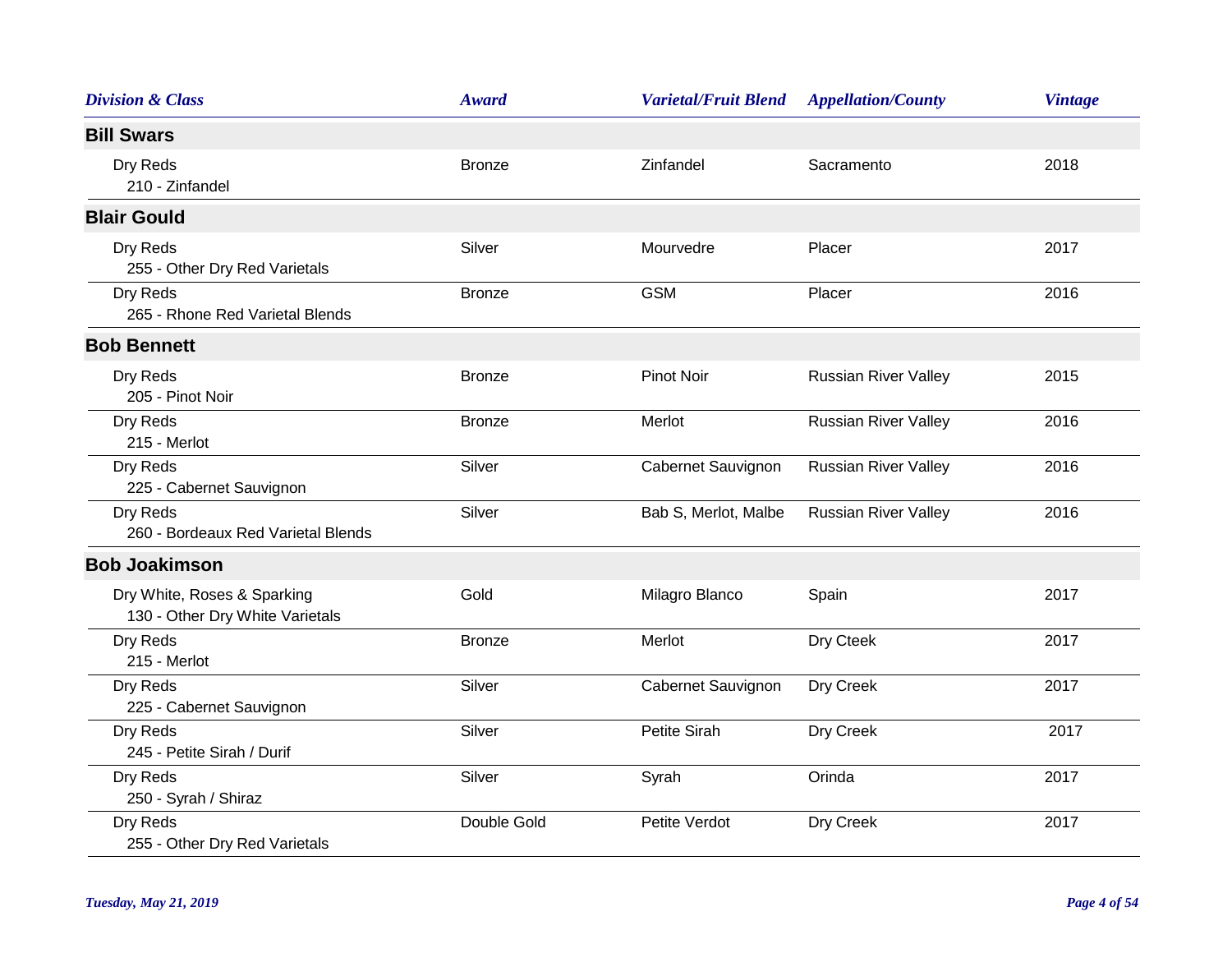| <b>Division &amp; Class</b>                                    | <b>Award</b>  | <b>Varietal/Fruit Blend</b> | <b>Appellation/County</b>   | <b>Vintage</b> |
|----------------------------------------------------------------|---------------|-----------------------------|-----------------------------|----------------|
| <b>Bill Swars</b>                                              |               |                             |                             |                |
| Dry Reds<br>210 - Zinfandel                                    | <b>Bronze</b> | Zinfandel                   | Sacramento                  | 2018           |
| <b>Blair Gould</b>                                             |               |                             |                             |                |
| Dry Reds<br>255 - Other Dry Red Varietals                      | Silver        | Mourvedre                   | Placer                      | 2017           |
| Dry Reds<br>265 - Rhone Red Varietal Blends                    | <b>Bronze</b> | <b>GSM</b>                  | Placer                      | 2016           |
| <b>Bob Bennett</b>                                             |               |                             |                             |                |
| Dry Reds<br>205 - Pinot Noir                                   | <b>Bronze</b> | <b>Pinot Noir</b>           | <b>Russian River Valley</b> | 2015           |
| Dry Reds<br>215 - Merlot                                       | <b>Bronze</b> | Merlot                      | <b>Russian River Valley</b> | 2016           |
| Dry Reds<br>225 - Cabernet Sauvignon                           | Silver        | Cabernet Sauvignon          | <b>Russian River Valley</b> | 2016           |
| Dry Reds<br>260 - Bordeaux Red Varietal Blends                 | Silver        | Bab S, Merlot, Malbe        | <b>Russian River Valley</b> | 2016           |
| <b>Bob Joakimson</b>                                           |               |                             |                             |                |
| Dry White, Roses & Sparking<br>130 - Other Dry White Varietals | Gold          | Milagro Blanco              | Spain                       | 2017           |
| Dry Reds<br>215 - Merlot                                       | <b>Bronze</b> | Merlot                      | Dry Cteek                   | 2017           |
| Dry Reds<br>225 - Cabernet Sauvignon                           | Silver        | Cabernet Sauvignon          | Dry Creek                   | 2017           |
| Dry Reds<br>245 - Petite Sirah / Durif                         | Silver        | Petite Sirah                | Dry Creek                   | 2017           |
| Dry Reds<br>250 - Syrah / Shiraz                               | Silver        | Syrah                       | Orinda                      | 2017           |
| Dry Reds<br>255 - Other Dry Red Varietals                      | Double Gold   | Petite Verdot               | Dry Creek                   | 2017           |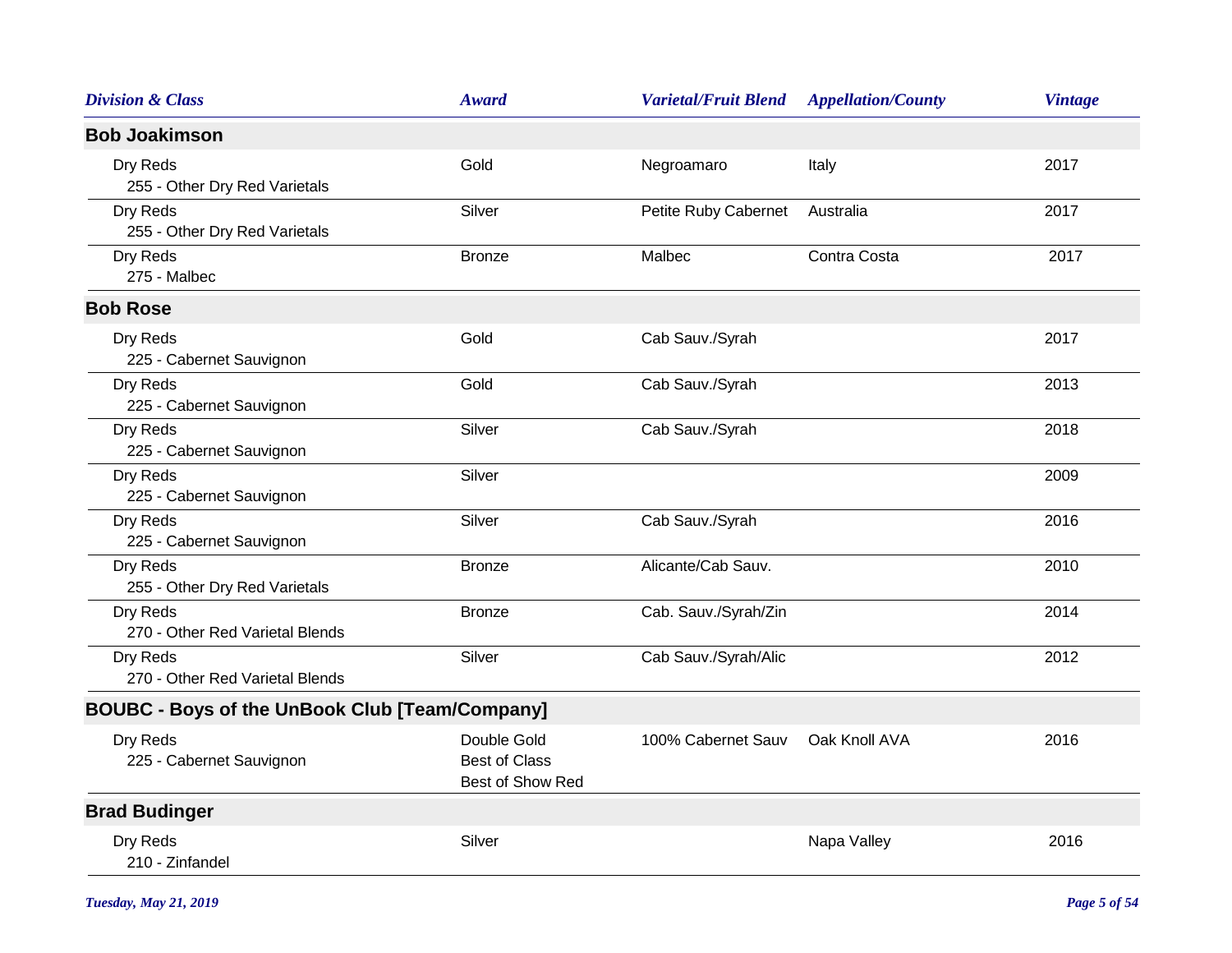| <b>Division &amp; Class</b>                           | <b>Award</b>                                            | <b>Varietal/Fruit Blend</b> | <b>Appellation/County</b> | <b>Vintage</b> |
|-------------------------------------------------------|---------------------------------------------------------|-----------------------------|---------------------------|----------------|
| <b>Bob Joakimson</b>                                  |                                                         |                             |                           |                |
| Dry Reds<br>255 - Other Dry Red Varietals             | Gold                                                    | Negroamaro                  | Italy                     | 2017           |
| Dry Reds<br>255 - Other Dry Red Varietals             | Silver                                                  | Petite Ruby Cabernet        | Australia                 | 2017           |
| Dry Reds<br>275 - Malbec                              | <b>Bronze</b>                                           | Malbec                      | Contra Costa              | 2017           |
| <b>Bob Rose</b>                                       |                                                         |                             |                           |                |
| Dry Reds<br>225 - Cabernet Sauvignon                  | Gold                                                    | Cab Sauv./Syrah             |                           | 2017           |
| Dry Reds<br>225 - Cabernet Sauvignon                  | Gold                                                    | Cab Sauv./Syrah             |                           | 2013           |
| Dry Reds<br>225 - Cabernet Sauvignon                  | Silver                                                  | Cab Sauv./Syrah             |                           | 2018           |
| Dry Reds<br>225 - Cabernet Sauvignon                  | Silver                                                  |                             |                           | 2009           |
| Dry Reds<br>225 - Cabernet Sauvignon                  | Silver                                                  | Cab Sauv./Syrah             |                           | 2016           |
| Dry Reds<br>255 - Other Dry Red Varietals             | <b>Bronze</b>                                           | Alicante/Cab Sauv.          |                           | 2010           |
| Dry Reds<br>270 - Other Red Varietal Blends           | <b>Bronze</b>                                           | Cab. Sauv./Syrah/Zin        |                           | 2014           |
| Dry Reds<br>270 - Other Red Varietal Blends           | Silver                                                  | Cab Sauv./Syrah/Alic        |                           | 2012           |
| <b>BOUBC - Boys of the UnBook Club [Team/Company]</b> |                                                         |                             |                           |                |
| Dry Reds<br>225 - Cabernet Sauvignon                  | Double Gold<br><b>Best of Class</b><br>Best of Show Red | 100% Cabernet Sauv          | Oak Knoll AVA             | 2016           |
| <b>Brad Budinger</b>                                  |                                                         |                             |                           |                |
| Dry Reds<br>210 - Zinfandel                           | Silver                                                  |                             | Napa Valley               | 2016           |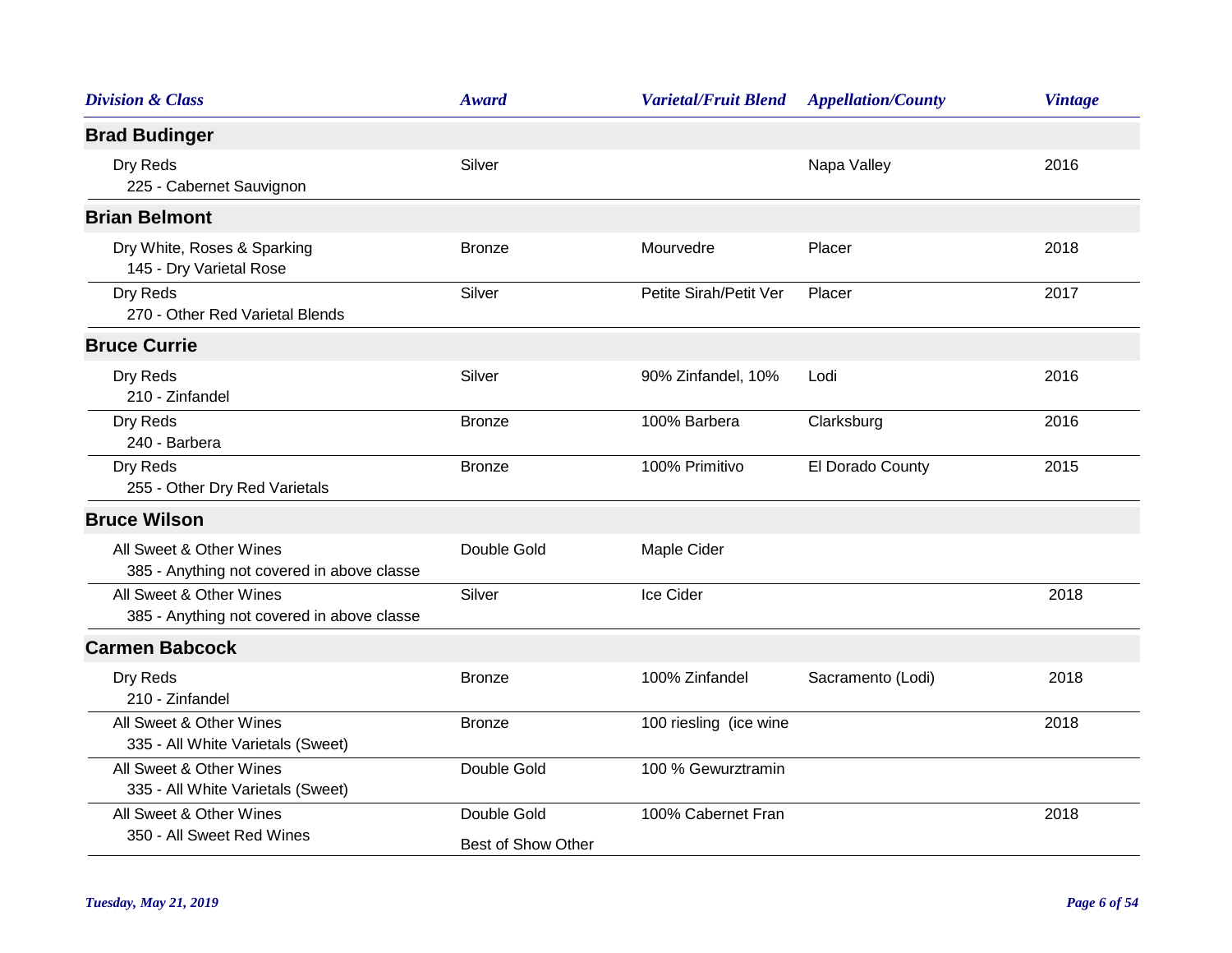| <b>Division &amp; Class</b>                                           | <b>Award</b>                      | <b>Varietal/Fruit Blend</b> | <b>Appellation/County</b> | <b>Vintage</b> |
|-----------------------------------------------------------------------|-----------------------------------|-----------------------------|---------------------------|----------------|
| <b>Brad Budinger</b>                                                  |                                   |                             |                           |                |
| Dry Reds<br>225 - Cabernet Sauvignon                                  | Silver                            |                             | Napa Valley               | 2016           |
| <b>Brian Belmont</b>                                                  |                                   |                             |                           |                |
| Dry White, Roses & Sparking<br>145 - Dry Varietal Rose                | <b>Bronze</b>                     | Mourvedre                   | Placer                    | 2018           |
| Dry Reds<br>270 - Other Red Varietal Blends                           | Silver                            | Petite Sirah/Petit Ver      | Placer                    | 2017           |
| <b>Bruce Currie</b>                                                   |                                   |                             |                           |                |
| Dry Reds<br>210 - Zinfandel                                           | Silver                            | 90% Zinfandel, 10%          | Lodi                      | 2016           |
| Dry Reds<br>240 - Barbera                                             | <b>Bronze</b>                     | 100% Barbera                | Clarksburg                | 2016           |
| Dry Reds<br>255 - Other Dry Red Varietals                             | <b>Bronze</b>                     | 100% Primitivo              | El Dorado County          | 2015           |
| <b>Bruce Wilson</b>                                                   |                                   |                             |                           |                |
| All Sweet & Other Wines<br>385 - Anything not covered in above classe | Double Gold                       | Maple Cider                 |                           |                |
| All Sweet & Other Wines<br>385 - Anything not covered in above classe | Silver                            | Ice Cider                   |                           | 2018           |
| <b>Carmen Babcock</b>                                                 |                                   |                             |                           |                |
| Dry Reds<br>210 - Zinfandel                                           | <b>Bronze</b>                     | 100% Zinfandel              | Sacramento (Lodi)         | 2018           |
| All Sweet & Other Wines<br>335 - All White Varietals (Sweet)          | <b>Bronze</b>                     | 100 riesling (ice wine      |                           | 2018           |
| All Sweet & Other Wines<br>335 - All White Varietals (Sweet)          | Double Gold                       | 100 % Gewurztramin          |                           |                |
| All Sweet & Other Wines<br>350 - All Sweet Red Wines                  | Double Gold<br>Best of Show Other | 100% Cabernet Fran          |                           | 2018           |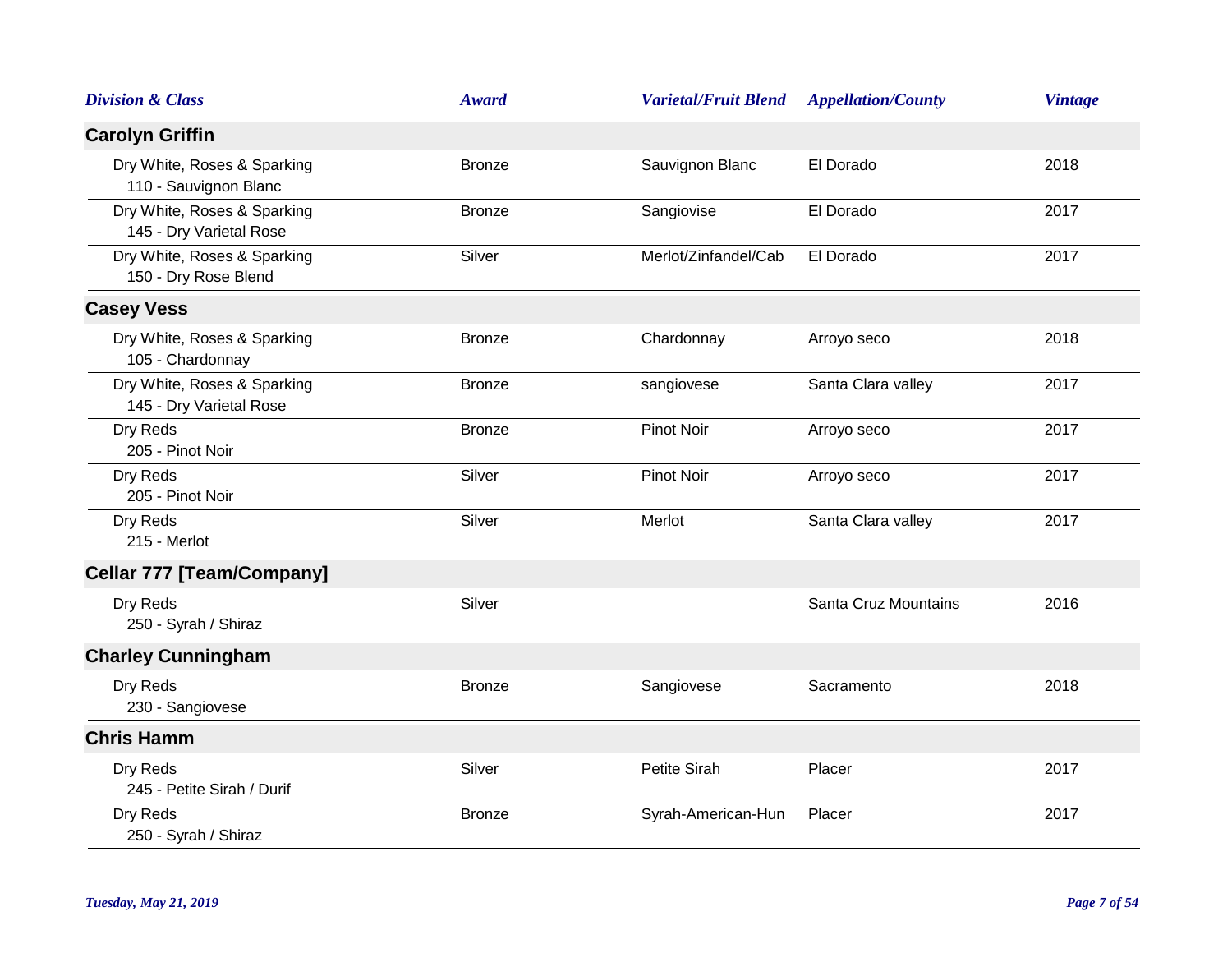| <b>Division &amp; Class</b>                            | <b>Award</b>  | <b>Varietal/Fruit Blend</b> | <b>Appellation/County</b> | <b>Vintage</b> |
|--------------------------------------------------------|---------------|-----------------------------|---------------------------|----------------|
| <b>Carolyn Griffin</b>                                 |               |                             |                           |                |
| Dry White, Roses & Sparking<br>110 - Sauvignon Blanc   | <b>Bronze</b> | Sauvignon Blanc             | El Dorado                 | 2018           |
| Dry White, Roses & Sparking<br>145 - Dry Varietal Rose | <b>Bronze</b> | Sangiovise                  | El Dorado                 | 2017           |
| Dry White, Roses & Sparking<br>150 - Dry Rose Blend    | Silver        | Merlot/Zinfandel/Cab        | El Dorado                 | 2017           |
| <b>Casey Vess</b>                                      |               |                             |                           |                |
| Dry White, Roses & Sparking<br>105 - Chardonnay        | <b>Bronze</b> | Chardonnay                  | Arroyo seco               | 2018           |
| Dry White, Roses & Sparking<br>145 - Dry Varietal Rose | <b>Bronze</b> | sangiovese                  | Santa Clara valley        | 2017           |
| Dry Reds<br>205 - Pinot Noir                           | <b>Bronze</b> | <b>Pinot Noir</b>           | Arroyo seco               | 2017           |
| Dry Reds<br>205 - Pinot Noir                           | Silver        | <b>Pinot Noir</b>           | Arroyo seco               | 2017           |
| Dry Reds<br>215 - Merlot                               | Silver        | Merlot                      | Santa Clara valley        | 2017           |
| <b>Cellar 777 [Team/Company]</b>                       |               |                             |                           |                |
| Dry Reds<br>250 - Syrah / Shiraz                       | Silver        |                             | Santa Cruz Mountains      | 2016           |
| <b>Charley Cunningham</b>                              |               |                             |                           |                |
| Dry Reds<br>230 - Sangiovese                           | <b>Bronze</b> | Sangiovese                  | Sacramento                | 2018           |
| <b>Chris Hamm</b>                                      |               |                             |                           |                |
| Dry Reds<br>245 - Petite Sirah / Durif                 | Silver        | Petite Sirah                | Placer                    | 2017           |
| Dry Reds<br>250 - Syrah / Shiraz                       | <b>Bronze</b> | Syrah-American-Hun          | Placer                    | 2017           |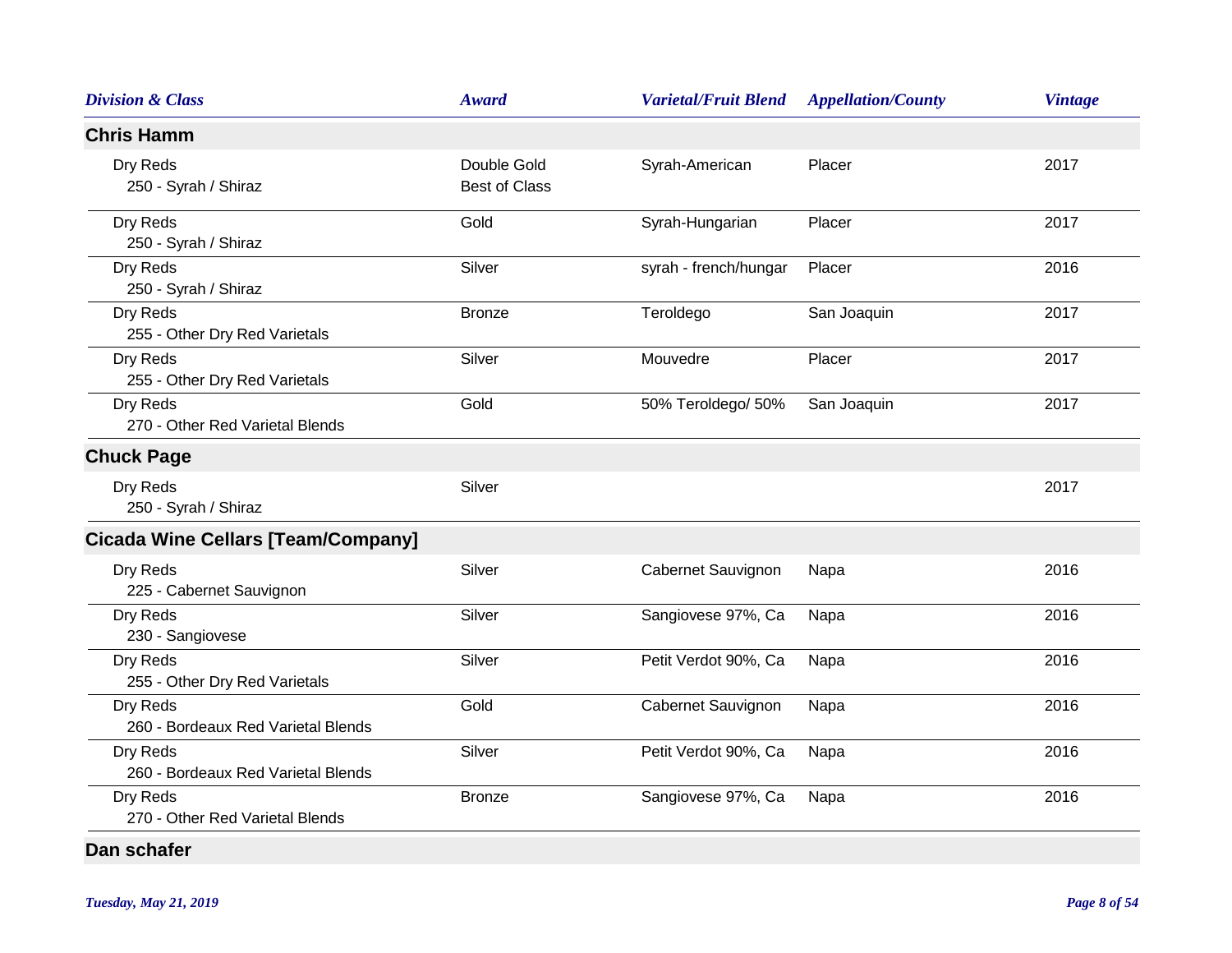| <b>Division &amp; Class</b>                    | <b>Award</b>                        | <b>Varietal/Fruit Blend</b> | <b>Appellation/County</b> | <b>Vintage</b> |
|------------------------------------------------|-------------------------------------|-----------------------------|---------------------------|----------------|
| <b>Chris Hamm</b>                              |                                     |                             |                           |                |
| Dry Reds<br>250 - Syrah / Shiraz               | Double Gold<br><b>Best of Class</b> | Syrah-American              | Placer                    | 2017           |
| Dry Reds<br>250 - Syrah / Shiraz               | Gold                                | Syrah-Hungarian             | Placer                    | 2017           |
| Dry Reds<br>250 - Syrah / Shiraz               | Silver                              | syrah - french/hungar       | Placer                    | 2016           |
| Dry Reds<br>255 - Other Dry Red Varietals      | <b>Bronze</b>                       | Teroldego                   | San Joaquin               | 2017           |
| Dry Reds<br>255 - Other Dry Red Varietals      | Silver                              | Mouvedre                    | Placer                    | 2017           |
| Dry Reds<br>270 - Other Red Varietal Blends    | Gold                                | 50% Teroldego/ 50%          | San Joaquin               | 2017           |
| <b>Chuck Page</b>                              |                                     |                             |                           |                |
| Dry Reds<br>250 - Syrah / Shiraz               | Silver                              |                             |                           | 2017           |
| <b>Cicada Wine Cellars [Team/Company]</b>      |                                     |                             |                           |                |
| Dry Reds<br>225 - Cabernet Sauvignon           | Silver                              | Cabernet Sauvignon          | Napa                      | 2016           |
| Dry Reds<br>230 - Sangiovese                   | Silver                              | Sangiovese 97%, Ca          | Napa                      | 2016           |
| Dry Reds<br>255 - Other Dry Red Varietals      | Silver                              | Petit Verdot 90%, Ca        | Napa                      | 2016           |
| Dry Reds<br>260 - Bordeaux Red Varietal Blends | Gold                                | Cabernet Sauvignon          | Napa                      | 2016           |
| Dry Reds<br>260 - Bordeaux Red Varietal Blends | Silver                              | Petit Verdot 90%, Ca        | Napa                      | 2016           |
| Dry Reds<br>270 - Other Red Varietal Blends    | <b>Bronze</b>                       | Sangiovese 97%, Ca          | Napa                      | 2016           |
| Dan schafer                                    |                                     |                             |                           |                |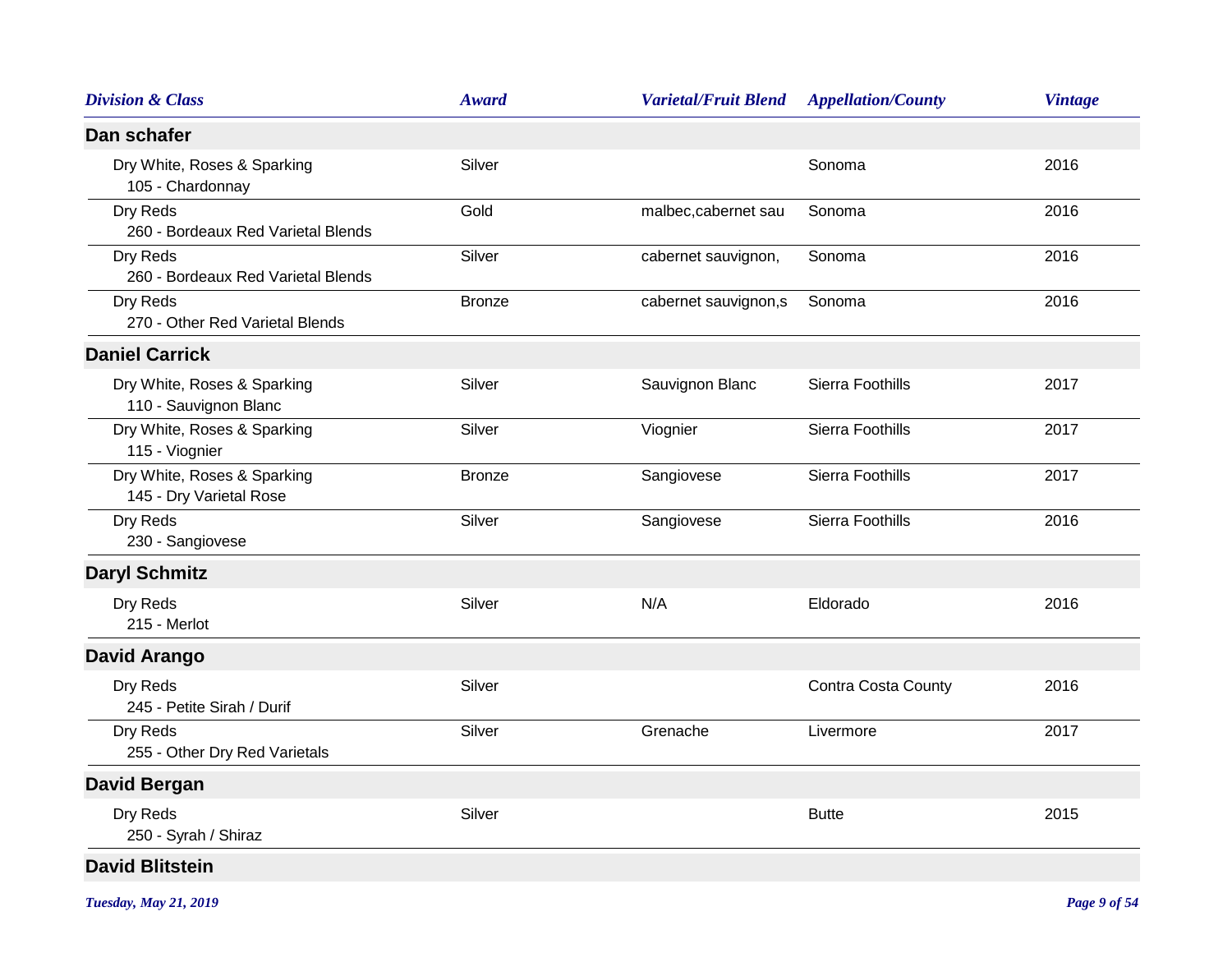| <b>Division &amp; Class</b>                            | <b>Award</b>  | <b>Varietal/Fruit Blend</b> | <b>Appellation/County</b>  | <b>Vintage</b> |
|--------------------------------------------------------|---------------|-----------------------------|----------------------------|----------------|
| Dan schafer                                            |               |                             |                            |                |
| Dry White, Roses & Sparking<br>105 - Chardonnay        | Silver        |                             | Sonoma                     | 2016           |
| Dry Reds<br>260 - Bordeaux Red Varietal Blends         | Gold          | malbec, cabernet sau        | Sonoma                     | 2016           |
| Dry Reds<br>260 - Bordeaux Red Varietal Blends         | Silver        | cabernet sauvignon,         | Sonoma                     | 2016           |
| Dry Reds<br>270 - Other Red Varietal Blends            | <b>Bronze</b> | cabernet sauvignon,s        | Sonoma                     | 2016           |
| <b>Daniel Carrick</b>                                  |               |                             |                            |                |
| Dry White, Roses & Sparking<br>110 - Sauvignon Blanc   | Silver        | Sauvignon Blanc             | Sierra Foothills           | 2017           |
| Dry White, Roses & Sparking<br>115 - Viognier          | Silver        | Viognier                    | Sierra Foothills           | 2017           |
| Dry White, Roses & Sparking<br>145 - Dry Varietal Rose | <b>Bronze</b> | Sangiovese                  | Sierra Foothills           | 2017           |
| Dry Reds<br>230 - Sangiovese                           | Silver        | Sangiovese                  | Sierra Foothills           | 2016           |
| <b>Daryl Schmitz</b>                                   |               |                             |                            |                |
| Dry Reds<br>215 - Merlot                               | Silver        | N/A                         | Eldorado                   | 2016           |
| <b>David Arango</b>                                    |               |                             |                            |                |
| Dry Reds<br>245 - Petite Sirah / Durif                 | Silver        |                             | <b>Contra Costa County</b> | 2016           |
| Dry Reds<br>255 - Other Dry Red Varietals              | Silver        | Grenache                    | Livermore                  | 2017           |
| <b>David Bergan</b>                                    |               |                             |                            |                |
| Dry Reds<br>250 - Syrah / Shiraz                       | Silver        |                             | <b>Butte</b>               | 2015           |
| <b>David Blitstein</b>                                 |               |                             |                            |                |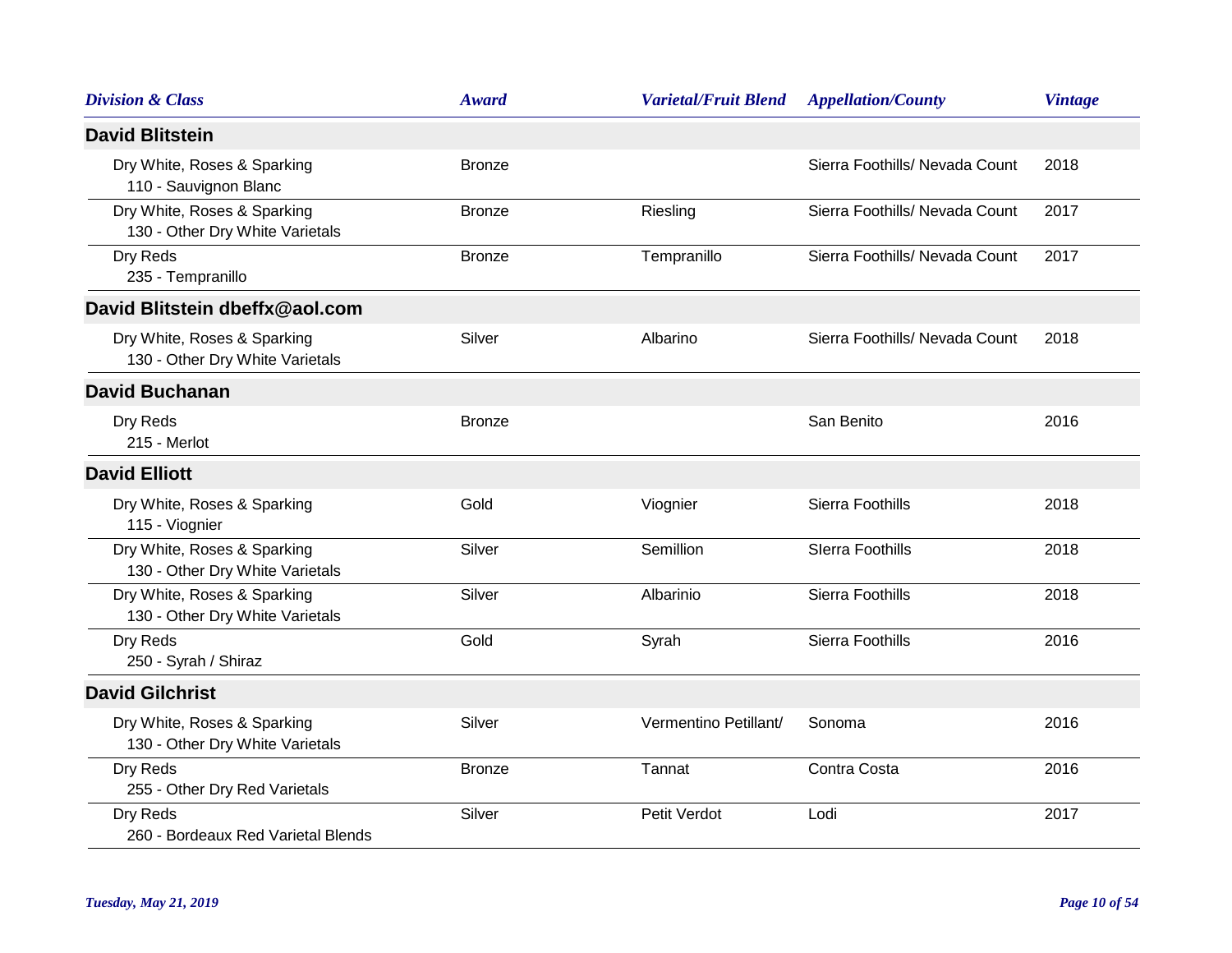| <b>Division &amp; Class</b>                                    | <b>Award</b>  | <b>Varietal/Fruit Blend</b> | <b>Appellation/County</b>      | <b>Vintage</b> |
|----------------------------------------------------------------|---------------|-----------------------------|--------------------------------|----------------|
| <b>David Blitstein</b>                                         |               |                             |                                |                |
| Dry White, Roses & Sparking<br>110 - Sauvignon Blanc           | <b>Bronze</b> |                             | Sierra Foothills/ Nevada Count | 2018           |
| Dry White, Roses & Sparking<br>130 - Other Dry White Varietals | <b>Bronze</b> | Riesling                    | Sierra Foothills/ Nevada Count | 2017           |
| Dry Reds<br>235 - Tempranillo                                  | <b>Bronze</b> | Tempranillo                 | Sierra Foothills/ Nevada Count | 2017           |
| David Blitstein dbeffx@aol.com                                 |               |                             |                                |                |
| Dry White, Roses & Sparking<br>130 - Other Dry White Varietals | Silver        | Albarino                    | Sierra Foothills/ Nevada Count | 2018           |
| <b>David Buchanan</b>                                          |               |                             |                                |                |
| Dry Reds<br>215 - Merlot                                       | <b>Bronze</b> |                             | San Benito                     | 2016           |
| <b>David Elliott</b>                                           |               |                             |                                |                |
| Dry White, Roses & Sparking<br>115 - Viognier                  | Gold          | Viognier                    | Sierra Foothills               | 2018           |
| Dry White, Roses & Sparking<br>130 - Other Dry White Varietals | Silver        | Semillion                   | <b>Slerra Foothills</b>        | 2018           |
| Dry White, Roses & Sparking<br>130 - Other Dry White Varietals | Silver        | Albarinio                   | Sierra Foothills               | 2018           |
| Dry Reds<br>250 - Syrah / Shiraz                               | Gold          | Syrah                       | Sierra Foothills               | 2016           |
| <b>David Gilchrist</b>                                         |               |                             |                                |                |
| Dry White, Roses & Sparking<br>130 - Other Dry White Varietals | Silver        | Vermentino Petillant/       | Sonoma                         | 2016           |
| Dry Reds<br>255 - Other Dry Red Varietals                      | <b>Bronze</b> | Tannat                      | Contra Costa                   | 2016           |
| Dry Reds<br>260 - Bordeaux Red Varietal Blends                 | Silver        | Petit Verdot                | Lodi                           | 2017           |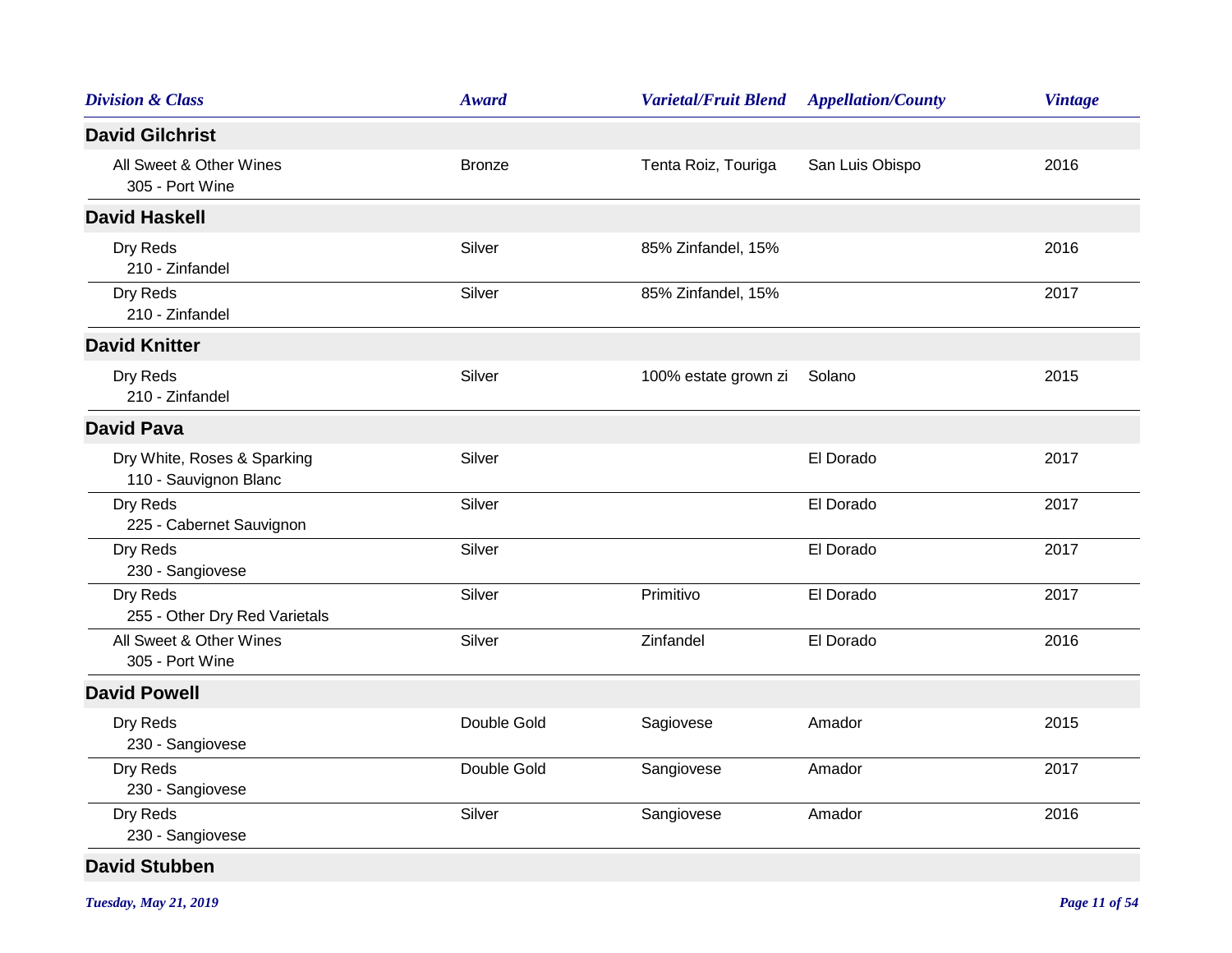| <b>Division &amp; Class</b>                          | <b>Award</b>  | <b>Varietal/Fruit Blend</b> | <b>Appellation/County</b> | <b>Vintage</b> |
|------------------------------------------------------|---------------|-----------------------------|---------------------------|----------------|
| <b>David Gilchrist</b>                               |               |                             |                           |                |
| All Sweet & Other Wines<br>305 - Port Wine           | <b>Bronze</b> | Tenta Roiz, Touriga         | San Luis Obispo           | 2016           |
| <b>David Haskell</b>                                 |               |                             |                           |                |
| Dry Reds<br>210 - Zinfandel                          | Silver        | 85% Zinfandel, 15%          |                           | 2016           |
| Dry Reds<br>210 - Zinfandel                          | Silver        | 85% Zinfandel, 15%          |                           | 2017           |
| <b>David Knitter</b>                                 |               |                             |                           |                |
| Dry Reds<br>210 - Zinfandel                          | Silver        | 100% estate grown zi        | Solano                    | 2015           |
| <b>David Pava</b>                                    |               |                             |                           |                |
| Dry White, Roses & Sparking<br>110 - Sauvignon Blanc | Silver        |                             | El Dorado                 | 2017           |
| Dry Reds<br>225 - Cabernet Sauvignon                 | Silver        |                             | El Dorado                 | 2017           |
| Dry Reds<br>230 - Sangiovese                         | Silver        |                             | El Dorado                 | 2017           |
| Dry Reds<br>255 - Other Dry Red Varietals            | Silver        | Primitivo                   | El Dorado                 | 2017           |
| All Sweet & Other Wines<br>305 - Port Wine           | Silver        | Zinfandel                   | El Dorado                 | 2016           |
| <b>David Powell</b>                                  |               |                             |                           |                |
| Dry Reds<br>230 - Sangiovese                         | Double Gold   | Sagiovese                   | Amador                    | 2015           |
| Dry Reds<br>230 - Sangiovese                         | Double Gold   | Sangiovese                  | Amador                    | 2017           |
| Dry Reds<br>230 - Sangiovese                         | Silver        | Sangiovese                  | Amador                    | 2016           |
| <b>David Stubben</b>                                 |               |                             |                           |                |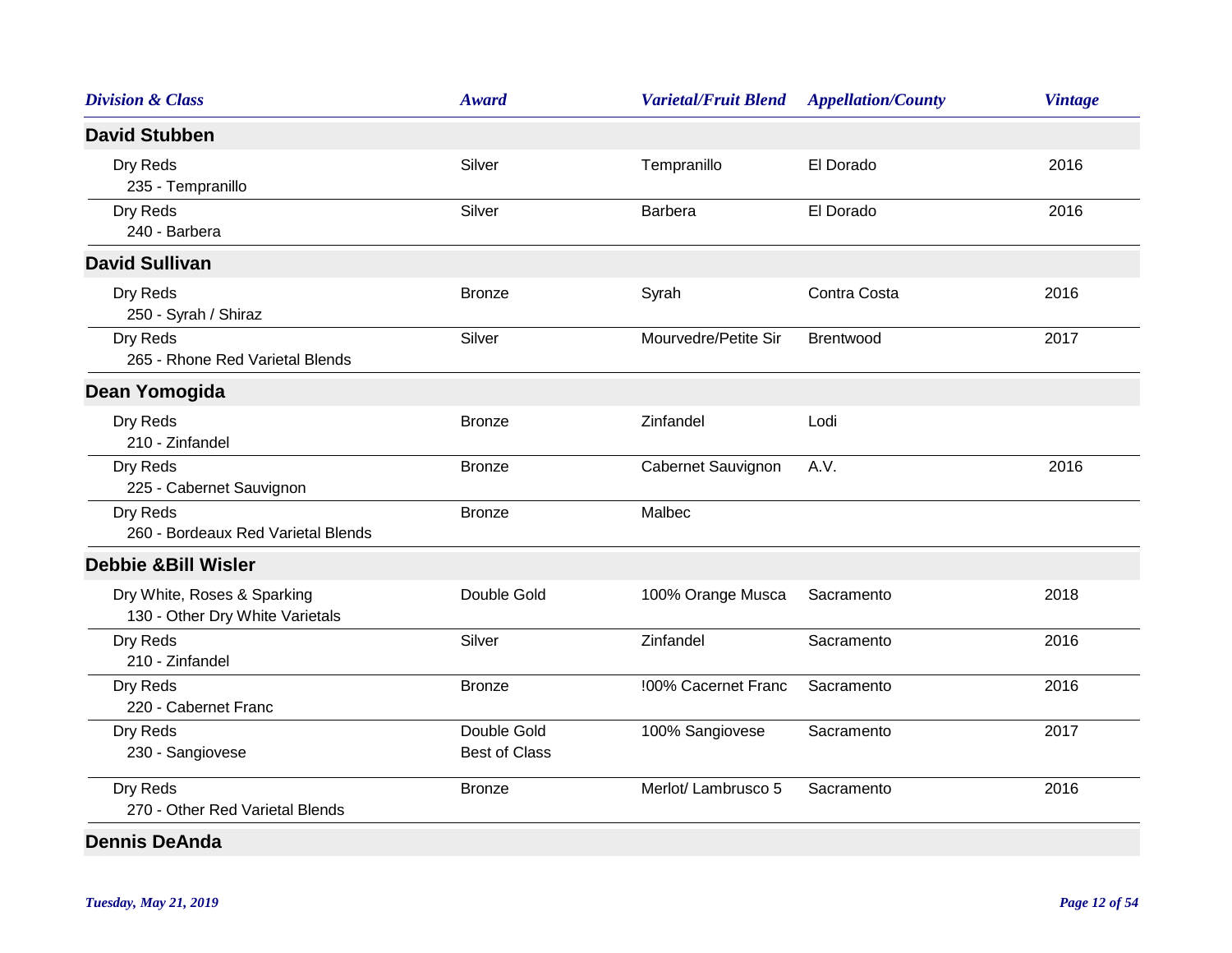| <b>Division &amp; Class</b>                                    | <b>Award</b>                        | <b>Varietal/Fruit Blend</b> | <b>Appellation/County</b> | <b>Vintage</b> |
|----------------------------------------------------------------|-------------------------------------|-----------------------------|---------------------------|----------------|
| <b>David Stubben</b>                                           |                                     |                             |                           |                |
| Dry Reds<br>235 - Tempranillo                                  | Silver                              | Tempranillo                 | El Dorado                 | 2016           |
| Dry Reds<br>240 - Barbera                                      | Silver                              | <b>Barbera</b>              | El Dorado                 | 2016           |
| <b>David Sullivan</b>                                          |                                     |                             |                           |                |
| Dry Reds<br>250 - Syrah / Shiraz                               | <b>Bronze</b>                       | Syrah                       | Contra Costa              | 2016           |
| Dry Reds<br>265 - Rhone Red Varietal Blends                    | Silver                              | Mourvedre/Petite Sir        | Brentwood                 | 2017           |
| Dean Yomogida                                                  |                                     |                             |                           |                |
| Dry Reds<br>210 - Zinfandel                                    | <b>Bronze</b>                       | Zinfandel                   | Lodi                      |                |
| Dry Reds<br>225 - Cabernet Sauvignon                           | <b>Bronze</b>                       | Cabernet Sauvignon          | A.V.                      | 2016           |
| Dry Reds<br>260 - Bordeaux Red Varietal Blends                 | <b>Bronze</b>                       | Malbec                      |                           |                |
| <b>Debbie &amp;Bill Wisler</b>                                 |                                     |                             |                           |                |
| Dry White, Roses & Sparking<br>130 - Other Dry White Varietals | Double Gold                         | 100% Orange Musca           | Sacramento                | 2018           |
| Dry Reds<br>210 - Zinfandel                                    | Silver                              | Zinfandel                   | Sacramento                | 2016           |
| Dry Reds<br>220 - Cabernet Franc                               | <b>Bronze</b>                       | !00% Cacernet Franc         | Sacramento                | 2016           |
| Dry Reds<br>230 - Sangiovese                                   | Double Gold<br><b>Best of Class</b> | 100% Sangiovese             | Sacramento                | 2017           |
| Dry Reds<br>270 - Other Red Varietal Blends                    | <b>Bronze</b>                       | Merlot/ Lambrusco 5         | Sacramento                | 2016           |
| <b>Dennis DeAnda</b>                                           |                                     |                             |                           |                |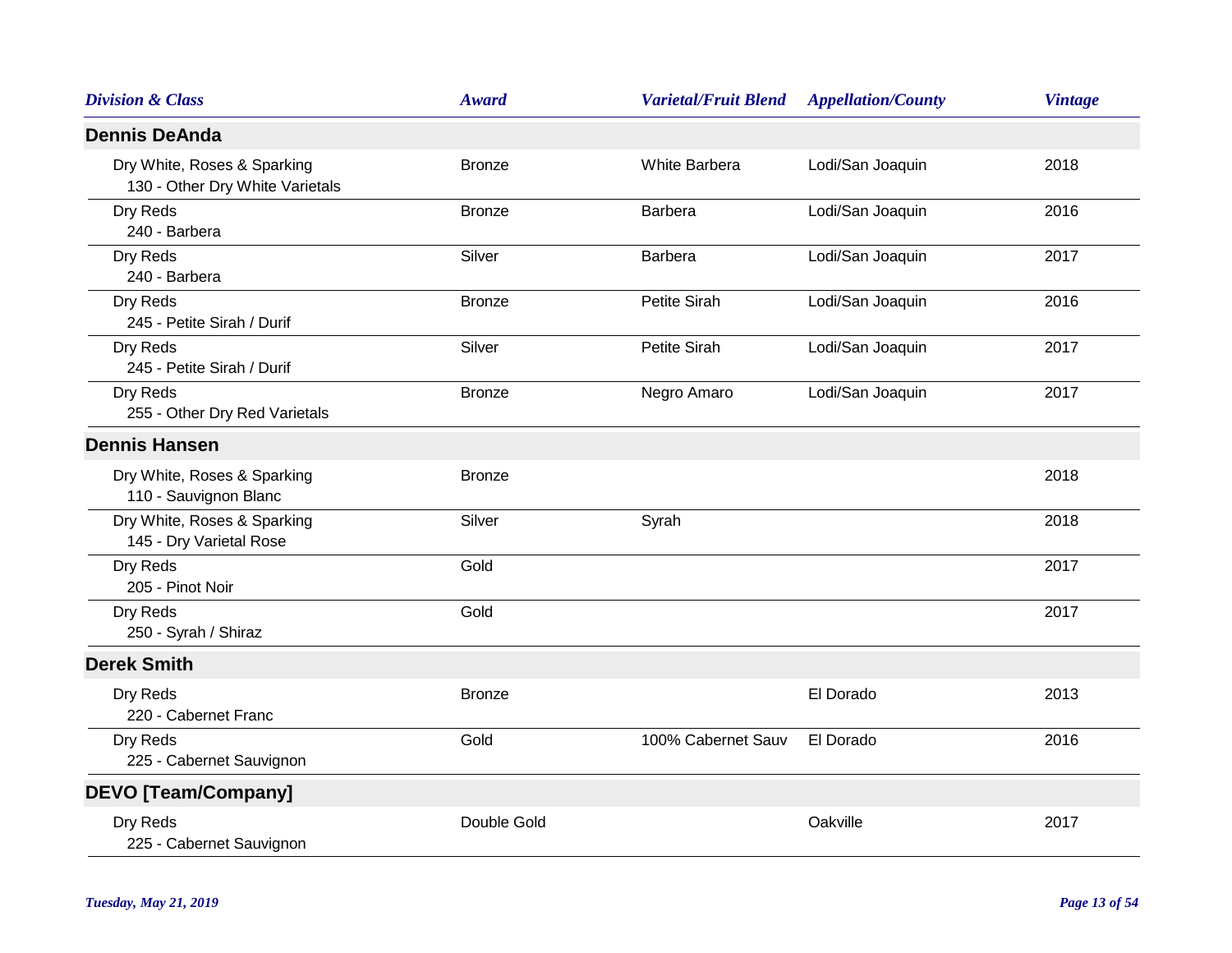| <b>Division &amp; Class</b>                                    | <b>Award</b>  | <b>Varietal/Fruit Blend</b> | <b>Appellation/County</b> | <b>Vintage</b> |
|----------------------------------------------------------------|---------------|-----------------------------|---------------------------|----------------|
| <b>Dennis DeAnda</b>                                           |               |                             |                           |                |
| Dry White, Roses & Sparking<br>130 - Other Dry White Varietals | <b>Bronze</b> | White Barbera               | Lodi/San Joaquin          | 2018           |
| Dry Reds<br>240 - Barbera                                      | <b>Bronze</b> | Barbera                     | Lodi/San Joaquin          | 2016           |
| Dry Reds<br>240 - Barbera                                      | Silver        | <b>Barbera</b>              | Lodi/San Joaquin          | 2017           |
| Dry Reds<br>245 - Petite Sirah / Durif                         | <b>Bronze</b> | Petite Sirah                | Lodi/San Joaquin          | 2016           |
| Dry Reds<br>245 - Petite Sirah / Durif                         | Silver        | Petite Sirah                | Lodi/San Joaquin          | 2017           |
| Dry Reds<br>255 - Other Dry Red Varietals                      | <b>Bronze</b> | Negro Amaro                 | Lodi/San Joaquin          | 2017           |
| <b>Dennis Hansen</b>                                           |               |                             |                           |                |
| Dry White, Roses & Sparking<br>110 - Sauvignon Blanc           | <b>Bronze</b> |                             |                           | 2018           |
| Dry White, Roses & Sparking<br>145 - Dry Varietal Rose         | Silver        | Syrah                       |                           | 2018           |
| Dry Reds<br>205 - Pinot Noir                                   | Gold          |                             |                           | 2017           |
| Dry Reds<br>250 - Syrah / Shiraz                               | Gold          |                             |                           | 2017           |
| <b>Derek Smith</b>                                             |               |                             |                           |                |
| Dry Reds<br>220 - Cabernet Franc                               | <b>Bronze</b> |                             | El Dorado                 | 2013           |
| Dry Reds<br>225 - Cabernet Sauvignon                           | Gold          | 100% Cabernet Sauv          | El Dorado                 | 2016           |
| <b>DEVO [Team/Company]</b>                                     |               |                             |                           |                |
| Dry Reds<br>225 - Cabernet Sauvignon                           | Double Gold   |                             | Oakville                  | 2017           |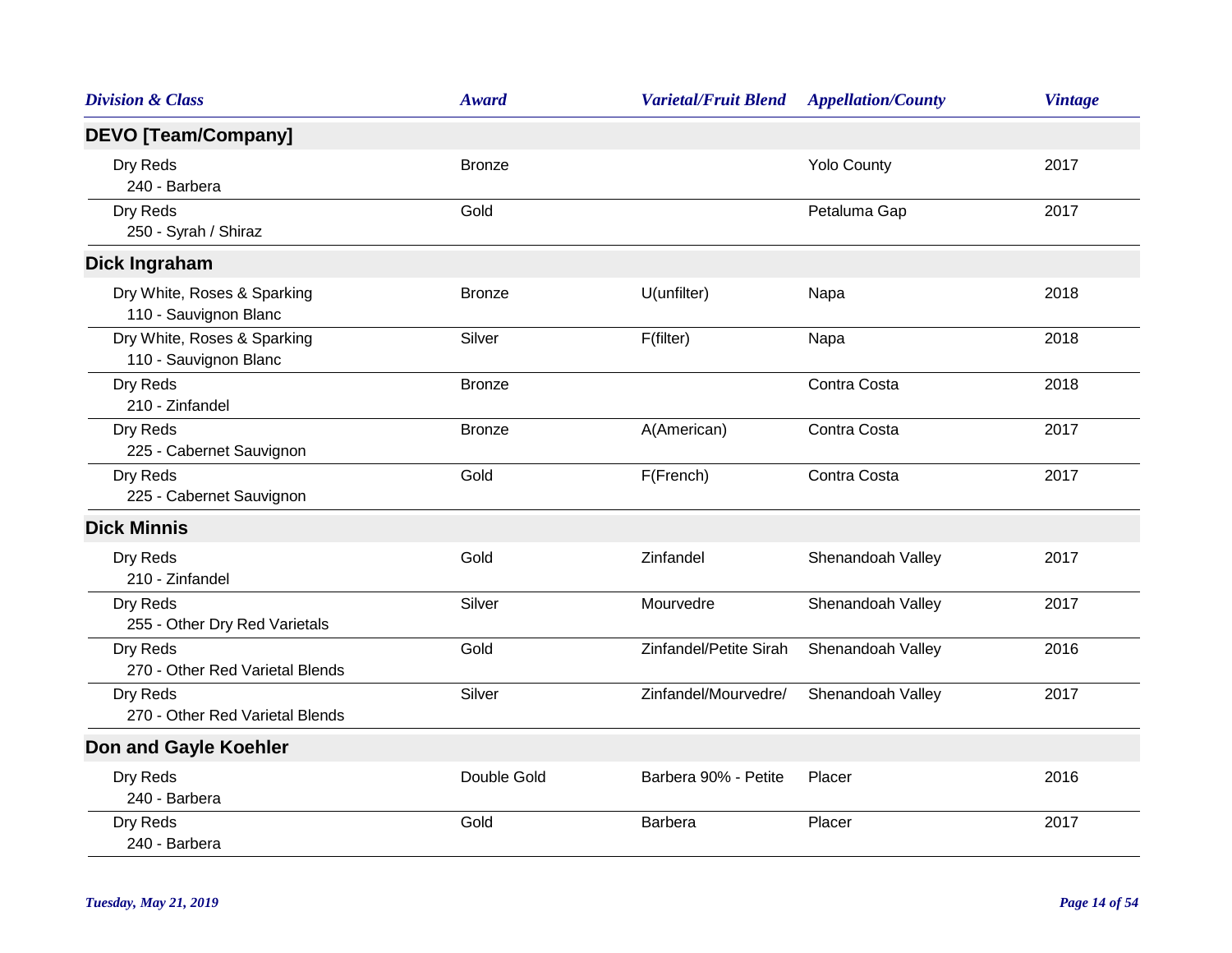| <b>Division &amp; Class</b>                          | <b>Award</b>  | <b>Varietal/Fruit Blend</b> | <b>Appellation/County</b> | <b>Vintage</b> |
|------------------------------------------------------|---------------|-----------------------------|---------------------------|----------------|
| <b>DEVO [Team/Company]</b>                           |               |                             |                           |                |
| Dry Reds<br>240 - Barbera                            | <b>Bronze</b> |                             | <b>Yolo County</b>        | 2017           |
| Dry Reds<br>250 - Syrah / Shiraz                     | Gold          |                             | Petaluma Gap              | 2017           |
| <b>Dick Ingraham</b>                                 |               |                             |                           |                |
| Dry White, Roses & Sparking<br>110 - Sauvignon Blanc | <b>Bronze</b> | U(unfilter)                 | Napa                      | 2018           |
| Dry White, Roses & Sparking<br>110 - Sauvignon Blanc | Silver        | F(filter)                   | Napa                      | 2018           |
| Dry Reds<br>210 - Zinfandel                          | <b>Bronze</b> |                             | Contra Costa              | 2018           |
| Dry Reds<br>225 - Cabernet Sauvignon                 | <b>Bronze</b> | A(American)                 | Contra Costa              | 2017           |
| Dry Reds<br>225 - Cabernet Sauvignon                 | Gold          | F(French)                   | Contra Costa              | 2017           |
| <b>Dick Minnis</b>                                   |               |                             |                           |                |
| Dry Reds<br>210 - Zinfandel                          | Gold          | Zinfandel                   | Shenandoah Valley         | 2017           |
| Dry Reds<br>255 - Other Dry Red Varietals            | Silver        | Mourvedre                   | Shenandoah Valley         | 2017           |
| Dry Reds<br>270 - Other Red Varietal Blends          | Gold          | Zinfandel/Petite Sirah      | Shenandoah Valley         | 2016           |
| Dry Reds<br>270 - Other Red Varietal Blends          | Silver        | Zinfandel/Mourvedre/        | Shenandoah Valley         | 2017           |
| Don and Gayle Koehler                                |               |                             |                           |                |
| Dry Reds<br>240 - Barbera                            | Double Gold   | Barbera 90% - Petite        | Placer                    | 2016           |
| Dry Reds<br>240 - Barbera                            | Gold          | Barbera                     | Placer                    | 2017           |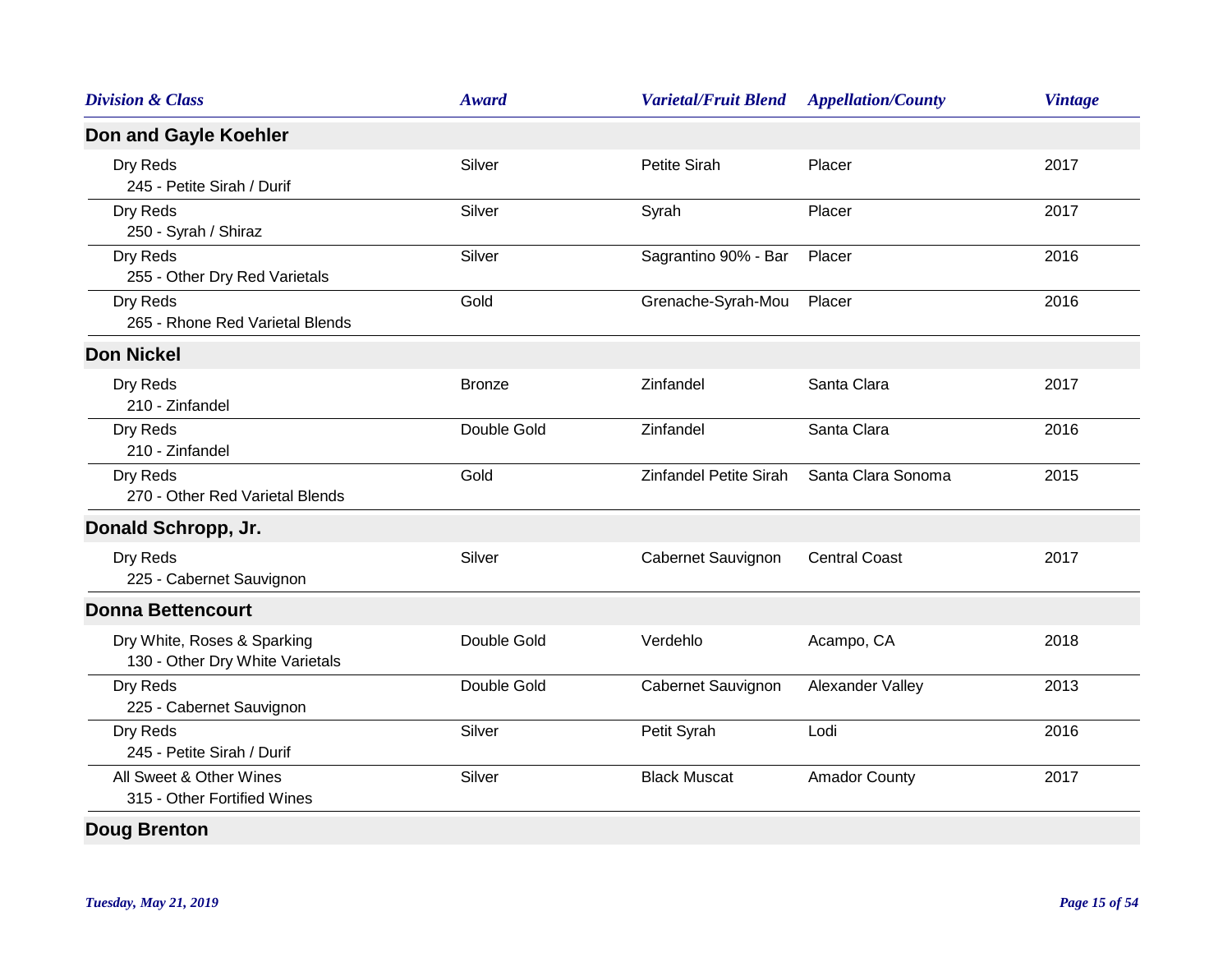| <b>Division &amp; Class</b>                                    | <b>Award</b>  | <b>Varietal/Fruit Blend</b> | <b>Appellation/County</b> | <b>Vintage</b> |
|----------------------------------------------------------------|---------------|-----------------------------|---------------------------|----------------|
| Don and Gayle Koehler                                          |               |                             |                           |                |
| Dry Reds<br>245 - Petite Sirah / Durif                         | Silver        | Petite Sirah                | Placer                    | 2017           |
| Dry Reds<br>250 - Syrah / Shiraz                               | Silver        | Syrah                       | Placer                    | 2017           |
| Dry Reds<br>255 - Other Dry Red Varietals                      | Silver        | Sagrantino 90% - Bar        | Placer                    | 2016           |
| Dry Reds<br>265 - Rhone Red Varietal Blends                    | Gold          | Grenache-Syrah-Mou          | Placer                    | 2016           |
| <b>Don Nickel</b>                                              |               |                             |                           |                |
| Dry Reds<br>210 - Zinfandel                                    | <b>Bronze</b> | Zinfandel                   | Santa Clara               | 2017           |
| Dry Reds<br>210 - Zinfandel                                    | Double Gold   | Zinfandel                   | Santa Clara               | 2016           |
| Dry Reds<br>270 - Other Red Varietal Blends                    | Gold          | Zinfandel Petite Sirah      | Santa Clara Sonoma        | 2015           |
| Donald Schropp, Jr.                                            |               |                             |                           |                |
| Dry Reds<br>225 - Cabernet Sauvignon                           | Silver        | Cabernet Sauvignon          | <b>Central Coast</b>      | 2017           |
| <b>Donna Bettencourt</b>                                       |               |                             |                           |                |
| Dry White, Roses & Sparking<br>130 - Other Dry White Varietals | Double Gold   | Verdehlo                    | Acampo, CA                | 2018           |
| Dry Reds<br>225 - Cabernet Sauvignon                           | Double Gold   | Cabernet Sauvignon          | Alexander Valley          | 2013           |
| Dry Reds<br>245 - Petite Sirah / Durif                         | Silver        | Petit Syrah                 | Lodi                      | 2016           |
| All Sweet & Other Wines<br>315 - Other Fortified Wines         | Silver        | <b>Black Muscat</b>         | <b>Amador County</b>      | 2017           |
| <b>Doug Brenton</b>                                            |               |                             |                           |                |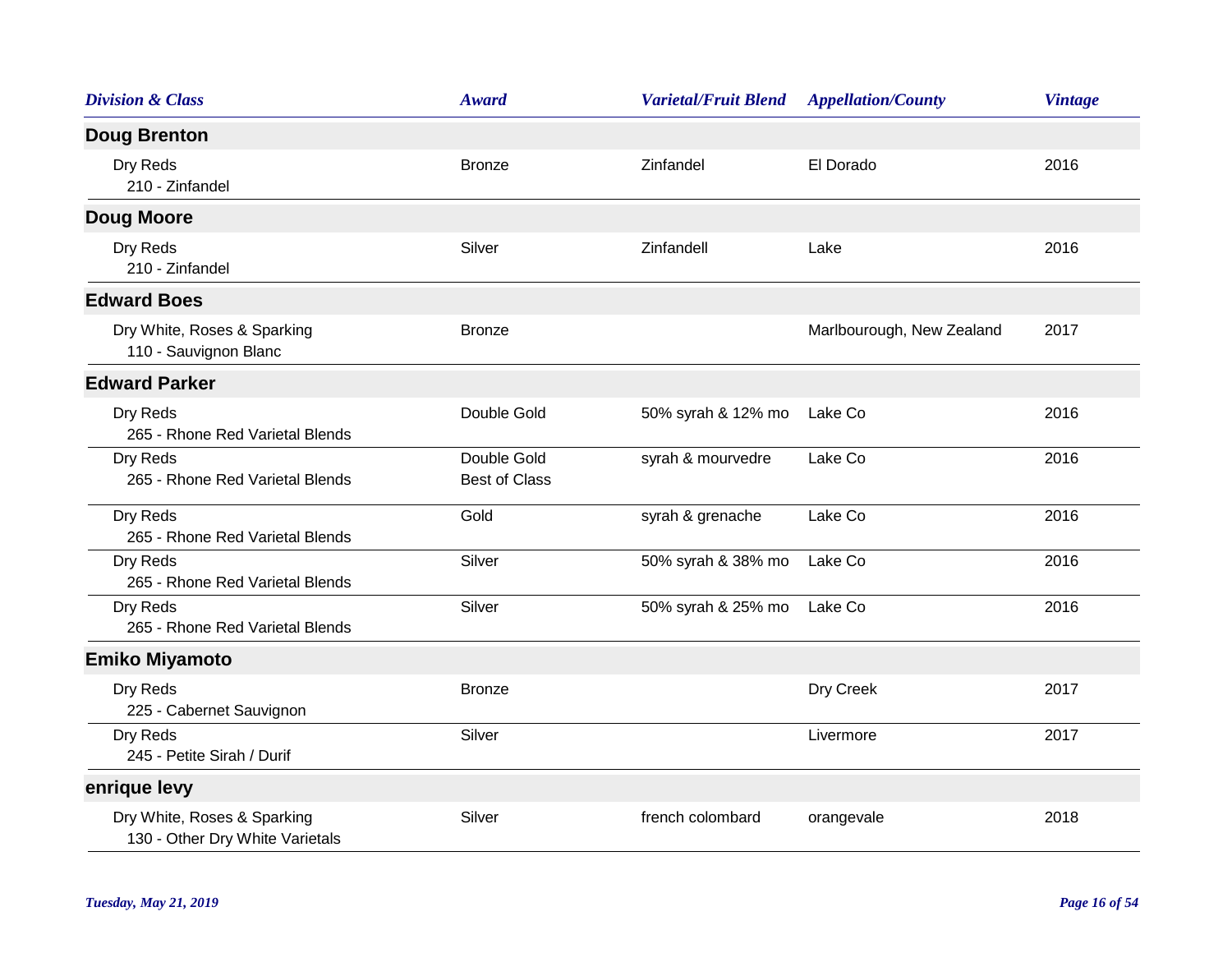| <b>Division &amp; Class</b>                                    | <b>Award</b>                        | <b>Varietal/Fruit Blend</b> | <b>Appellation/County</b> | <b>Vintage</b> |
|----------------------------------------------------------------|-------------------------------------|-----------------------------|---------------------------|----------------|
| <b>Doug Brenton</b>                                            |                                     |                             |                           |                |
| Dry Reds<br>210 - Zinfandel                                    | <b>Bronze</b>                       | Zinfandel                   | El Dorado                 | 2016           |
| <b>Doug Moore</b>                                              |                                     |                             |                           |                |
| Dry Reds<br>210 - Zinfandel                                    | Silver                              | Zinfandell                  | Lake                      | 2016           |
| <b>Edward Boes</b>                                             |                                     |                             |                           |                |
| Dry White, Roses & Sparking<br>110 - Sauvignon Blanc           | <b>Bronze</b>                       |                             | Marlbourough, New Zealand | 2017           |
| <b>Edward Parker</b>                                           |                                     |                             |                           |                |
| Dry Reds<br>265 - Rhone Red Varietal Blends                    | Double Gold                         | 50% syrah & 12% mo          | Lake Co                   | 2016           |
| Dry Reds<br>265 - Rhone Red Varietal Blends                    | Double Gold<br><b>Best of Class</b> | syrah & mourvedre           | Lake Co                   | 2016           |
| Dry Reds<br>265 - Rhone Red Varietal Blends                    | Gold                                | syrah & grenache            | Lake Co                   | 2016           |
| Dry Reds<br>265 - Rhone Red Varietal Blends                    | Silver                              | 50% syrah & 38% mo          | Lake Co                   | 2016           |
| Dry Reds<br>265 - Rhone Red Varietal Blends                    | Silver                              | 50% syrah & 25% mo          | Lake Co                   | 2016           |
| <b>Emiko Miyamoto</b>                                          |                                     |                             |                           |                |
| Dry Reds<br>225 - Cabernet Sauvignon                           | <b>Bronze</b>                       |                             | Dry Creek                 | 2017           |
| Dry Reds<br>245 - Petite Sirah / Durif                         | Silver                              |                             | Livermore                 | 2017           |
| enrique levy                                                   |                                     |                             |                           |                |
| Dry White, Roses & Sparking<br>130 - Other Dry White Varietals | Silver                              | french colombard            | orangevale                | 2018           |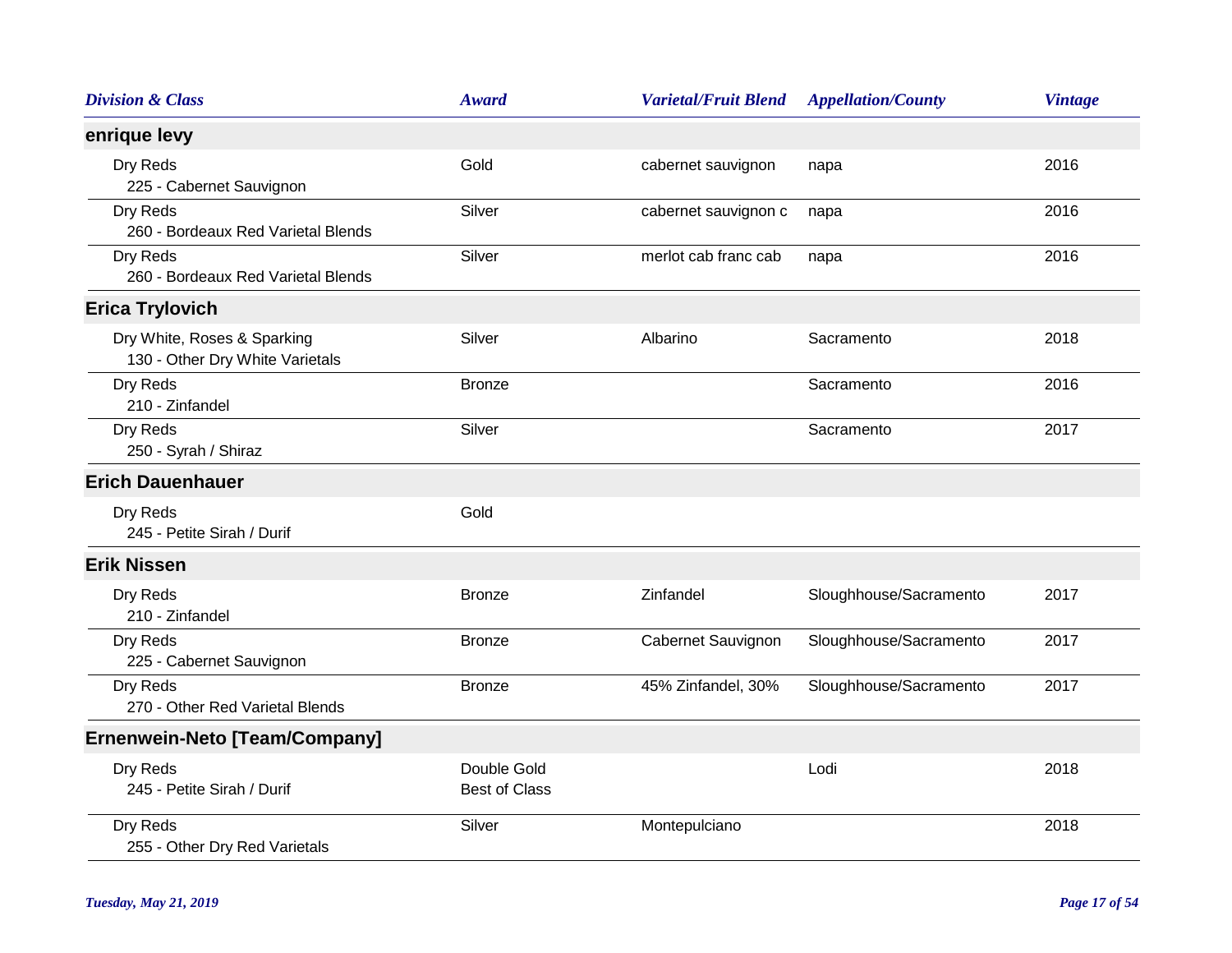| <b>Division &amp; Class</b>                                    | <b>Award</b>                        | <b>Varietal/Fruit Blend</b> | <b>Appellation/County</b> | <b>Vintage</b> |
|----------------------------------------------------------------|-------------------------------------|-----------------------------|---------------------------|----------------|
| enrique levy                                                   |                                     |                             |                           |                |
| Dry Reds<br>225 - Cabernet Sauvignon                           | Gold                                | cabernet sauvignon          | napa                      | 2016           |
| Dry Reds<br>260 - Bordeaux Red Varietal Blends                 | Silver                              | cabernet sauvignon c        | napa                      | 2016           |
| Dry Reds<br>260 - Bordeaux Red Varietal Blends                 | Silver                              | merlot cab franc cab        | napa                      | 2016           |
| <b>Erica Trylovich</b>                                         |                                     |                             |                           |                |
| Dry White, Roses & Sparking<br>130 - Other Dry White Varietals | Silver                              | Albarino                    | Sacramento                | 2018           |
| Dry Reds<br>210 - Zinfandel                                    | <b>Bronze</b>                       |                             | Sacramento                | 2016           |
| Dry Reds<br>250 - Syrah / Shiraz                               | Silver                              |                             | Sacramento                | 2017           |
| <b>Erich Dauenhauer</b>                                        |                                     |                             |                           |                |
| Dry Reds<br>245 - Petite Sirah / Durif                         | Gold                                |                             |                           |                |
| <b>Erik Nissen</b>                                             |                                     |                             |                           |                |
| Dry Reds<br>210 - Zinfandel                                    | <b>Bronze</b>                       | Zinfandel                   | Sloughhouse/Sacramento    | 2017           |
| Dry Reds<br>225 - Cabernet Sauvignon                           | <b>Bronze</b>                       | Cabernet Sauvignon          | Sloughhouse/Sacramento    | 2017           |
| Dry Reds<br>270 - Other Red Varietal Blends                    | Bronze                              | 45% Zinfandel, 30%          | Sloughhouse/Sacramento    | 2017           |
| <b>Ernenwein-Neto [Team/Company]</b>                           |                                     |                             |                           |                |
| Dry Reds<br>245 - Petite Sirah / Durif                         | Double Gold<br><b>Best of Class</b> |                             | Lodi                      | 2018           |
| Dry Reds<br>255 - Other Dry Red Varietals                      | Silver                              | Montepulciano               |                           | 2018           |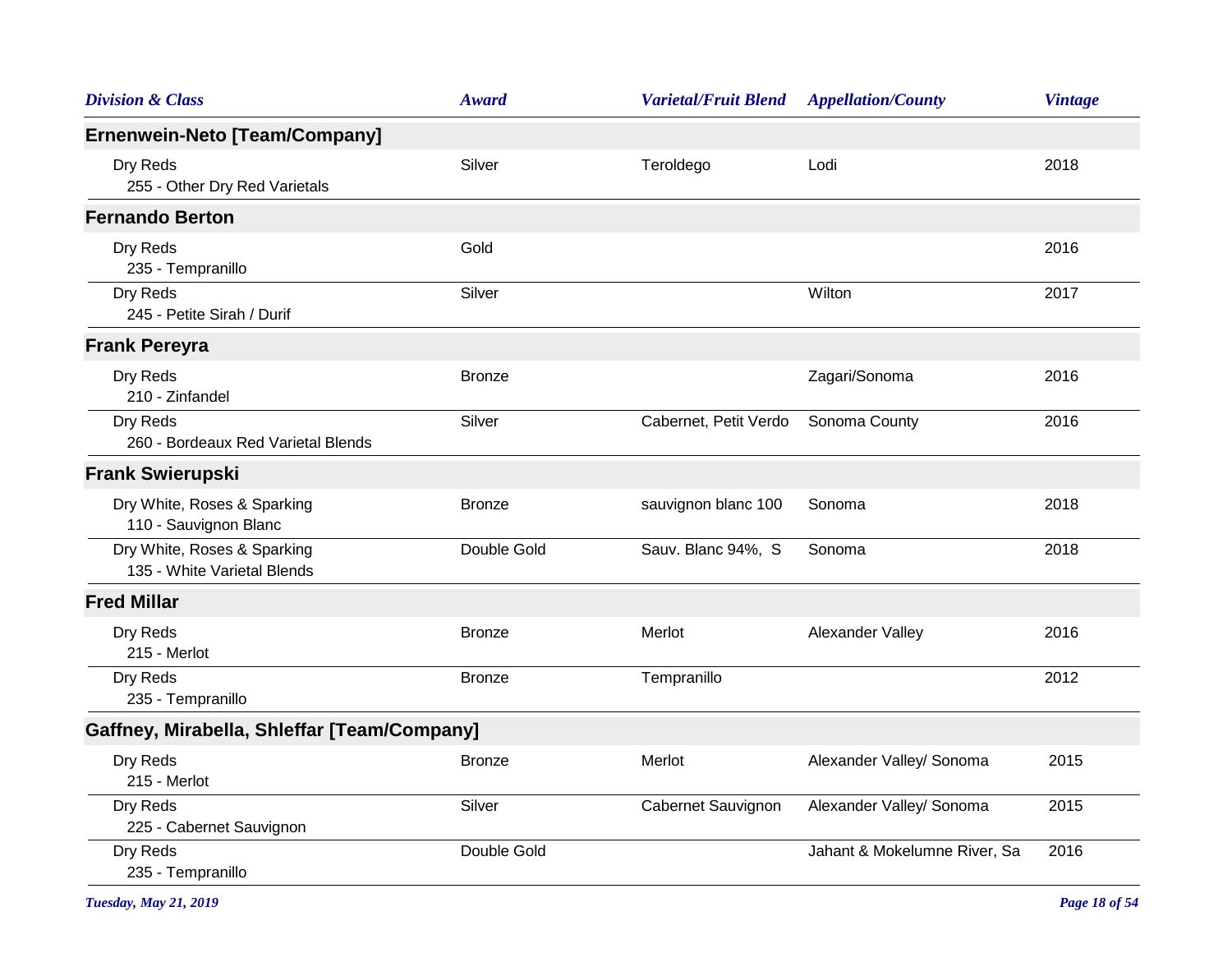| <b>Division &amp; Class</b>                                | <b>Award</b>  | <b>Varietal/Fruit Blend</b> | <b>Appellation/County</b>    | <b>Vintage</b> |
|------------------------------------------------------------|---------------|-----------------------------|------------------------------|----------------|
| Ernenwein-Neto [Team/Company]                              |               |                             |                              |                |
| Dry Reds<br>255 - Other Dry Red Varietals                  | Silver        | Teroldego                   | Lodi                         | 2018           |
| <b>Fernando Berton</b>                                     |               |                             |                              |                |
| Dry Reds<br>235 - Tempranillo                              | Gold          |                             |                              | 2016           |
| Dry Reds<br>245 - Petite Sirah / Durif                     | Silver        |                             | Wilton                       | 2017           |
| <b>Frank Pereyra</b>                                       |               |                             |                              |                |
| Dry Reds<br>210 - Zinfandel                                | <b>Bronze</b> |                             | Zagari/Sonoma                | 2016           |
| Dry Reds<br>260 - Bordeaux Red Varietal Blends             | Silver        | Cabernet, Petit Verdo       | Sonoma County                | 2016           |
| <b>Frank Swierupski</b>                                    |               |                             |                              |                |
| Dry White, Roses & Sparking<br>110 - Sauvignon Blanc       | <b>Bronze</b> | sauvignon blanc 100         | Sonoma                       | 2018           |
| Dry White, Roses & Sparking<br>135 - White Varietal Blends | Double Gold   | Sauv. Blanc 94%, S          | Sonoma                       | 2018           |
| <b>Fred Millar</b>                                         |               |                             |                              |                |
| Dry Reds<br>215 - Merlot                                   | <b>Bronze</b> | Merlot                      | Alexander Valley             | 2016           |
| Dry Reds<br>235 - Tempranillo                              | <b>Bronze</b> | Tempranillo                 |                              | 2012           |
| Gaffney, Mirabella, Shleffar [Team/Company]                |               |                             |                              |                |
| Dry Reds<br>215 - Merlot                                   | <b>Bronze</b> | Merlot                      | Alexander Valley/ Sonoma     | 2015           |
| Dry Reds<br>225 - Cabernet Sauvignon                       | Silver        | Cabernet Sauvignon          | Alexander Valley/ Sonoma     | 2015           |
| Dry Reds<br>235 - Tempranillo                              | Double Gold   |                             | Jahant & Mokelumne River, Sa | 2016           |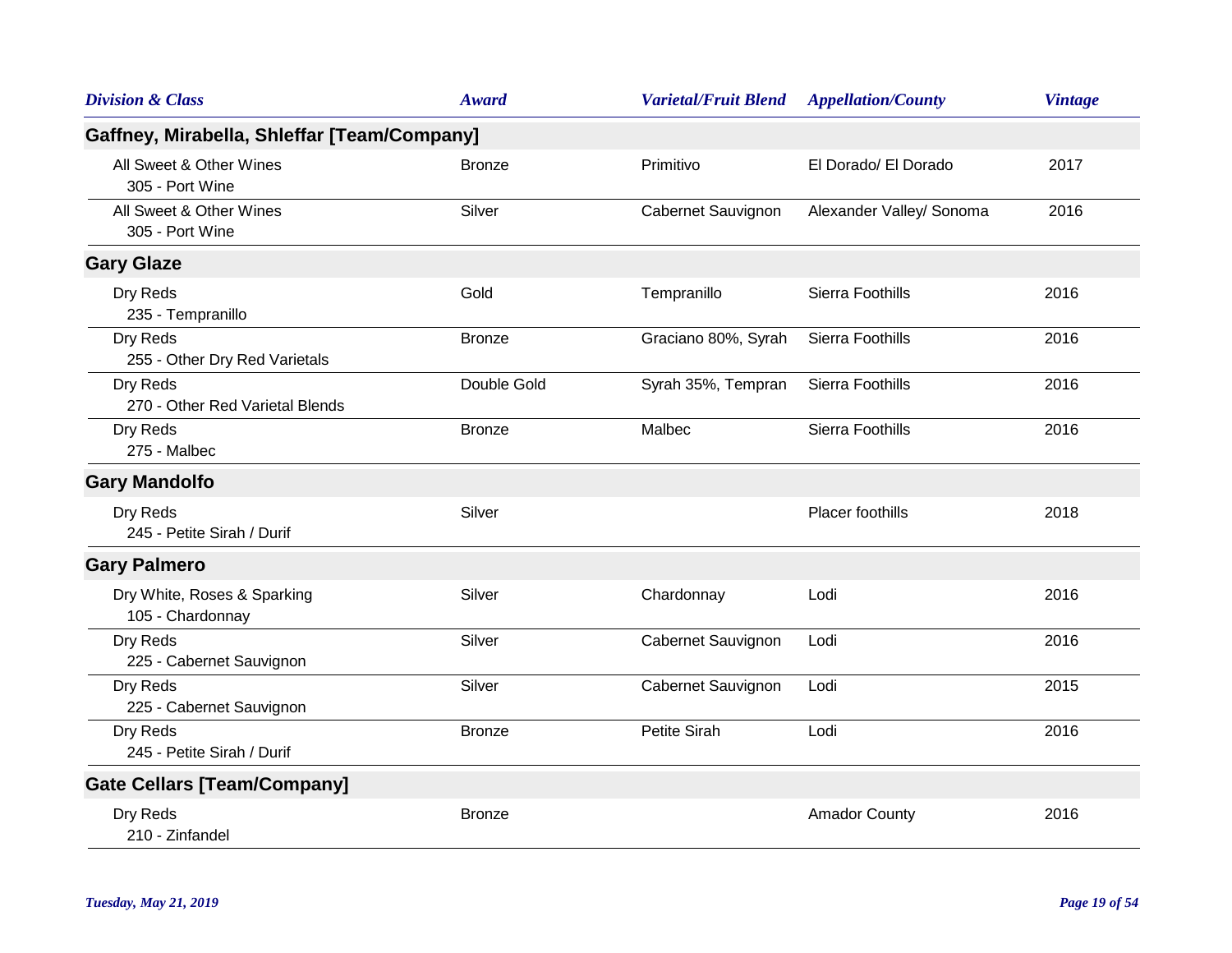| <b>Division &amp; Class</b>                     | <b>Award</b>  | <b>Varietal/Fruit Blend</b> | <b>Appellation/County</b> | <b>Vintage</b> |
|-------------------------------------------------|---------------|-----------------------------|---------------------------|----------------|
| Gaffney, Mirabella, Shleffar [Team/Company]     |               |                             |                           |                |
| All Sweet & Other Wines<br>305 - Port Wine      | <b>Bronze</b> | Primitivo                   | El Dorado/ El Dorado      | 2017           |
| All Sweet & Other Wines<br>305 - Port Wine      | Silver        | Cabernet Sauvignon          | Alexander Valley/ Sonoma  | 2016           |
| <b>Gary Glaze</b>                               |               |                             |                           |                |
| Dry Reds<br>235 - Tempranillo                   | Gold          | Tempranillo                 | Sierra Foothills          | 2016           |
| Dry Reds<br>255 - Other Dry Red Varietals       | <b>Bronze</b> | Graciano 80%, Syrah         | Sierra Foothills          | 2016           |
| Dry Reds<br>270 - Other Red Varietal Blends     | Double Gold   | Syrah 35%, Tempran          | Sierra Foothills          | 2016           |
| Dry Reds<br>275 - Malbec                        | <b>Bronze</b> | Malbec                      | Sierra Foothills          | 2016           |
| <b>Gary Mandolfo</b>                            |               |                             |                           |                |
| Dry Reds<br>245 - Petite Sirah / Durif          | Silver        |                             | Placer foothills          | 2018           |
| <b>Gary Palmero</b>                             |               |                             |                           |                |
| Dry White, Roses & Sparking<br>105 - Chardonnay | Silver        | Chardonnay                  | Lodi                      | 2016           |
| Dry Reds<br>225 - Cabernet Sauvignon            | Silver        | Cabernet Sauvignon          | Lodi                      | 2016           |
| Dry Reds<br>225 - Cabernet Sauvignon            | Silver        | Cabernet Sauvignon          | Lodi                      | 2015           |
| Dry Reds<br>245 - Petite Sirah / Durif          | <b>Bronze</b> | Petite Sirah                | Lodi                      | 2016           |
| <b>Gate Cellars [Team/Company]</b>              |               |                             |                           |                |
| Dry Reds<br>210 - Zinfandel                     | <b>Bronze</b> |                             | <b>Amador County</b>      | 2016           |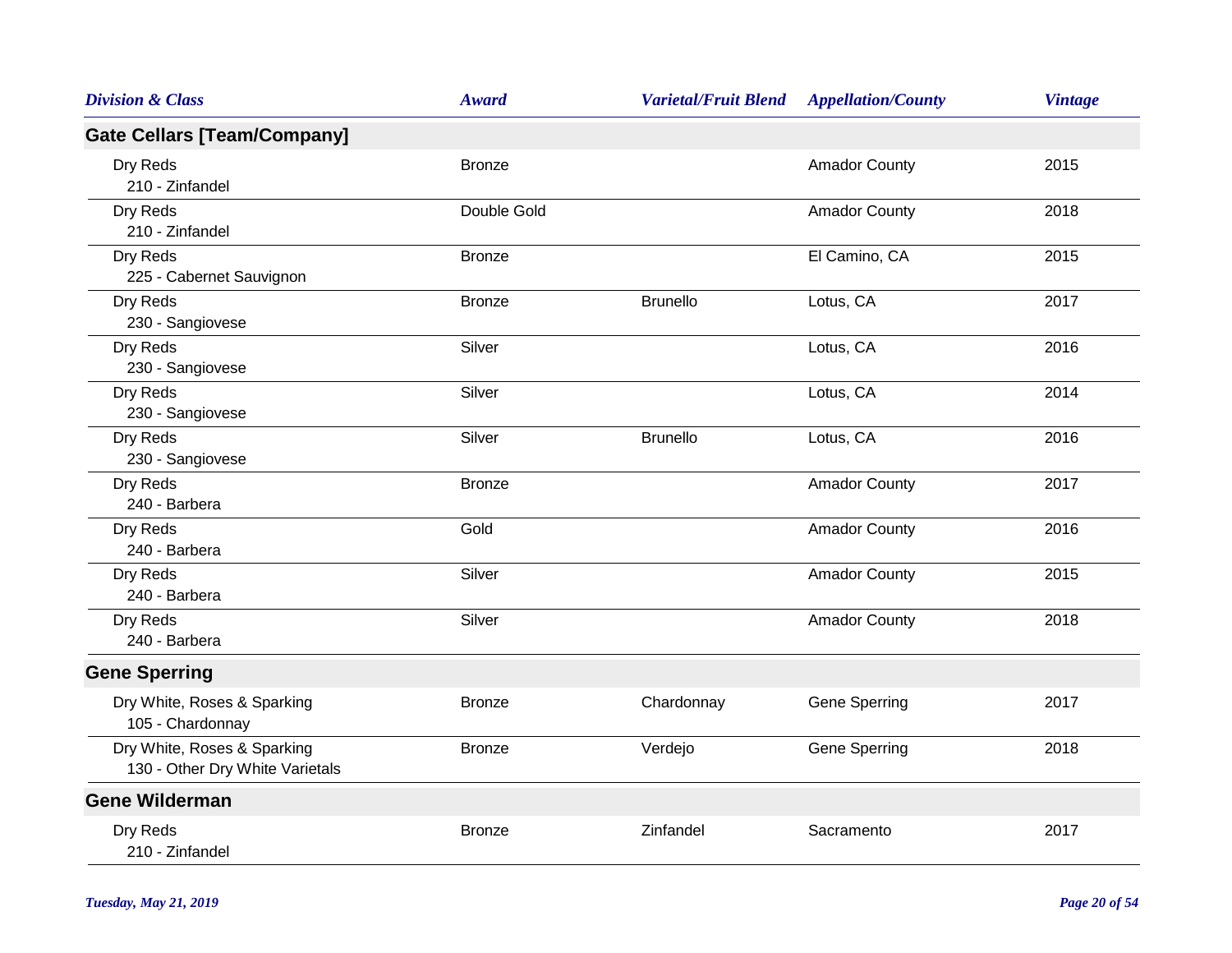| <b>Division &amp; Class</b>                                    | <b>Award</b>  | <b>Varietal/Fruit Blend</b> | <b>Appellation/County</b> | <b>Vintage</b> |
|----------------------------------------------------------------|---------------|-----------------------------|---------------------------|----------------|
| <b>Gate Cellars [Team/Company]</b>                             |               |                             |                           |                |
| Dry Reds<br>210 - Zinfandel                                    | <b>Bronze</b> |                             | <b>Amador County</b>      | 2015           |
| Dry Reds<br>210 - Zinfandel                                    | Double Gold   |                             | <b>Amador County</b>      | 2018           |
| Dry Reds<br>225 - Cabernet Sauvignon                           | <b>Bronze</b> |                             | El Camino, CA             | 2015           |
| Dry Reds<br>230 - Sangiovese                                   | <b>Bronze</b> | <b>Brunello</b>             | Lotus, CA                 | 2017           |
| Dry Reds<br>230 - Sangiovese                                   | Silver        |                             | Lotus, CA                 | 2016           |
| Dry Reds<br>230 - Sangiovese                                   | Silver        |                             | Lotus, CA                 | 2014           |
| Dry Reds<br>230 - Sangiovese                                   | Silver        | <b>Brunello</b>             | Lotus, CA                 | 2016           |
| Dry Reds<br>240 - Barbera                                      | <b>Bronze</b> |                             | <b>Amador County</b>      | 2017           |
| Dry Reds<br>240 - Barbera                                      | Gold          |                             | <b>Amador County</b>      | 2016           |
| Dry Reds<br>240 - Barbera                                      | Silver        |                             | <b>Amador County</b>      | 2015           |
| Dry Reds<br>240 - Barbera                                      | Silver        |                             | <b>Amador County</b>      | 2018           |
| <b>Gene Sperring</b>                                           |               |                             |                           |                |
| Dry White, Roses & Sparking<br>105 - Chardonnay                | <b>Bronze</b> | Chardonnay                  | Gene Sperring             | 2017           |
| Dry White, Roses & Sparking<br>130 - Other Dry White Varietals | <b>Bronze</b> | Verdejo                     | Gene Sperring             | 2018           |
| <b>Gene Wilderman</b>                                          |               |                             |                           |                |
| Dry Reds<br>210 - Zinfandel                                    | <b>Bronze</b> | Zinfandel                   | Sacramento                | 2017           |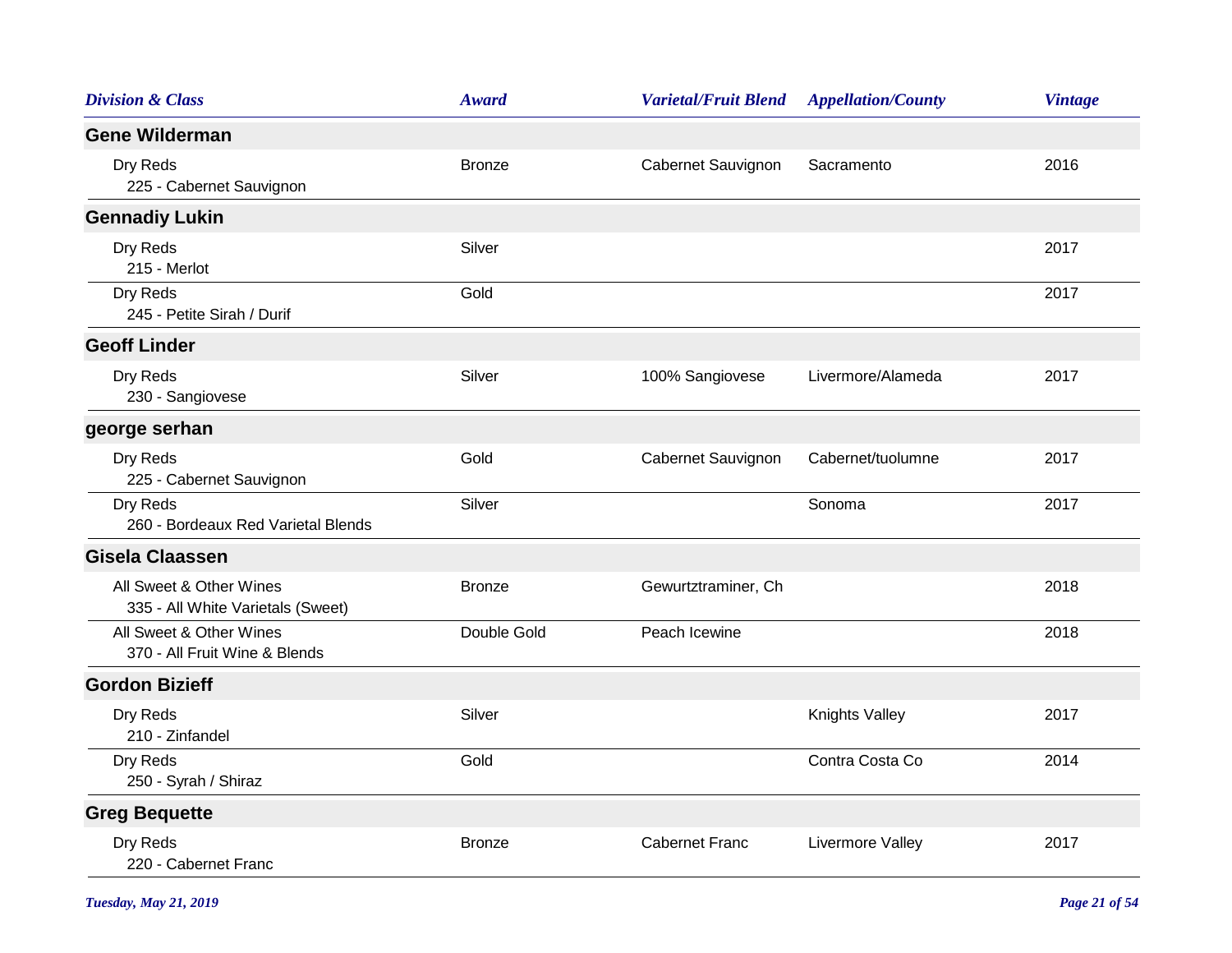| <b>Division &amp; Class</b>                                  | <b>Award</b>  | <b>Varietal/Fruit Blend</b> | <b>Appellation/County</b> | <b>Vintage</b> |
|--------------------------------------------------------------|---------------|-----------------------------|---------------------------|----------------|
| <b>Gene Wilderman</b>                                        |               |                             |                           |                |
| Dry Reds<br>225 - Cabernet Sauvignon                         | <b>Bronze</b> | Cabernet Sauvignon          | Sacramento                | 2016           |
| <b>Gennadiy Lukin</b>                                        |               |                             |                           |                |
| Dry Reds<br>215 - Merlot                                     | Silver        |                             |                           | 2017           |
| Dry Reds<br>245 - Petite Sirah / Durif                       | Gold          |                             |                           | 2017           |
| <b>Geoff Linder</b>                                          |               |                             |                           |                |
| Dry Reds<br>230 - Sangiovese                                 | Silver        | 100% Sangiovese             | Livermore/Alameda         | 2017           |
| george serhan                                                |               |                             |                           |                |
| Dry Reds<br>225 - Cabernet Sauvignon                         | Gold          | Cabernet Sauvignon          | Cabernet/tuolumne         | 2017           |
| Dry Reds<br>260 - Bordeaux Red Varietal Blends               | Silver        |                             | Sonoma                    | 2017           |
| Gisela Claassen                                              |               |                             |                           |                |
| All Sweet & Other Wines<br>335 - All White Varietals (Sweet) | <b>Bronze</b> | Gewurtztraminer, Ch         |                           | 2018           |
| All Sweet & Other Wines<br>370 - All Fruit Wine & Blends     | Double Gold   | Peach Icewine               |                           | 2018           |
| <b>Gordon Bizieff</b>                                        |               |                             |                           |                |
| Dry Reds<br>210 - Zinfandel                                  | Silver        |                             | <b>Knights Valley</b>     | 2017           |
| Dry Reds<br>250 - Syrah / Shiraz                             | Gold          |                             | Contra Costa Co           | 2014           |
| <b>Greg Bequette</b>                                         |               |                             |                           |                |
| Dry Reds<br>220 - Cabernet Franc                             | <b>Bronze</b> | <b>Cabernet Franc</b>       | Livermore Valley          | 2017           |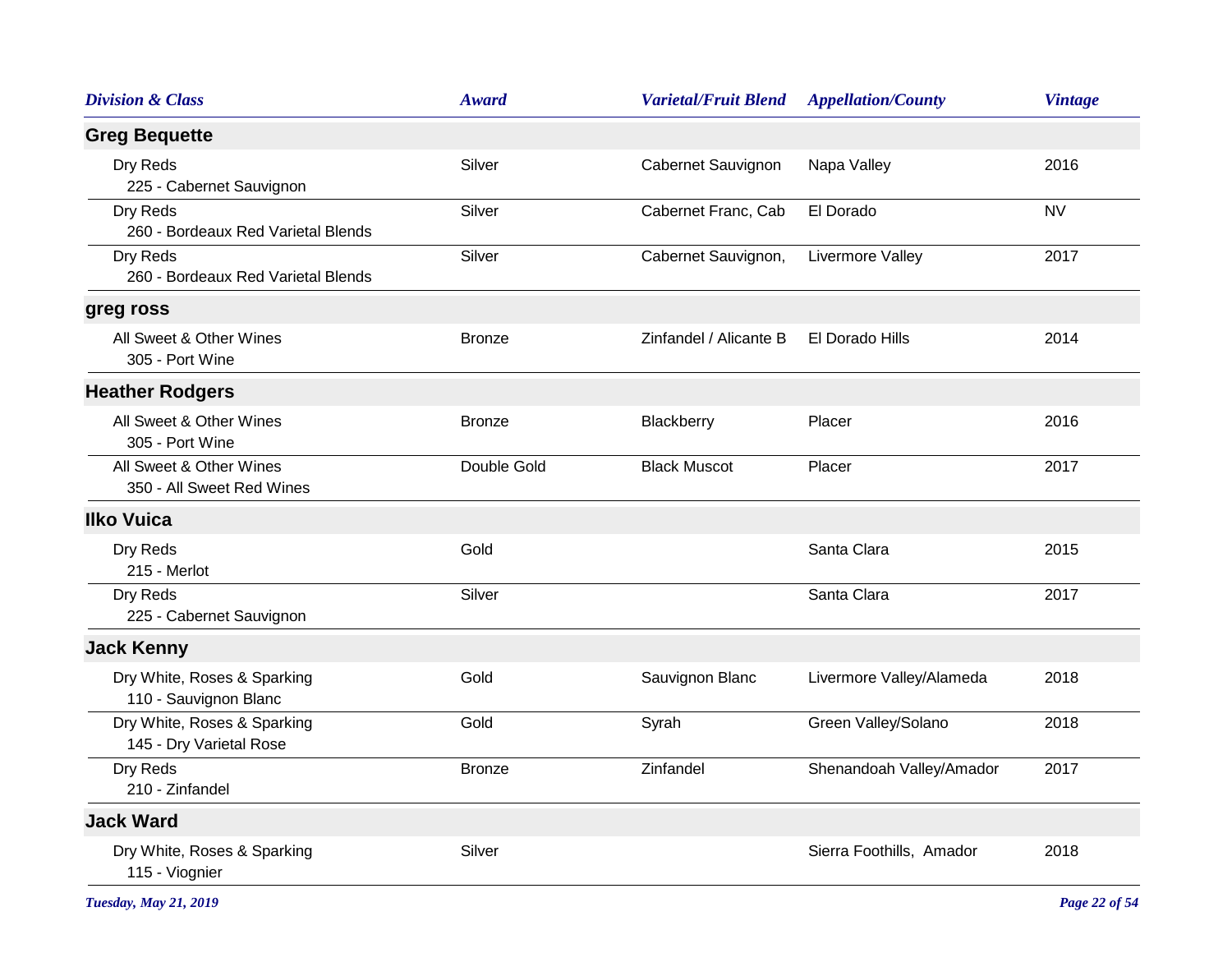| <b>Division &amp; Class</b>                            | <b>Award</b>  | <b>Varietal/Fruit Blend</b> | <b>Appellation/County</b> | <b>Vintage</b> |
|--------------------------------------------------------|---------------|-----------------------------|---------------------------|----------------|
| <b>Greg Bequette</b>                                   |               |                             |                           |                |
| Dry Reds<br>225 - Cabernet Sauvignon                   | Silver        | Cabernet Sauvignon          | Napa Valley               | 2016           |
| Dry Reds<br>260 - Bordeaux Red Varietal Blends         | Silver        | Cabernet Franc, Cab         | El Dorado                 | <b>NV</b>      |
| Dry Reds<br>260 - Bordeaux Red Varietal Blends         | Silver        | Cabernet Sauvignon,         | Livermore Valley          | 2017           |
| greg ross                                              |               |                             |                           |                |
| All Sweet & Other Wines<br>305 - Port Wine             | <b>Bronze</b> | Zinfandel / Alicante B      | El Dorado Hills           | 2014           |
| <b>Heather Rodgers</b>                                 |               |                             |                           |                |
| All Sweet & Other Wines<br>305 - Port Wine             | <b>Bronze</b> | Blackberry                  | Placer                    | 2016           |
| All Sweet & Other Wines<br>350 - All Sweet Red Wines   | Double Gold   | <b>Black Muscot</b>         | Placer                    | 2017           |
| <b>Ilko Vuica</b>                                      |               |                             |                           |                |
| Dry Reds<br>215 - Merlot                               | Gold          |                             | Santa Clara               | 2015           |
| Dry Reds<br>225 - Cabernet Sauvignon                   | Silver        |                             | Santa Clara               | 2017           |
| <b>Jack Kenny</b>                                      |               |                             |                           |                |
| Dry White, Roses & Sparking<br>110 - Sauvignon Blanc   | Gold          | Sauvignon Blanc             | Livermore Valley/Alameda  | 2018           |
| Dry White, Roses & Sparking<br>145 - Dry Varietal Rose | Gold          | Syrah                       | Green Valley/Solano       | 2018           |
| Dry Reds<br>210 - Zinfandel                            | <b>Bronze</b> | Zinfandel                   | Shenandoah Valley/Amador  | 2017           |
| <b>Jack Ward</b>                                       |               |                             |                           |                |
| Dry White, Roses & Sparking<br>115 - Viognier          | Silver        |                             | Sierra Foothills, Amador  | 2018           |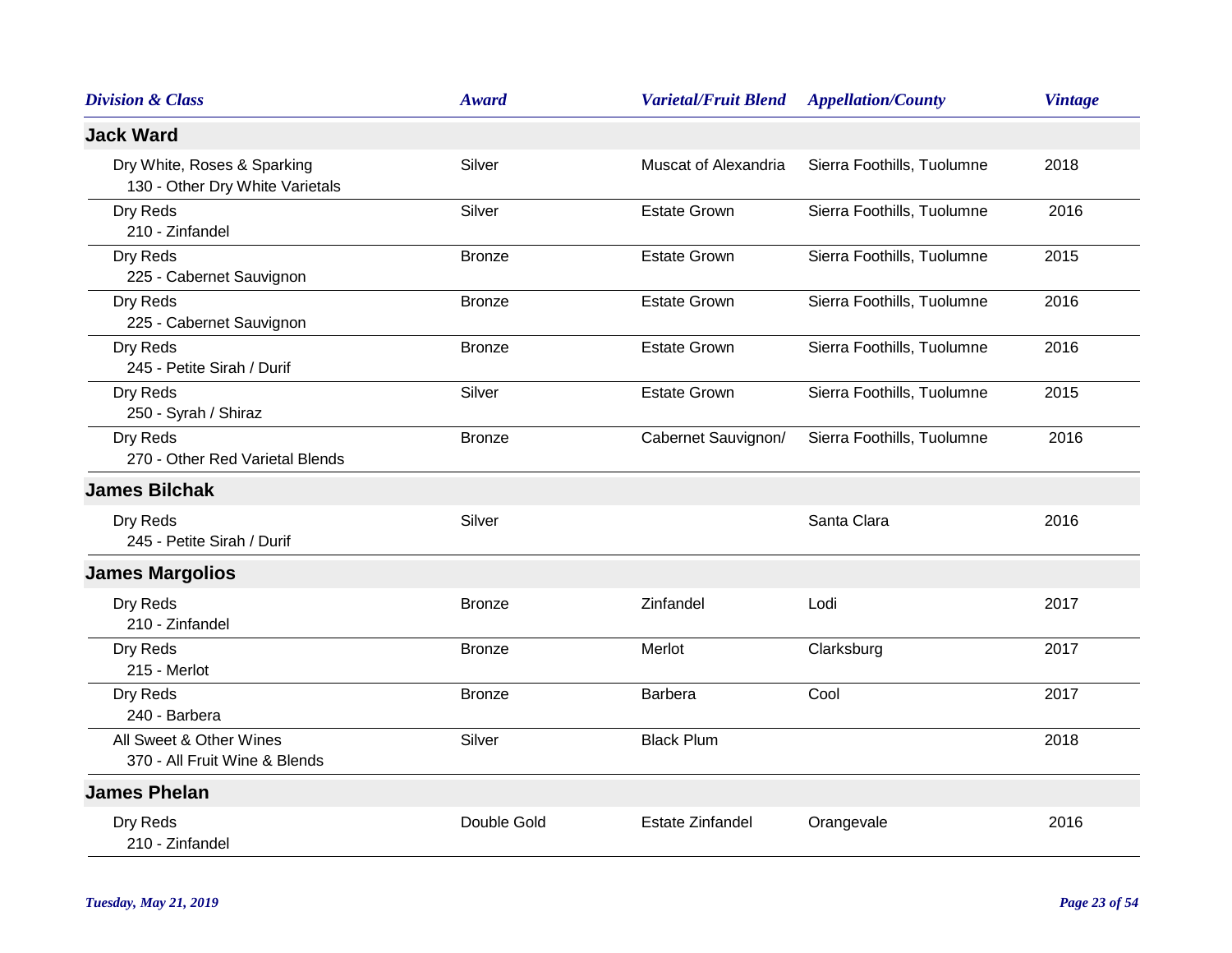| <b>Division &amp; Class</b>                                    | <b>Award</b>  | <b>Varietal/Fruit Blend</b> | <b>Appellation/County</b>  | <b>Vintage</b> |
|----------------------------------------------------------------|---------------|-----------------------------|----------------------------|----------------|
| <b>Jack Ward</b>                                               |               |                             |                            |                |
| Dry White, Roses & Sparking<br>130 - Other Dry White Varietals | Silver        | Muscat of Alexandria        | Sierra Foothills, Tuolumne | 2018           |
| Dry Reds<br>210 - Zinfandel                                    | Silver        | <b>Estate Grown</b>         | Sierra Foothills, Tuolumne | 2016           |
| Dry Reds<br>225 - Cabernet Sauvignon                           | <b>Bronze</b> | <b>Estate Grown</b>         | Sierra Foothills, Tuolumne | 2015           |
| Dry Reds<br>225 - Cabernet Sauvignon                           | <b>Bronze</b> | <b>Estate Grown</b>         | Sierra Foothills, Tuolumne | 2016           |
| Dry Reds<br>245 - Petite Sirah / Durif                         | <b>Bronze</b> | <b>Estate Grown</b>         | Sierra Foothills, Tuolumne | 2016           |
| Dry Reds<br>250 - Syrah / Shiraz                               | Silver        | <b>Estate Grown</b>         | Sierra Foothills, Tuolumne | 2015           |
| Dry Reds<br>270 - Other Red Varietal Blends                    | <b>Bronze</b> | Cabernet Sauvignon/         | Sierra Foothills, Tuolumne | 2016           |
| <b>James Bilchak</b>                                           |               |                             |                            |                |
| Dry Reds<br>245 - Petite Sirah / Durif                         | Silver        |                             | Santa Clara                | 2016           |
| <b>James Margolios</b>                                         |               |                             |                            |                |
| Dry Reds<br>210 - Zinfandel                                    | <b>Bronze</b> | Zinfandel                   | Lodi                       | 2017           |
| Dry Reds<br>215 - Merlot                                       | <b>Bronze</b> | Merlot                      | Clarksburg                 | 2017           |
| Dry Reds<br>240 - Barbera                                      | <b>Bronze</b> | Barbera                     | Cool                       | 2017           |
| All Sweet & Other Wines<br>370 - All Fruit Wine & Blends       | Silver        | <b>Black Plum</b>           |                            | 2018           |
| <b>James Phelan</b>                                            |               |                             |                            |                |
| Dry Reds<br>210 - Zinfandel                                    | Double Gold   | <b>Estate Zinfandel</b>     | Orangevale                 | 2016           |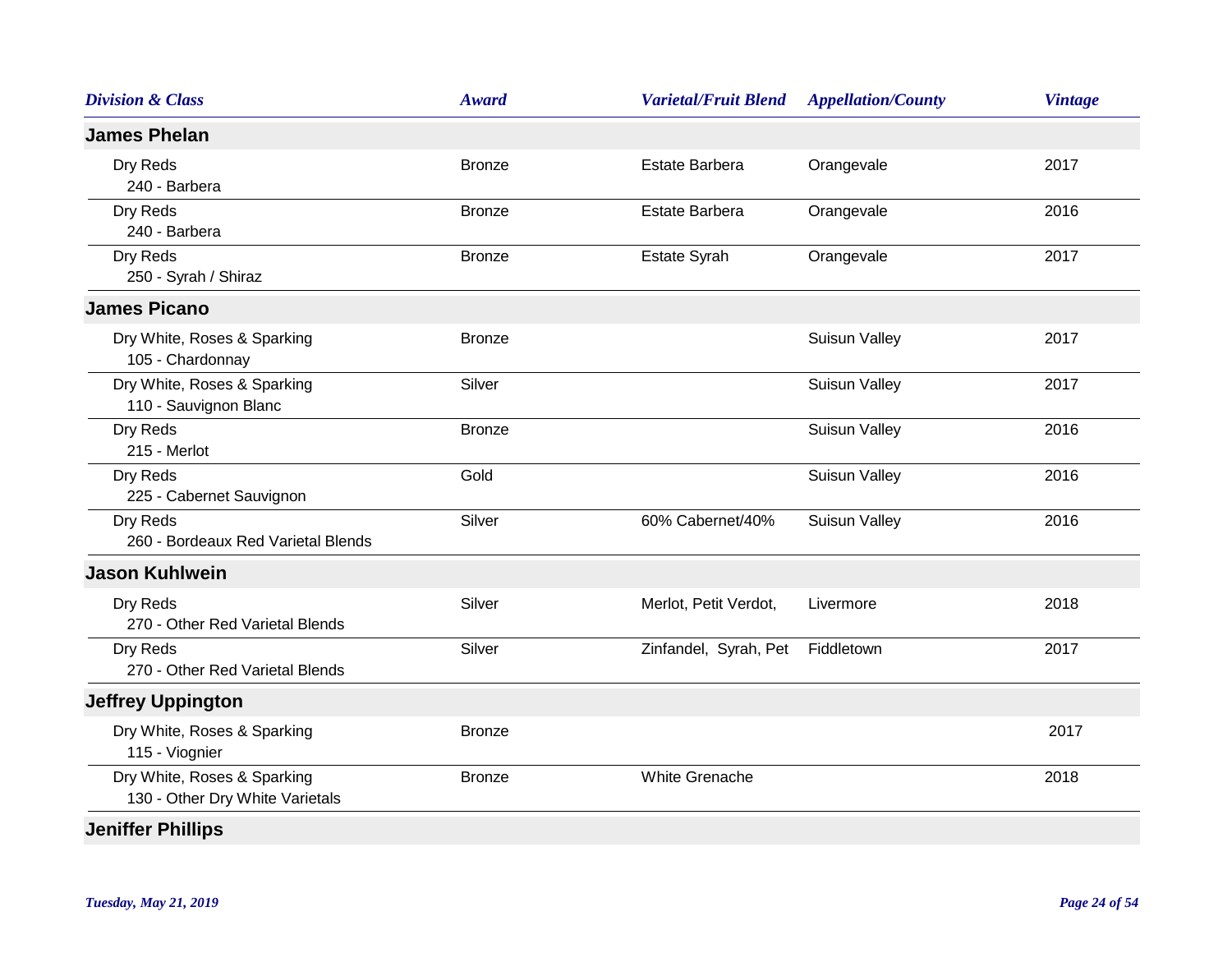| <b>Division &amp; Class</b>                                    | <b>Award</b>  | <b>Varietal/Fruit Blend</b> | <b>Appellation/County</b> | <b>Vintage</b> |
|----------------------------------------------------------------|---------------|-----------------------------|---------------------------|----------------|
| <b>James Phelan</b>                                            |               |                             |                           |                |
| Dry Reds<br>240 - Barbera                                      | <b>Bronze</b> | <b>Estate Barbera</b>       | Orangevale                | 2017           |
| Dry Reds<br>240 - Barbera                                      | <b>Bronze</b> | Estate Barbera              | Orangevale                | 2016           |
| Dry Reds<br>250 - Syrah / Shiraz                               | <b>Bronze</b> | Estate Syrah                | Orangevale                | 2017           |
| <b>James Picano</b>                                            |               |                             |                           |                |
| Dry White, Roses & Sparking<br>105 - Chardonnay                | <b>Bronze</b> |                             | <b>Suisun Valley</b>      | 2017           |
| Dry White, Roses & Sparking<br>110 - Sauvignon Blanc           | Silver        |                             | <b>Suisun Valley</b>      | 2017           |
| Dry Reds<br>215 - Merlot                                       | <b>Bronze</b> |                             | <b>Suisun Valley</b>      | 2016           |
| Dry Reds<br>225 - Cabernet Sauvignon                           | Gold          |                             | <b>Suisun Valley</b>      | 2016           |
| Dry Reds<br>260 - Bordeaux Red Varietal Blends                 | Silver        | 60% Cabernet/40%            | <b>Suisun Valley</b>      | 2016           |
| <b>Jason Kuhlwein</b>                                          |               |                             |                           |                |
| Dry Reds<br>270 - Other Red Varietal Blends                    | Silver        | Merlot, Petit Verdot,       | Livermore                 | 2018           |
| Dry Reds<br>270 - Other Red Varietal Blends                    | Silver        | Zinfandel, Syrah, Pet       | Fiddletown                | 2017           |
| <b>Jeffrey Uppington</b>                                       |               |                             |                           |                |
| Dry White, Roses & Sparking<br>115 - Viognier                  | <b>Bronze</b> |                             |                           | 2017           |
| Dry White, Roses & Sparking<br>130 - Other Dry White Varietals | <b>Bronze</b> | <b>White Grenache</b>       |                           | 2018           |
| <b>Jeniffer Phillips</b>                                       |               |                             |                           |                |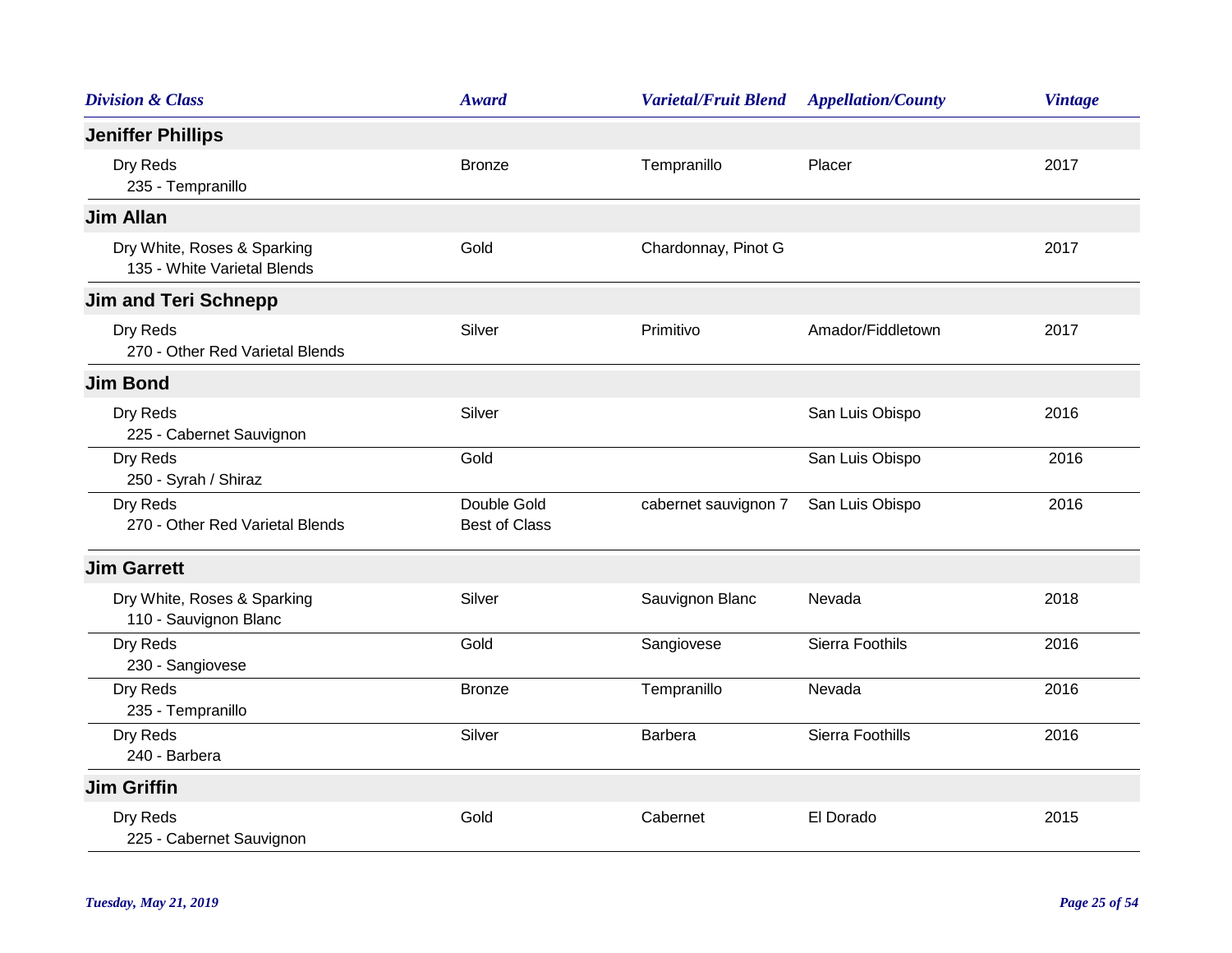| <b>Division &amp; Class</b>                                | Award                               | <b>Varietal/Fruit Blend</b> | <b>Appellation/County</b> | <b>Vintage</b> |
|------------------------------------------------------------|-------------------------------------|-----------------------------|---------------------------|----------------|
| <b>Jeniffer Phillips</b>                                   |                                     |                             |                           |                |
| Dry Reds<br>235 - Tempranillo                              | <b>Bronze</b>                       | Tempranillo                 | Placer                    | 2017           |
| <b>Jim Allan</b>                                           |                                     |                             |                           |                |
| Dry White, Roses & Sparking<br>135 - White Varietal Blends | Gold                                | Chardonnay, Pinot G         |                           | 2017           |
| <b>Jim and Teri Schnepp</b>                                |                                     |                             |                           |                |
| Dry Reds<br>270 - Other Red Varietal Blends                | Silver                              | Primitivo                   | Amador/Fiddletown         | 2017           |
| <b>Jim Bond</b>                                            |                                     |                             |                           |                |
| Dry Reds<br>225 - Cabernet Sauvignon                       | Silver                              |                             | San Luis Obispo           | 2016           |
| Dry Reds<br>250 - Syrah / Shiraz                           | Gold                                |                             | San Luis Obispo           | 2016           |
| Dry Reds<br>270 - Other Red Varietal Blends                | Double Gold<br><b>Best of Class</b> | cabernet sauvignon 7        | San Luis Obispo           | 2016           |
| <b>Jim Garrett</b>                                         |                                     |                             |                           |                |
| Dry White, Roses & Sparking<br>110 - Sauvignon Blanc       | Silver                              | Sauvignon Blanc             | Nevada                    | 2018           |
| Dry Reds<br>230 - Sangiovese                               | Gold                                | Sangiovese                  | Sierra Foothils           | 2016           |
| Dry Reds<br>235 - Tempranillo                              | <b>Bronze</b>                       | Tempranillo                 | Nevada                    | 2016           |
| Dry Reds<br>240 - Barbera                                  | Silver                              | Barbera                     | Sierra Foothills          | 2016           |
| <b>Jim Griffin</b>                                         |                                     |                             |                           |                |
| Dry Reds<br>225 - Cabernet Sauvignon                       | Gold                                | Cabernet                    | El Dorado                 | 2015           |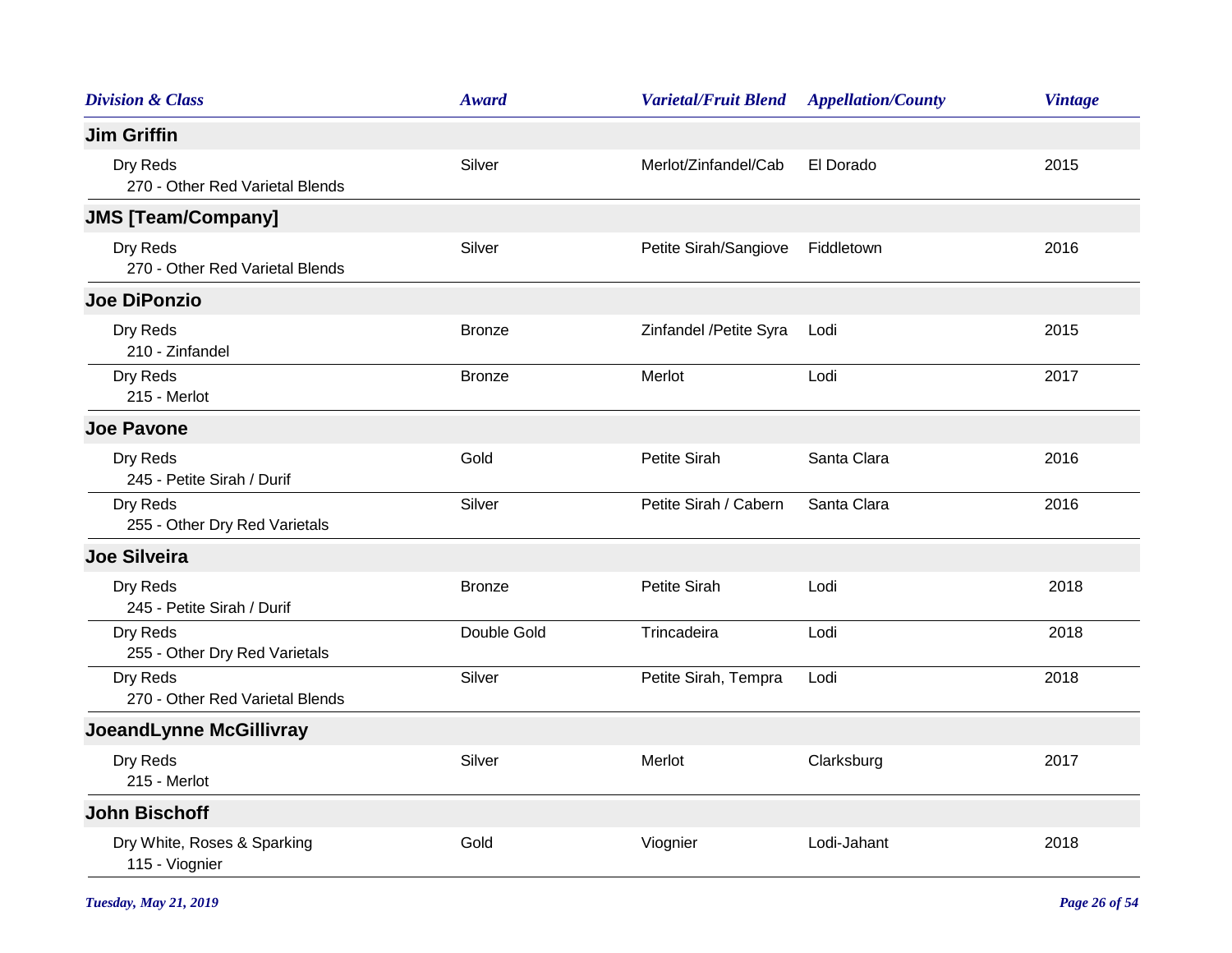| <b>Division &amp; Class</b>                   | <b>Award</b>  | <b>Varietal/Fruit Blend</b> | <b>Appellation/County</b> | <b>Vintage</b> |
|-----------------------------------------------|---------------|-----------------------------|---------------------------|----------------|
| <b>Jim Griffin</b>                            |               |                             |                           |                |
| Dry Reds<br>270 - Other Red Varietal Blends   | Silver        | Merlot/Zinfandel/Cab        | El Dorado                 | 2015           |
| <b>JMS [Team/Company]</b>                     |               |                             |                           |                |
| Dry Reds<br>270 - Other Red Varietal Blends   | Silver        | Petite Sirah/Sangiove       | Fiddletown                | 2016           |
| <b>Joe DiPonzio</b>                           |               |                             |                           |                |
| Dry Reds<br>210 - Zinfandel                   | <b>Bronze</b> | Zinfandel /Petite Syra      | Lodi                      | 2015           |
| Dry Reds<br>215 - Merlot                      | <b>Bronze</b> | Merlot                      | Lodi                      | 2017           |
| <b>Joe Pavone</b>                             |               |                             |                           |                |
| Dry Reds<br>245 - Petite Sirah / Durif        | Gold          | <b>Petite Sirah</b>         | Santa Clara               | 2016           |
| Dry Reds<br>255 - Other Dry Red Varietals     | Silver        | Petite Sirah / Cabern       | Santa Clara               | 2016           |
| <b>Joe Silveira</b>                           |               |                             |                           |                |
| Dry Reds<br>245 - Petite Sirah / Durif        | <b>Bronze</b> | Petite Sirah                | Lodi                      | 2018           |
| Dry Reds<br>255 - Other Dry Red Varietals     | Double Gold   | Trincadeira                 | Lodi                      | 2018           |
| Dry Reds<br>270 - Other Red Varietal Blends   | Silver        | Petite Sirah, Tempra        | Lodi                      | 2018           |
| JoeandLynne McGillivray                       |               |                             |                           |                |
| Dry Reds<br>215 - Merlot                      | Silver        | Merlot                      | Clarksburg                | 2017           |
| <b>John Bischoff</b>                          |               |                             |                           |                |
| Dry White, Roses & Sparking<br>115 - Viognier | Gold          | Viognier                    | Lodi-Jahant               | 2018           |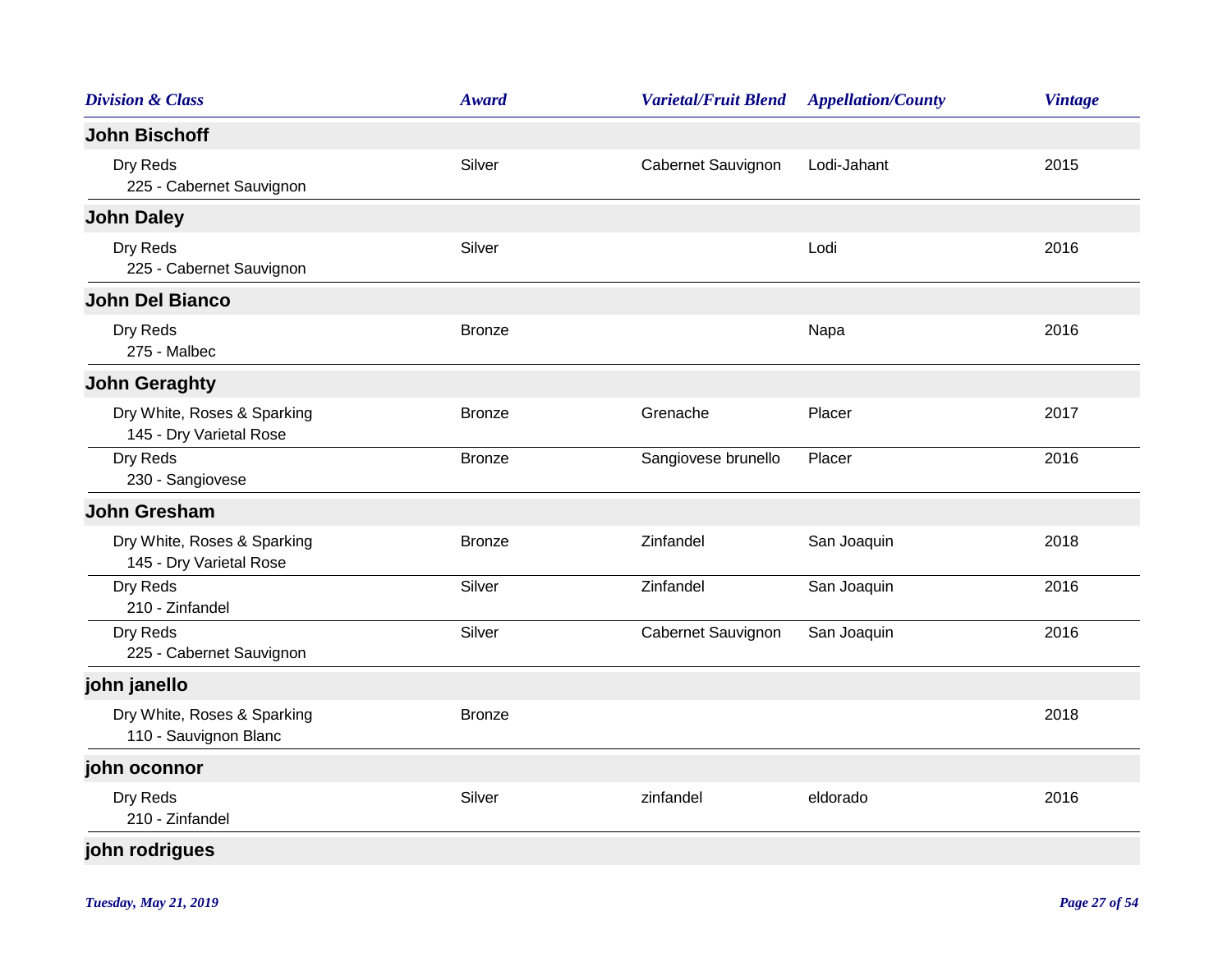| <b>Division &amp; Class</b>                            | <b>Award</b>  | <b>Varietal/Fruit Blend</b> | <b>Appellation/County</b> | <b>Vintage</b> |
|--------------------------------------------------------|---------------|-----------------------------|---------------------------|----------------|
| <b>John Bischoff</b>                                   |               |                             |                           |                |
| Dry Reds<br>225 - Cabernet Sauvignon                   | Silver        | Cabernet Sauvignon          | Lodi-Jahant               | 2015           |
| <b>John Daley</b>                                      |               |                             |                           |                |
| Dry Reds<br>225 - Cabernet Sauvignon                   | Silver        |                             | Lodi                      | 2016           |
| <b>John Del Bianco</b>                                 |               |                             |                           |                |
| Dry Reds<br>275 - Malbec                               | <b>Bronze</b> |                             | Napa                      | 2016           |
| <b>John Geraghty</b>                                   |               |                             |                           |                |
| Dry White, Roses & Sparking<br>145 - Dry Varietal Rose | <b>Bronze</b> | Grenache                    | Placer                    | 2017           |
| Dry Reds<br>230 - Sangiovese                           | <b>Bronze</b> | Sangiovese brunello         | Placer                    | 2016           |
| <b>John Gresham</b>                                    |               |                             |                           |                |
| Dry White, Roses & Sparking<br>145 - Dry Varietal Rose | <b>Bronze</b> | Zinfandel                   | San Joaquin               | 2018           |
| Dry Reds<br>210 - Zinfandel                            | Silver        | Zinfandel                   | San Joaquin               | 2016           |
| Dry Reds<br>225 - Cabernet Sauvignon                   | Silver        | Cabernet Sauvignon          | San Joaquin               | 2016           |
| john janello                                           |               |                             |                           |                |
| Dry White, Roses & Sparking<br>110 - Sauvignon Blanc   | <b>Bronze</b> |                             |                           | 2018           |
| john oconnor                                           |               |                             |                           |                |
| Dry Reds<br>210 - Zinfandel                            | Silver        | zinfandel                   | eldorado                  | 2016           |
| john rodrigues                                         |               |                             |                           |                |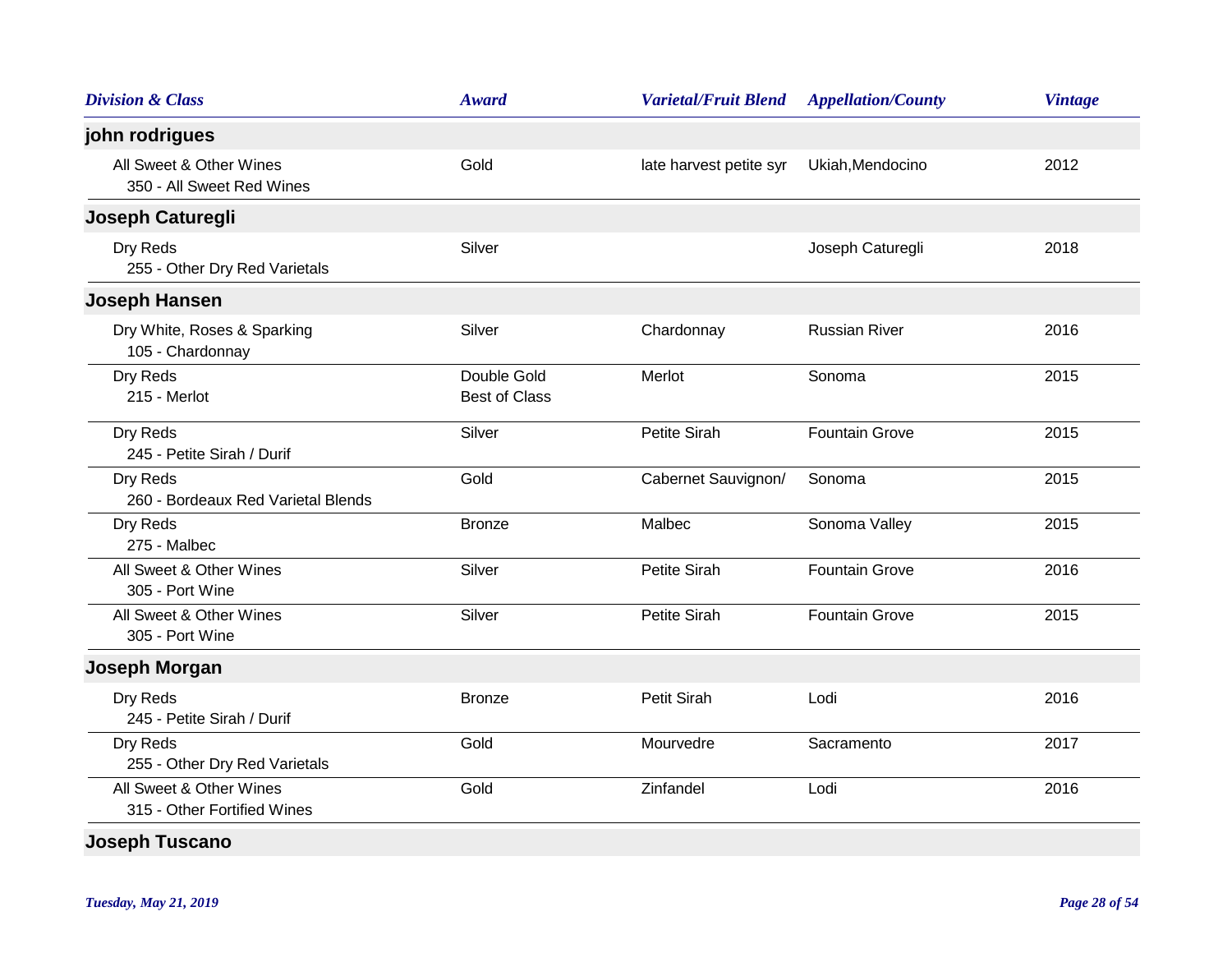| <b>Division &amp; Class</b>                            | <b>Award</b>                        | <b>Varietal/Fruit Blend</b> | <b>Appellation/County</b> | <b>Vintage</b> |
|--------------------------------------------------------|-------------------------------------|-----------------------------|---------------------------|----------------|
| john rodrigues                                         |                                     |                             |                           |                |
| All Sweet & Other Wines<br>350 - All Sweet Red Wines   | Gold                                | late harvest petite syr     | Ukiah, Mendocino          | 2012           |
| Joseph Caturegli                                       |                                     |                             |                           |                |
| Dry Reds<br>255 - Other Dry Red Varietals              | Silver                              |                             | Joseph Caturegli          | 2018           |
| <b>Joseph Hansen</b>                                   |                                     |                             |                           |                |
| Dry White, Roses & Sparking<br>105 - Chardonnay        | Silver                              | Chardonnay                  | <b>Russian River</b>      | 2016           |
| Dry Reds<br>215 - Merlot                               | Double Gold<br><b>Best of Class</b> | Merlot                      | Sonoma                    | 2015           |
| Dry Reds<br>245 - Petite Sirah / Durif                 | Silver                              | Petite Sirah                | <b>Fountain Grove</b>     | 2015           |
| Dry Reds<br>260 - Bordeaux Red Varietal Blends         | Gold                                | Cabernet Sauvignon/         | Sonoma                    | 2015           |
| Dry Reds<br>275 - Malbec                               | <b>Bronze</b>                       | Malbec                      | Sonoma Valley             | 2015           |
| All Sweet & Other Wines<br>305 - Port Wine             | Silver                              | Petite Sirah                | <b>Fountain Grove</b>     | 2016           |
| All Sweet & Other Wines<br>305 - Port Wine             | Silver                              | Petite Sirah                | <b>Fountain Grove</b>     | 2015           |
| Joseph Morgan                                          |                                     |                             |                           |                |
| Dry Reds<br>245 - Petite Sirah / Durif                 | <b>Bronze</b>                       | <b>Petit Sirah</b>          | Lodi                      | 2016           |
| Dry Reds<br>255 - Other Dry Red Varietals              | Gold                                | Mourvedre                   | Sacramento                | 2017           |
| All Sweet & Other Wines<br>315 - Other Fortified Wines | Gold                                | Zinfandel                   | Lodi                      | 2016           |
| <b>Joseph Tuscano</b>                                  |                                     |                             |                           |                |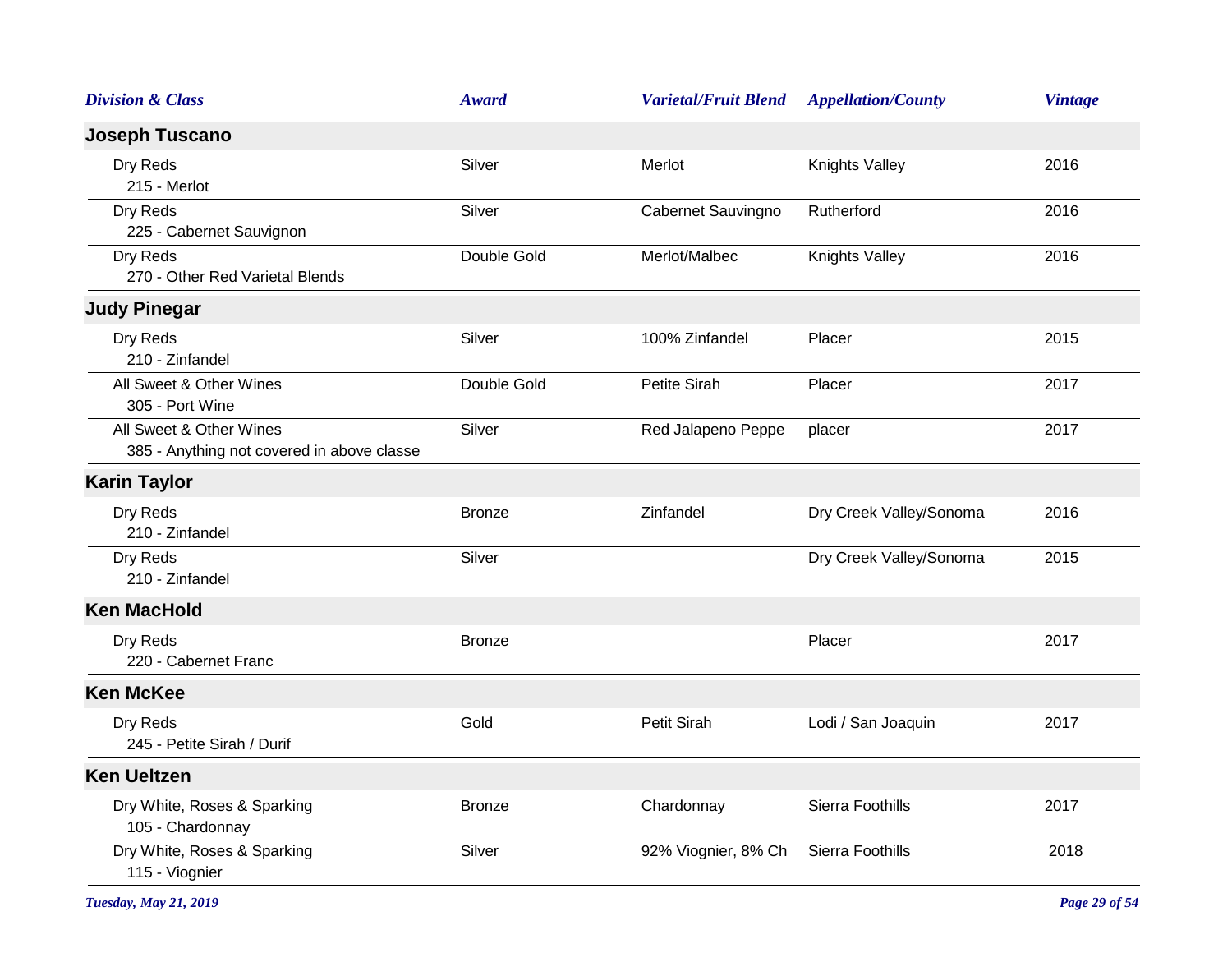| <b>Division &amp; Class</b>                                           | Award         | <b>Varietal/Fruit Blend</b> | <b>Appellation/County</b> | <b>Vintage</b> |
|-----------------------------------------------------------------------|---------------|-----------------------------|---------------------------|----------------|
| <b>Joseph Tuscano</b>                                                 |               |                             |                           |                |
| Dry Reds<br>215 - Merlot                                              | Silver        | Merlot                      | Knights Valley            | 2016           |
| Dry Reds<br>225 - Cabernet Sauvignon                                  | Silver        | Cabernet Sauvingno          | Rutherford                | 2016           |
| Dry Reds<br>270 - Other Red Varietal Blends                           | Double Gold   | Merlot/Malbec               | Knights Valley            | 2016           |
| <b>Judy Pinegar</b>                                                   |               |                             |                           |                |
| Dry Reds<br>210 - Zinfandel                                           | Silver        | 100% Zinfandel              | Placer                    | 2015           |
| All Sweet & Other Wines<br>305 - Port Wine                            | Double Gold   | Petite Sirah                | Placer                    | 2017           |
| All Sweet & Other Wines<br>385 - Anything not covered in above classe | Silver        | Red Jalapeno Peppe          | placer                    | 2017           |
| <b>Karin Taylor</b>                                                   |               |                             |                           |                |
| Dry Reds<br>210 - Zinfandel                                           | <b>Bronze</b> | Zinfandel                   | Dry Creek Valley/Sonoma   | 2016           |
| Dry Reds<br>210 - Zinfandel                                           | Silver        |                             | Dry Creek Valley/Sonoma   | 2015           |
| <b>Ken MacHold</b>                                                    |               |                             |                           |                |
| Dry Reds<br>220 - Cabernet Franc                                      | <b>Bronze</b> |                             | Placer                    | 2017           |
| <b>Ken McKee</b>                                                      |               |                             |                           |                |
| Dry Reds<br>245 - Petite Sirah / Durif                                | Gold          | Petit Sirah                 | Lodi / San Joaquin        | 2017           |
| <b>Ken Ueltzen</b>                                                    |               |                             |                           |                |
| Dry White, Roses & Sparking<br>105 - Chardonnay                       | <b>Bronze</b> | Chardonnay                  | Sierra Foothills          | 2017           |
| Dry White, Roses & Sparking<br>115 - Viognier                         | Silver        | 92% Viognier, 8% Ch         | Sierra Foothills          | 2018           |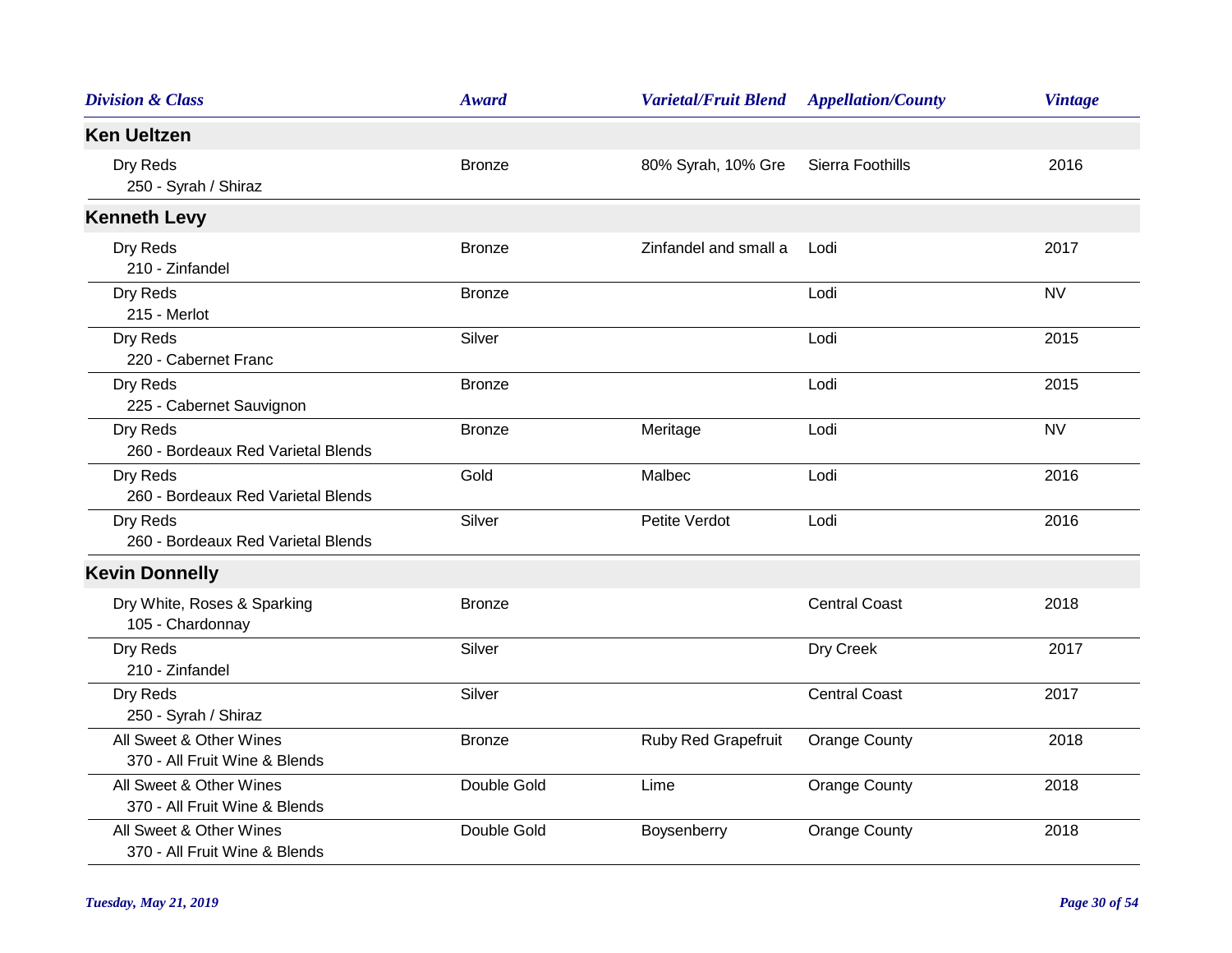| <b>Division &amp; Class</b>                              | <b>Award</b>  | <b>Varietal/Fruit Blend</b> | <b>Appellation/County</b> | <b>Vintage</b> |
|----------------------------------------------------------|---------------|-----------------------------|---------------------------|----------------|
| <b>Ken Ueltzen</b>                                       |               |                             |                           |                |
| Dry Reds<br>250 - Syrah / Shiraz                         | <b>Bronze</b> | 80% Syrah, 10% Gre          | Sierra Foothills          | 2016           |
| <b>Kenneth Levy</b>                                      |               |                             |                           |                |
| Dry Reds<br>210 - Zinfandel                              | <b>Bronze</b> | Zinfandel and small a       | Lodi                      | 2017           |
| Dry Reds<br>215 - Merlot                                 | <b>Bronze</b> |                             | Lodi                      | <b>NV</b>      |
| Dry Reds<br>220 - Cabernet Franc                         | Silver        |                             | Lodi                      | 2015           |
| Dry Reds<br>225 - Cabernet Sauvignon                     | <b>Bronze</b> |                             | Lodi                      | 2015           |
| Dry Reds<br>260 - Bordeaux Red Varietal Blends           | <b>Bronze</b> | Meritage                    | Lodi                      | <b>NV</b>      |
| Dry Reds<br>260 - Bordeaux Red Varietal Blends           | Gold          | Malbec                      | Lodi                      | 2016           |
| Dry Reds<br>260 - Bordeaux Red Varietal Blends           | Silver        | Petite Verdot               | Lodi                      | 2016           |
| <b>Kevin Donnelly</b>                                    |               |                             |                           |                |
| Dry White, Roses & Sparking<br>105 - Chardonnay          | <b>Bronze</b> |                             | <b>Central Coast</b>      | 2018           |
| Dry Reds<br>210 - Zinfandel                              | Silver        |                             | Dry Creek                 | 2017           |
| Dry Reds<br>250 - Syrah / Shiraz                         | Silver        |                             | <b>Central Coast</b>      | 2017           |
| All Sweet & Other Wines<br>370 - All Fruit Wine & Blends | <b>Bronze</b> | Ruby Red Grapefruit         | <b>Orange County</b>      | 2018           |
| All Sweet & Other Wines<br>370 - All Fruit Wine & Blends | Double Gold   | Lime                        | <b>Orange County</b>      | 2018           |
| All Sweet & Other Wines<br>370 - All Fruit Wine & Blends | Double Gold   | Boysenberry                 | <b>Orange County</b>      | 2018           |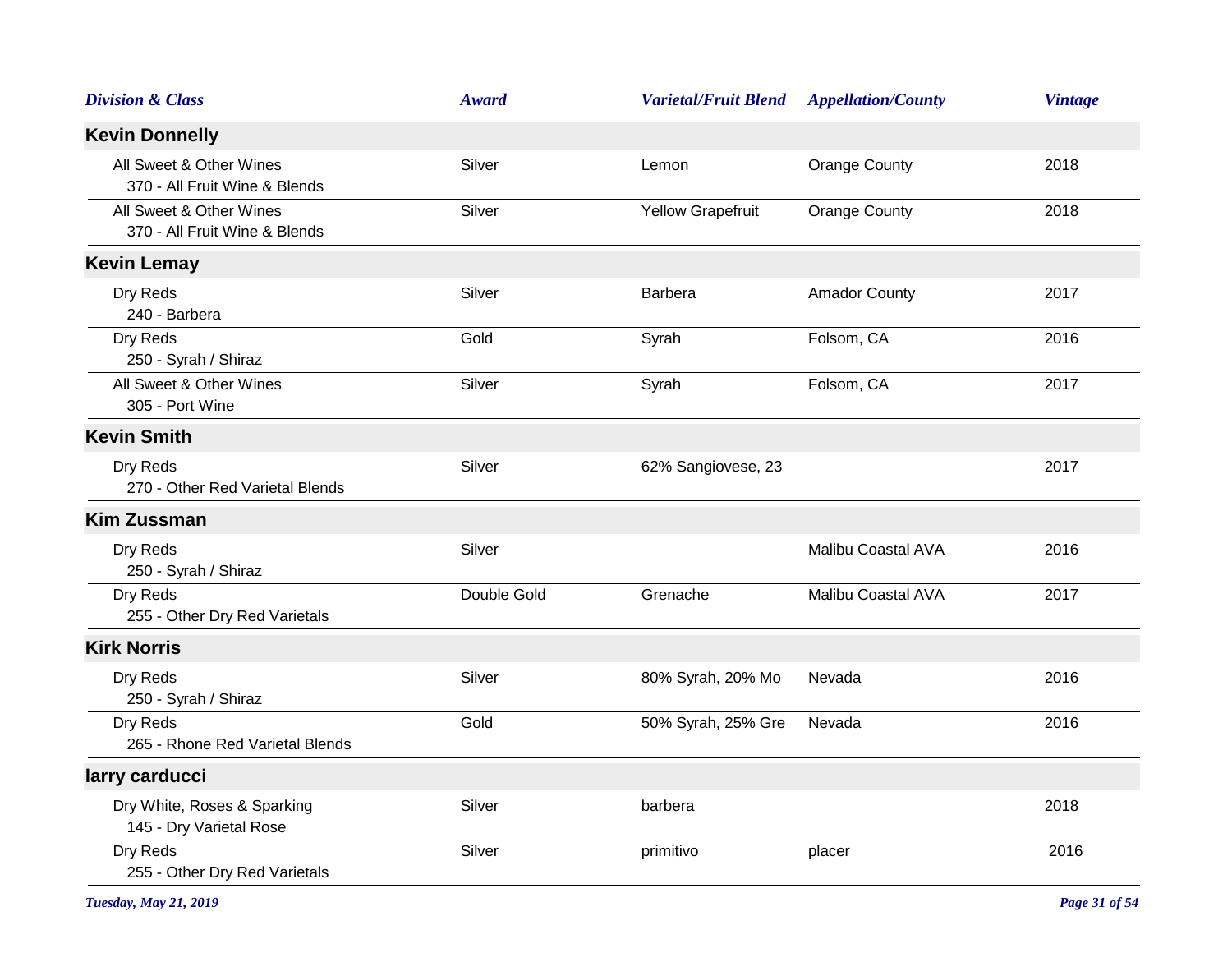| <b>Division &amp; Class</b>                              | Award       | <b>Varietal/Fruit Blend</b> | <b>Appellation/County</b> | <b>Vintage</b> |
|----------------------------------------------------------|-------------|-----------------------------|---------------------------|----------------|
| <b>Kevin Donnelly</b>                                    |             |                             |                           |                |
| All Sweet & Other Wines<br>370 - All Fruit Wine & Blends | Silver      | Lemon                       | <b>Orange County</b>      | 2018           |
| All Sweet & Other Wines<br>370 - All Fruit Wine & Blends | Silver      | Yellow Grapefruit           | <b>Orange County</b>      | 2018           |
| <b>Kevin Lemay</b>                                       |             |                             |                           |                |
| Dry Reds<br>240 - Barbera                                | Silver      | Barbera                     | <b>Amador County</b>      | 2017           |
| Dry Reds<br>250 - Syrah / Shiraz                         | Gold        | Syrah                       | Folsom, CA                | 2016           |
| All Sweet & Other Wines<br>305 - Port Wine               | Silver      | Syrah                       | Folsom, CA                | 2017           |
| <b>Kevin Smith</b>                                       |             |                             |                           |                |
| Dry Reds<br>270 - Other Red Varietal Blends              | Silver      | 62% Sangiovese, 23          |                           | 2017           |
| <b>Kim Zussman</b>                                       |             |                             |                           |                |
| Dry Reds<br>250 - Syrah / Shiraz                         | Silver      |                             | Malibu Coastal AVA        | 2016           |
| Dry Reds<br>255 - Other Dry Red Varietals                | Double Gold | Grenache                    | Malibu Coastal AVA        | 2017           |
| <b>Kirk Norris</b>                                       |             |                             |                           |                |
| Dry Reds<br>250 - Syrah / Shiraz                         | Silver      | 80% Syrah, 20% Mo           | Nevada                    | 2016           |
| Dry Reds<br>265 - Rhone Red Varietal Blends              | Gold        | 50% Syrah, 25% Gre          | Nevada                    | 2016           |
| larry carducci                                           |             |                             |                           |                |
| Dry White, Roses & Sparking<br>145 - Dry Varietal Rose   | Silver      | barbera                     |                           | 2018           |
| Dry Reds<br>255 - Other Dry Red Varietals                | Silver      | primitivo                   | placer                    | 2016           |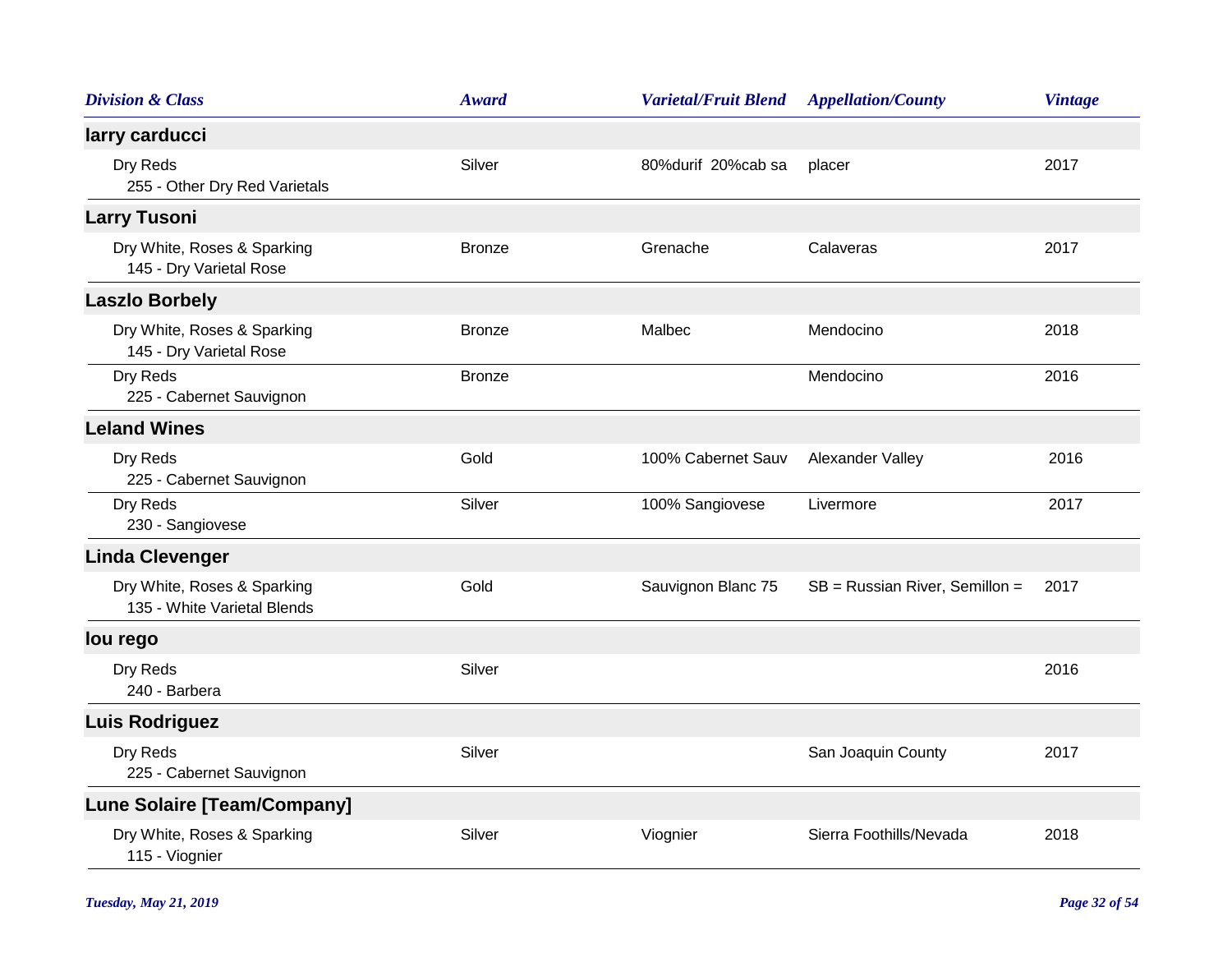| <b>Division &amp; Class</b>                                | <b>Award</b>  | <b>Varietal/Fruit Blend</b> | <b>Appellation/County</b>      | <b>Vintage</b> |
|------------------------------------------------------------|---------------|-----------------------------|--------------------------------|----------------|
| larry carducci                                             |               |                             |                                |                |
| Dry Reds<br>255 - Other Dry Red Varietals                  | Silver        | 80%durif 20%cab sa          | placer                         | 2017           |
| <b>Larry Tusoni</b>                                        |               |                             |                                |                |
| Dry White, Roses & Sparking<br>145 - Dry Varietal Rose     | <b>Bronze</b> | Grenache                    | Calaveras                      | 2017           |
| <b>Laszlo Borbely</b>                                      |               |                             |                                |                |
| Dry White, Roses & Sparking<br>145 - Dry Varietal Rose     | <b>Bronze</b> | Malbec                      | Mendocino                      | 2018           |
| Dry Reds<br>225 - Cabernet Sauvignon                       | <b>Bronze</b> |                             | Mendocino                      | 2016           |
| <b>Leland Wines</b>                                        |               |                             |                                |                |
| Dry Reds<br>225 - Cabernet Sauvignon                       | Gold          | 100% Cabernet Sauv          | Alexander Valley               | 2016           |
| Dry Reds<br>230 - Sangiovese                               | Silver        | 100% Sangiovese             | Livermore                      | 2017           |
| <b>Linda Clevenger</b>                                     |               |                             |                                |                |
| Dry White, Roses & Sparking<br>135 - White Varietal Blends | Gold          | Sauvignon Blanc 75          | SB = Russian River, Semillon = | 2017           |
| lou rego                                                   |               |                             |                                |                |
| Dry Reds<br>240 - Barbera                                  | Silver        |                             |                                | 2016           |
| <b>Luis Rodriguez</b>                                      |               |                             |                                |                |
| Dry Reds<br>225 - Cabernet Sauvignon                       | Silver        |                             | San Joaquin County             | 2017           |
| <b>Lune Solaire [Team/Company]</b>                         |               |                             |                                |                |
| Dry White, Roses & Sparking<br>115 - Viognier              | Silver        | Viognier                    | Sierra Foothills/Nevada        | 2018           |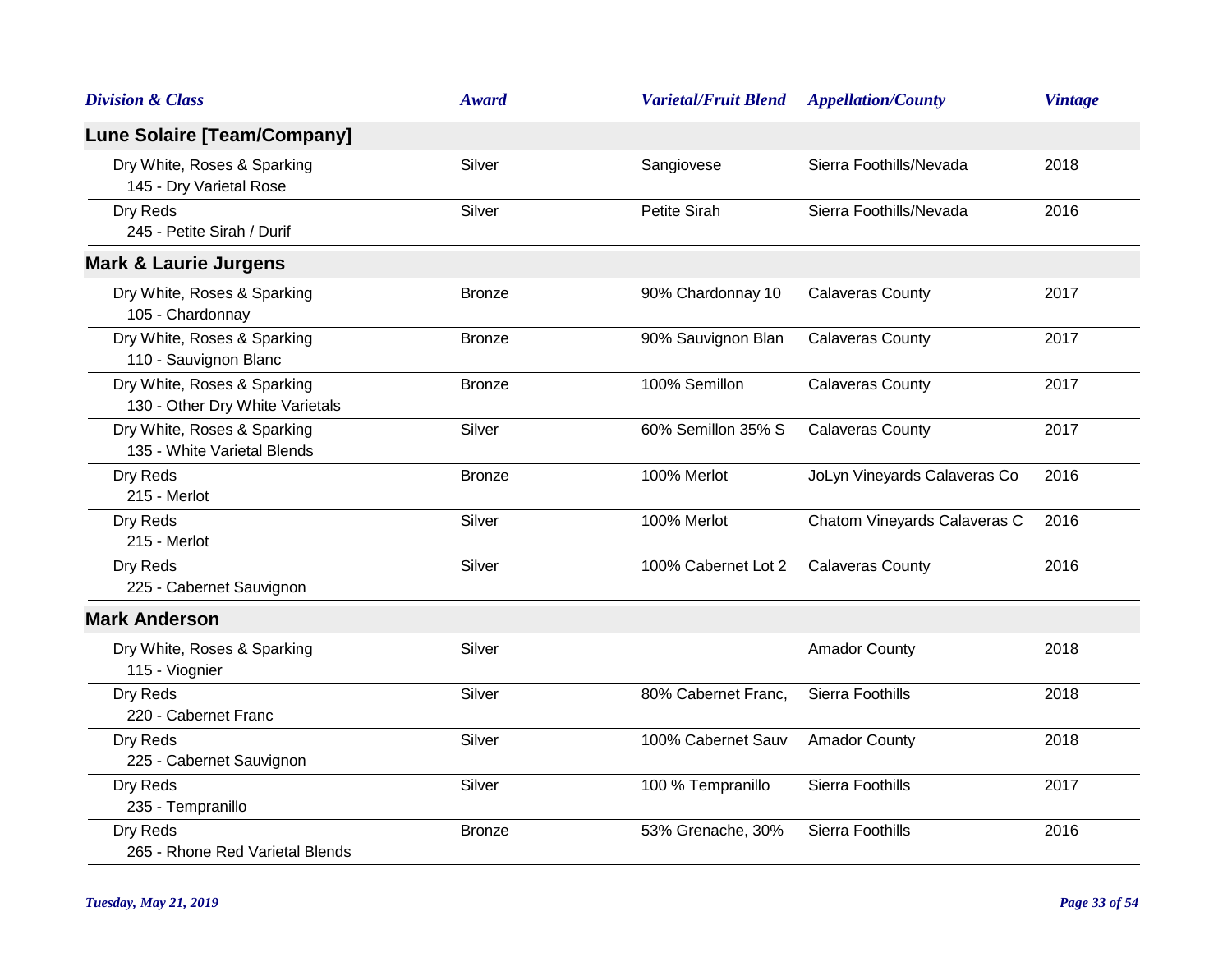| <b>Division &amp; Class</b>                                    | <b>Award</b>  | <b>Varietal/Fruit Blend</b> | <b>Appellation/County</b>    | <b>Vintage</b> |
|----------------------------------------------------------------|---------------|-----------------------------|------------------------------|----------------|
| <b>Lune Solaire [Team/Company]</b>                             |               |                             |                              |                |
| Dry White, Roses & Sparking<br>145 - Dry Varietal Rose         | Silver        | Sangiovese                  | Sierra Foothills/Nevada      | 2018           |
| Dry Reds<br>245 - Petite Sirah / Durif                         | Silver        | Petite Sirah                | Sierra Foothills/Nevada      | 2016           |
| <b>Mark &amp; Laurie Jurgens</b>                               |               |                             |                              |                |
| Dry White, Roses & Sparking<br>105 - Chardonnay                | <b>Bronze</b> | 90% Chardonnay 10           | <b>Calaveras County</b>      | 2017           |
| Dry White, Roses & Sparking<br>110 - Sauvignon Blanc           | <b>Bronze</b> | 90% Sauvignon Blan          | <b>Calaveras County</b>      | 2017           |
| Dry White, Roses & Sparking<br>130 - Other Dry White Varietals | <b>Bronze</b> | 100% Semillon               | <b>Calaveras County</b>      | 2017           |
| Dry White, Roses & Sparking<br>135 - White Varietal Blends     | Silver        | 60% Semillon 35% S          | <b>Calaveras County</b>      | 2017           |
| Dry Reds<br>215 - Merlot                                       | <b>Bronze</b> | 100% Merlot                 | JoLyn Vineyards Calaveras Co | 2016           |
| Dry Reds<br>215 - Merlot                                       | Silver        | 100% Merlot                 | Chatom Vineyards Calaveras C | 2016           |
| Dry Reds<br>225 - Cabernet Sauvignon                           | Silver        | 100% Cabernet Lot 2         | <b>Calaveras County</b>      | 2016           |
| <b>Mark Anderson</b>                                           |               |                             |                              |                |
| Dry White, Roses & Sparking<br>115 - Viognier                  | Silver        |                             | <b>Amador County</b>         | 2018           |
| Dry Reds<br>220 - Cabernet Franc                               | Silver        | 80% Cabernet Franc,         | Sierra Foothills             | 2018           |
| Dry Reds<br>225 - Cabernet Sauvignon                           | Silver        | 100% Cabernet Sauv          | <b>Amador County</b>         | 2018           |
| Dry Reds<br>235 - Tempranillo                                  | Silver        | 100 % Tempranillo           | Sierra Foothills             | 2017           |
| Dry Reds<br>265 - Rhone Red Varietal Blends                    | <b>Bronze</b> | 53% Grenache, 30%           | Sierra Foothills             | 2016           |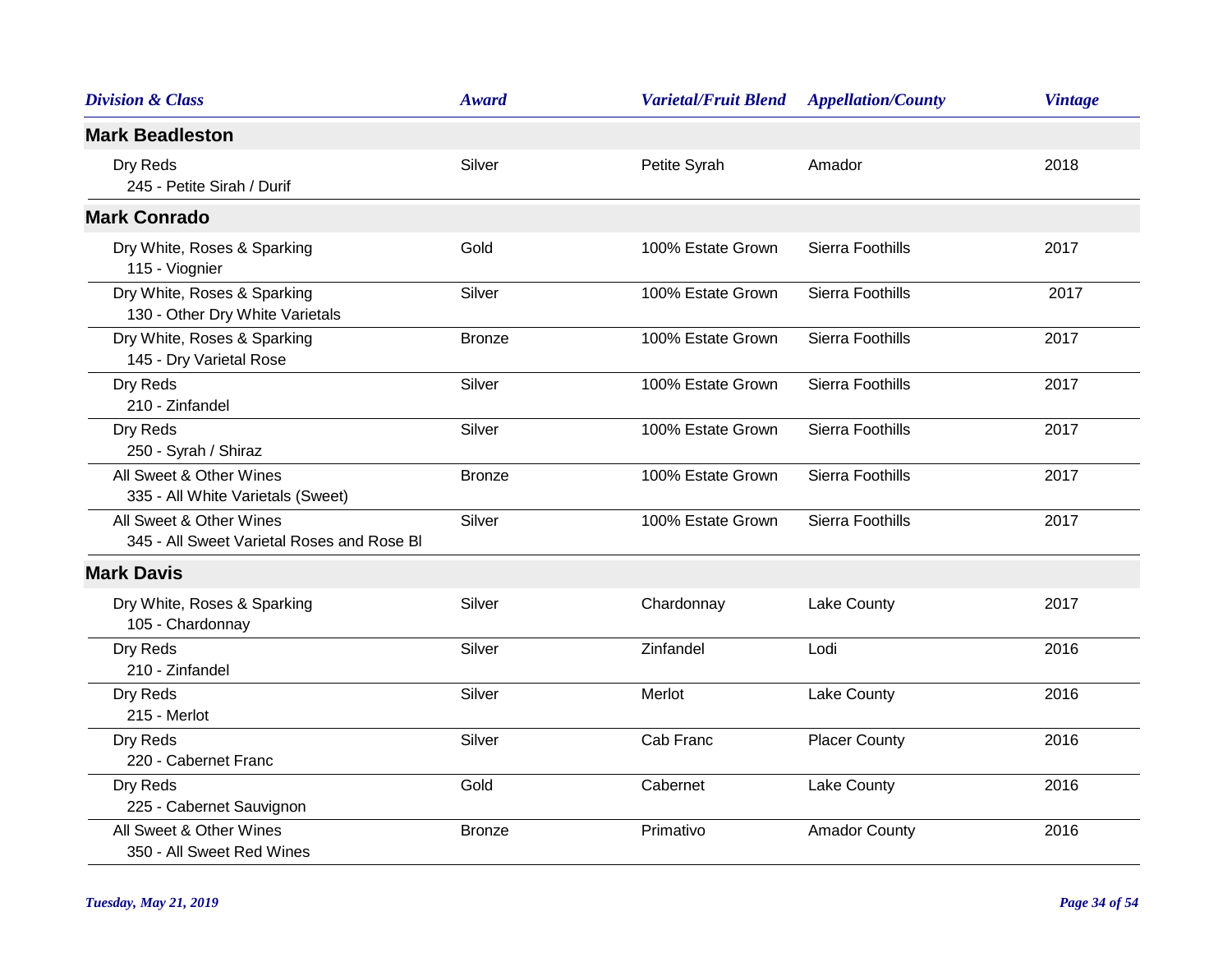| <b>Division &amp; Class</b>                                           | <b>Award</b>  | <b>Varietal/Fruit Blend</b> | <b>Appellation/County</b> | <b>Vintage</b> |
|-----------------------------------------------------------------------|---------------|-----------------------------|---------------------------|----------------|
| <b>Mark Beadleston</b>                                                |               |                             |                           |                |
| Dry Reds<br>245 - Petite Sirah / Durif                                | Silver        | Petite Syrah                | Amador                    | 2018           |
| <b>Mark Conrado</b>                                                   |               |                             |                           |                |
| Dry White, Roses & Sparking<br>115 - Viognier                         | Gold          | 100% Estate Grown           | Sierra Foothills          | 2017           |
| Dry White, Roses & Sparking<br>130 - Other Dry White Varietals        | Silver        | 100% Estate Grown           | Sierra Foothills          | 2017           |
| Dry White, Roses & Sparking<br>145 - Dry Varietal Rose                | <b>Bronze</b> | 100% Estate Grown           | Sierra Foothills          | 2017           |
| Dry Reds<br>210 - Zinfandel                                           | Silver        | 100% Estate Grown           | Sierra Foothills          | 2017           |
| Dry Reds<br>250 - Syrah / Shiraz                                      | Silver        | 100% Estate Grown           | Sierra Foothills          | 2017           |
| All Sweet & Other Wines<br>335 - All White Varietals (Sweet)          | <b>Bronze</b> | 100% Estate Grown           | Sierra Foothills          | 2017           |
| All Sweet & Other Wines<br>345 - All Sweet Varietal Roses and Rose BI | Silver        | 100% Estate Grown           | Sierra Foothills          | 2017           |
| <b>Mark Davis</b>                                                     |               |                             |                           |                |
| Dry White, Roses & Sparking<br>105 - Chardonnay                       | Silver        | Chardonnay                  | Lake County               | 2017           |
| Dry Reds<br>210 - Zinfandel                                           | Silver        | Zinfandel                   | Lodi                      | 2016           |
| Dry Reds<br>215 - Merlot                                              | Silver        | Merlot                      | Lake County               | 2016           |
| Dry Reds<br>220 - Cabernet Franc                                      | Silver        | Cab Franc                   | <b>Placer County</b>      | 2016           |
| Dry Reds<br>225 - Cabernet Sauvignon                                  | Gold          | Cabernet                    | Lake County               | 2016           |
| All Sweet & Other Wines<br>350 - All Sweet Red Wines                  | <b>Bronze</b> | Primativo                   | <b>Amador County</b>      | 2016           |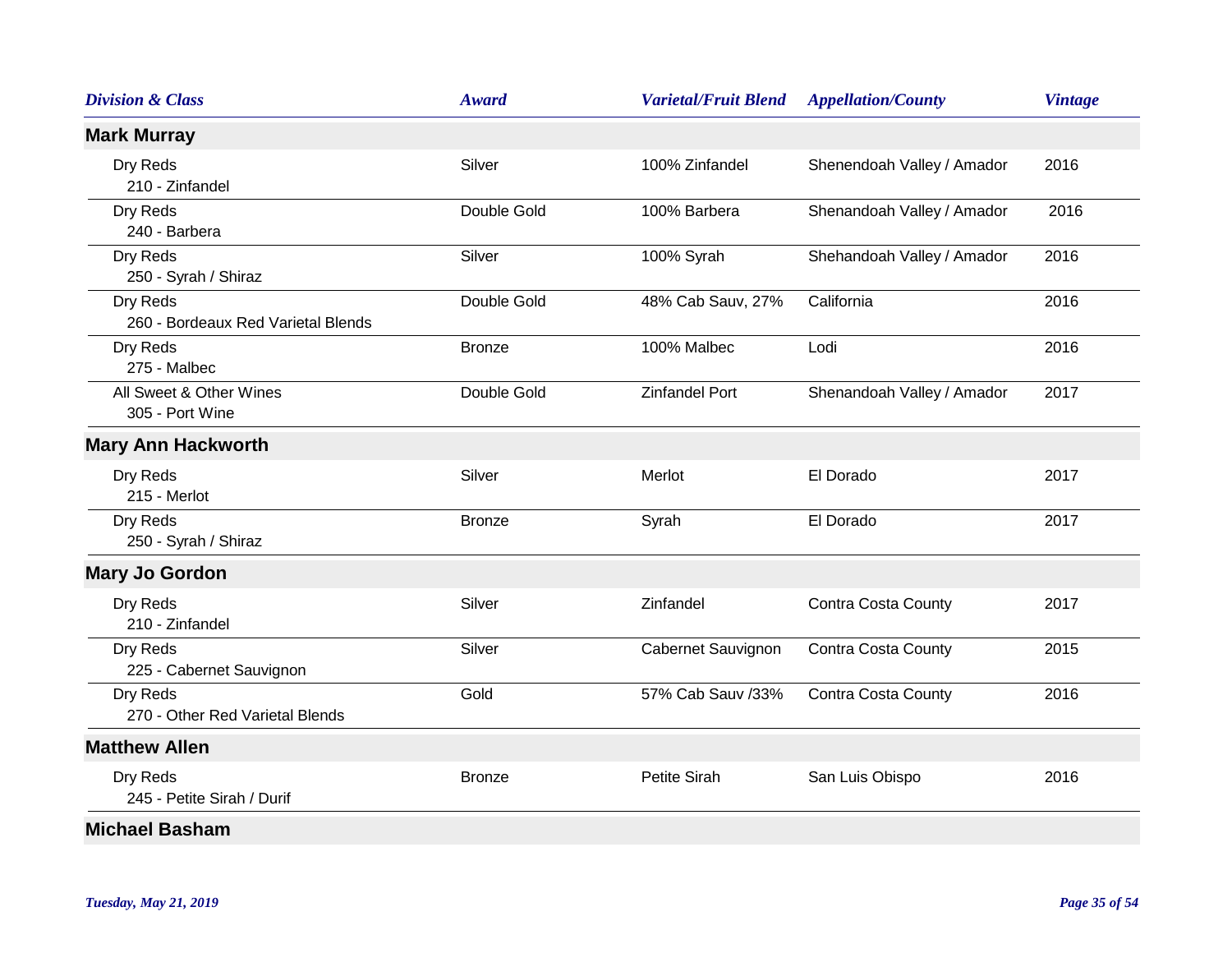| <b>Division &amp; Class</b>                    | Award         | <b>Varietal/Fruit Blend</b> | <b>Appellation/County</b>  | <b>Vintage</b> |
|------------------------------------------------|---------------|-----------------------------|----------------------------|----------------|
| <b>Mark Murray</b>                             |               |                             |                            |                |
| Dry Reds<br>210 - Zinfandel                    | Silver        | 100% Zinfandel              | Shenendoah Valley / Amador | 2016           |
| Dry Reds<br>240 - Barbera                      | Double Gold   | 100% Barbera                | Shenandoah Valley / Amador | 2016           |
| Dry Reds<br>250 - Syrah / Shiraz               | Silver        | 100% Syrah                  | Shehandoah Valley / Amador | 2016           |
| Dry Reds<br>260 - Bordeaux Red Varietal Blends | Double Gold   | 48% Cab Sauv, 27%           | California                 | 2016           |
| Dry Reds<br>275 - Malbec                       | <b>Bronze</b> | 100% Malbec                 | Lodi                       | 2016           |
| All Sweet & Other Wines<br>305 - Port Wine     | Double Gold   | <b>Zinfandel Port</b>       | Shenandoah Valley / Amador | 2017           |
| <b>Mary Ann Hackworth</b>                      |               |                             |                            |                |
| Dry Reds<br>215 - Merlot                       | Silver        | Merlot                      | El Dorado                  | 2017           |
| Dry Reds<br>250 - Syrah / Shiraz               | <b>Bronze</b> | Syrah                       | El Dorado                  | 2017           |
| <b>Mary Jo Gordon</b>                          |               |                             |                            |                |
| Dry Reds<br>210 - Zinfandel                    | Silver        | Zinfandel                   | Contra Costa County        | 2017           |
| Dry Reds<br>225 - Cabernet Sauvignon           | Silver        | Cabernet Sauvignon          | <b>Contra Costa County</b> | 2015           |
| Dry Reds<br>270 - Other Red Varietal Blends    | Gold          | 57% Cab Sauv /33%           | <b>Contra Costa County</b> | 2016           |
| <b>Matthew Allen</b>                           |               |                             |                            |                |
| Dry Reds<br>245 - Petite Sirah / Durif         | <b>Bronze</b> | Petite Sirah                | San Luis Obispo            | 2016           |
| <b>Michael Basham</b>                          |               |                             |                            |                |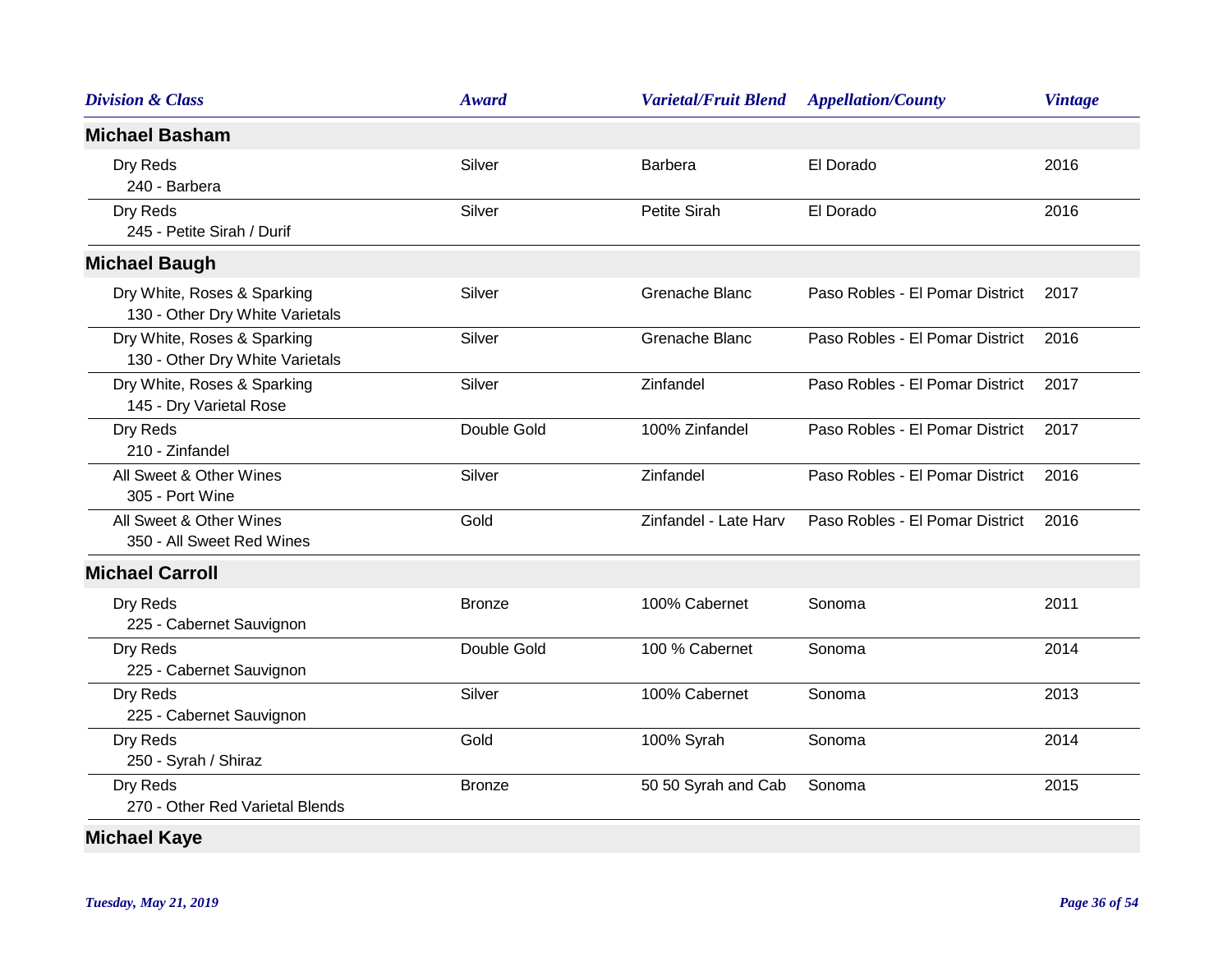| <b>Division &amp; Class</b>                                    | <b>Award</b>  | <b>Varietal/Fruit Blend</b> | <b>Appellation/County</b>       | <b>Vintage</b> |
|----------------------------------------------------------------|---------------|-----------------------------|---------------------------------|----------------|
| <b>Michael Basham</b>                                          |               |                             |                                 |                |
| Dry Reds<br>240 - Barbera                                      | Silver        | <b>Barbera</b>              | El Dorado                       | 2016           |
| Dry Reds<br>245 - Petite Sirah / Durif                         | Silver        | Petite Sirah                | El Dorado                       | 2016           |
| <b>Michael Baugh</b>                                           |               |                             |                                 |                |
| Dry White, Roses & Sparking<br>130 - Other Dry White Varietals | Silver        | Grenache Blanc              | Paso Robles - El Pomar District | 2017           |
| Dry White, Roses & Sparking<br>130 - Other Dry White Varietals | Silver        | Grenache Blanc              | Paso Robles - El Pomar District | 2016           |
| Dry White, Roses & Sparking<br>145 - Dry Varietal Rose         | Silver        | Zinfandel                   | Paso Robles - El Pomar District | 2017           |
| Dry Reds<br>210 - Zinfandel                                    | Double Gold   | 100% Zinfandel              | Paso Robles - El Pomar District | 2017           |
| All Sweet & Other Wines<br>305 - Port Wine                     | Silver        | Zinfandel                   | Paso Robles - El Pomar District | 2016           |
| All Sweet & Other Wines<br>350 - All Sweet Red Wines           | Gold          | Zinfandel - Late Harv       | Paso Robles - El Pomar District | 2016           |
| <b>Michael Carroll</b>                                         |               |                             |                                 |                |
| Dry Reds<br>225 - Cabernet Sauvignon                           | <b>Bronze</b> | 100% Cabernet               | Sonoma                          | 2011           |
| Dry Reds<br>225 - Cabernet Sauvignon                           | Double Gold   | 100 % Cabernet              | Sonoma                          | 2014           |
| Dry Reds<br>225 - Cabernet Sauvignon                           | Silver        | 100% Cabernet               | Sonoma                          | 2013           |
| Dry Reds<br>250 - Syrah / Shiraz                               | Gold          | 100% Syrah                  | Sonoma                          | 2014           |
| Dry Reds<br>270 - Other Red Varietal Blends                    | <b>Bronze</b> | 50 50 Syrah and Cab         | Sonoma                          | 2015           |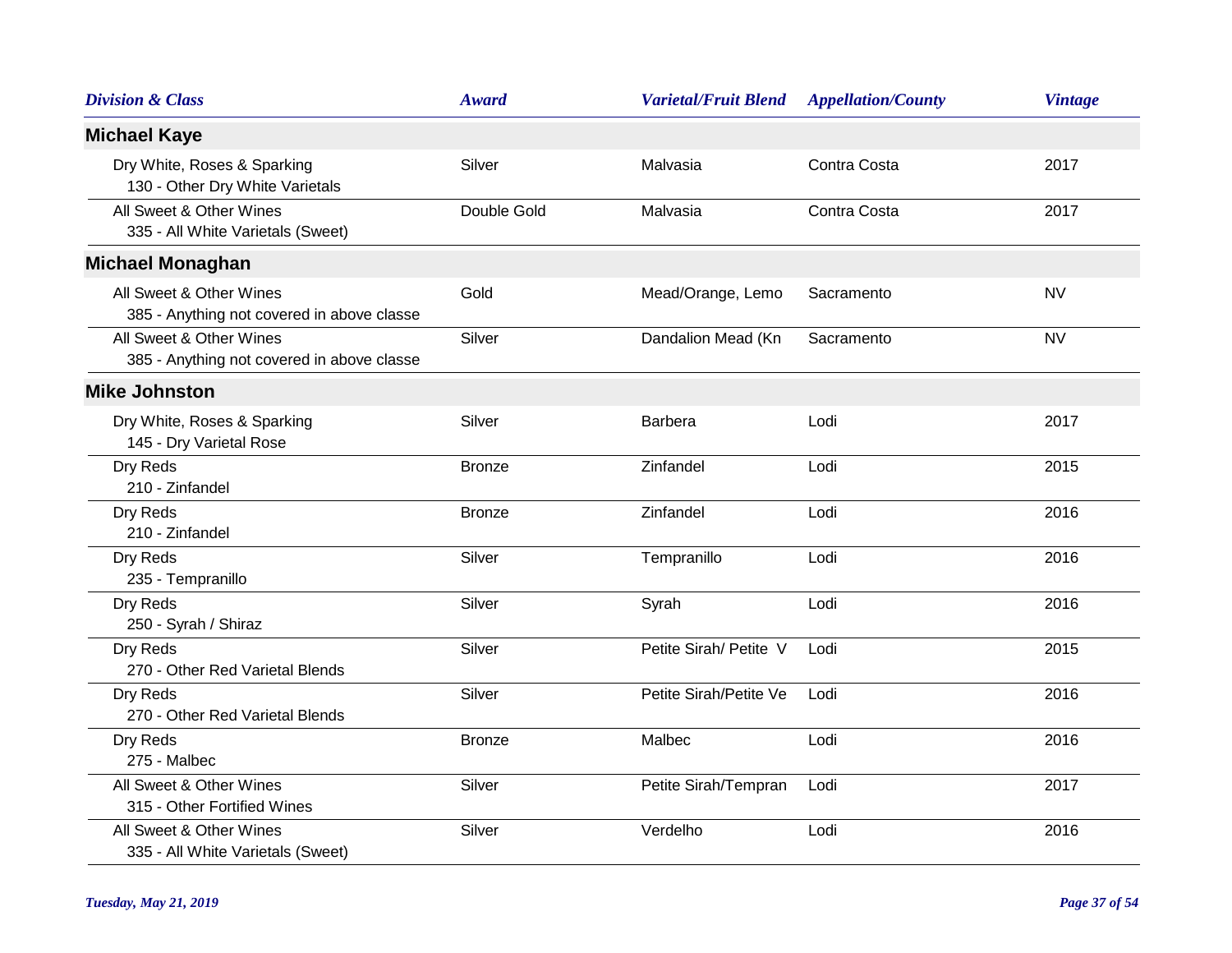| <b>Division &amp; Class</b>                                           | <b>Award</b>  | <b>Varietal/Fruit Blend</b> | <b>Appellation/County</b> | <b>Vintage</b> |
|-----------------------------------------------------------------------|---------------|-----------------------------|---------------------------|----------------|
| <b>Michael Kaye</b>                                                   |               |                             |                           |                |
| Dry White, Roses & Sparking<br>130 - Other Dry White Varietals        | Silver        | Malvasia                    | Contra Costa              | 2017           |
| All Sweet & Other Wines<br>335 - All White Varietals (Sweet)          | Double Gold   | Malvasia                    | Contra Costa              | 2017           |
| <b>Michael Monaghan</b>                                               |               |                             |                           |                |
| All Sweet & Other Wines<br>385 - Anything not covered in above classe | Gold          | Mead/Orange, Lemo           | Sacramento                | <b>NV</b>      |
| All Sweet & Other Wines<br>385 - Anything not covered in above classe | Silver        | Dandalion Mead (Kn          | Sacramento                | <b>NV</b>      |
| <b>Mike Johnston</b>                                                  |               |                             |                           |                |
| Dry White, Roses & Sparking<br>145 - Dry Varietal Rose                | Silver        | <b>Barbera</b>              | Lodi                      | 2017           |
| Dry Reds<br>210 - Zinfandel                                           | <b>Bronze</b> | Zinfandel                   | Lodi                      | 2015           |
| Dry Reds<br>210 - Zinfandel                                           | <b>Bronze</b> | Zinfandel                   | Lodi                      | 2016           |
| Dry Reds<br>235 - Tempranillo                                         | Silver        | Tempranillo                 | Lodi                      | 2016           |
| Dry Reds<br>250 - Syrah / Shiraz                                      | Silver        | Syrah                       | Lodi                      | 2016           |
| Dry Reds<br>270 - Other Red Varietal Blends                           | Silver        | Petite Sirah/ Petite V      | Lodi                      | 2015           |
| Dry Reds<br>270 - Other Red Varietal Blends                           | Silver        | Petite Sirah/Petite Ve      | Lodi                      | 2016           |
| Dry Reds<br>275 - Malbec                                              | <b>Bronze</b> | Malbec                      | Lodi                      | 2016           |
| All Sweet & Other Wines<br>315 - Other Fortified Wines                | Silver        | Petite Sirah/Tempran        | Lodi                      | 2017           |
| All Sweet & Other Wines<br>335 - All White Varietals (Sweet)          | Silver        | Verdelho                    | Lodi                      | 2016           |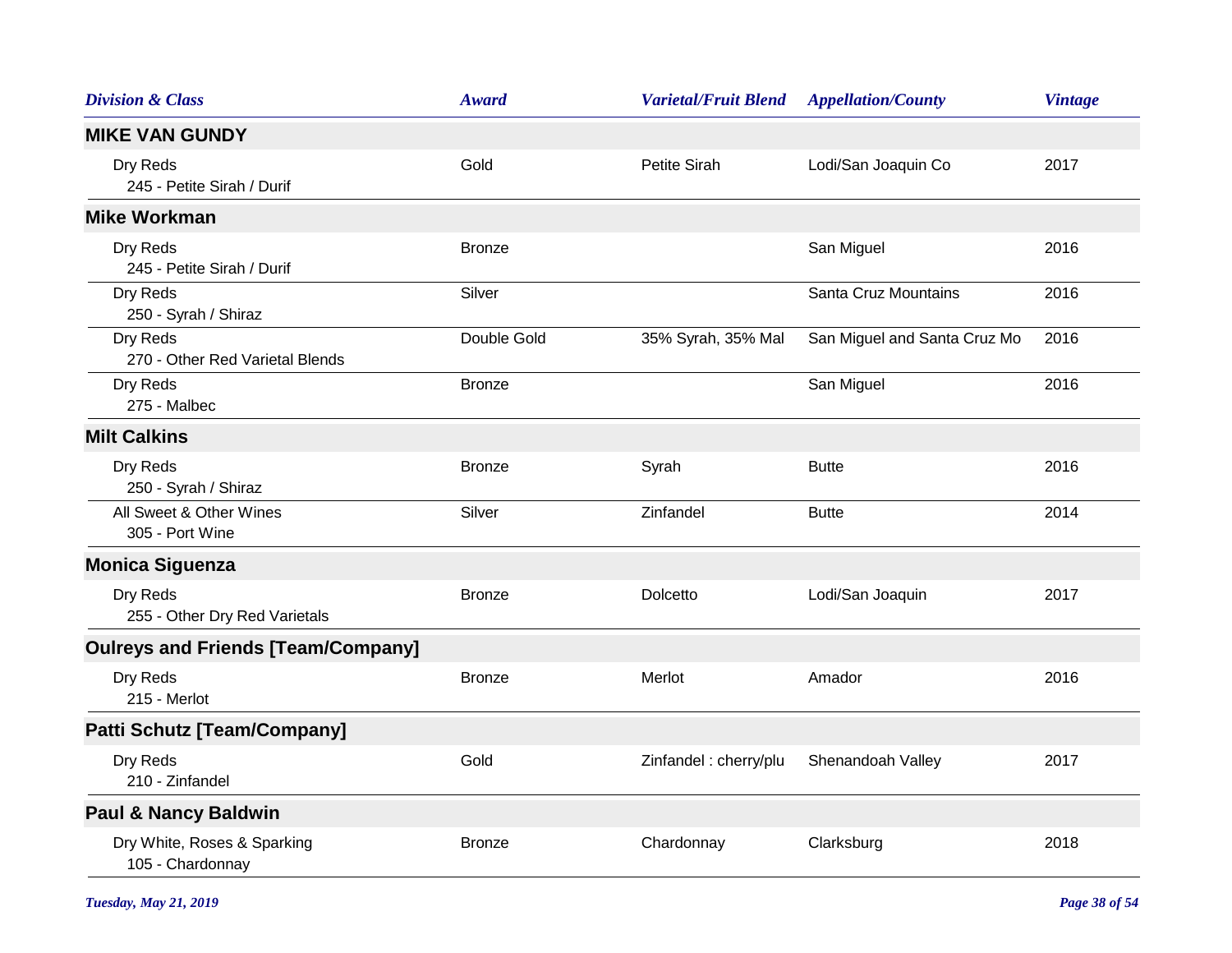| <b>Division &amp; Class</b>                     | <b>Award</b>  | <b>Varietal/Fruit Blend</b> | <b>Appellation/County</b>    | <b>Vintage</b> |
|-------------------------------------------------|---------------|-----------------------------|------------------------------|----------------|
| <b>MIKE VAN GUNDY</b>                           |               |                             |                              |                |
| Dry Reds<br>245 - Petite Sirah / Durif          | Gold          | Petite Sirah                | Lodi/San Joaquin Co          | 2017           |
| <b>Mike Workman</b>                             |               |                             |                              |                |
| Dry Reds<br>245 - Petite Sirah / Durif          | <b>Bronze</b> |                             | San Miguel                   | 2016           |
| Dry Reds<br>250 - Syrah / Shiraz                | Silver        |                             | Santa Cruz Mountains         | 2016           |
| Dry Reds<br>270 - Other Red Varietal Blends     | Double Gold   | 35% Syrah, 35% Mal          | San Miguel and Santa Cruz Mo | 2016           |
| Dry Reds<br>275 - Malbec                        | <b>Bronze</b> |                             | San Miguel                   | 2016           |
| <b>Milt Calkins</b>                             |               |                             |                              |                |
| Dry Reds<br>250 - Syrah / Shiraz                | <b>Bronze</b> | Syrah                       | <b>Butte</b>                 | 2016           |
| All Sweet & Other Wines<br>305 - Port Wine      | Silver        | Zinfandel                   | <b>Butte</b>                 | 2014           |
| <b>Monica Siguenza</b>                          |               |                             |                              |                |
| Dry Reds<br>255 - Other Dry Red Varietals       | <b>Bronze</b> | Dolcetto                    | Lodi/San Joaquin             | 2017           |
| <b>Oulreys and Friends [Team/Company]</b>       |               |                             |                              |                |
| Dry Reds<br>215 - Merlot                        | <b>Bronze</b> | Merlot                      | Amador                       | 2016           |
| <b>Patti Schutz [Team/Company]</b>              |               |                             |                              |                |
| Dry Reds<br>210 - Zinfandel                     | Gold          | Zinfandel: cherry/plu       | Shenandoah Valley            | 2017           |
| <b>Paul &amp; Nancy Baldwin</b>                 |               |                             |                              |                |
| Dry White, Roses & Sparking<br>105 - Chardonnay | <b>Bronze</b> | Chardonnay                  | Clarksburg                   | 2018           |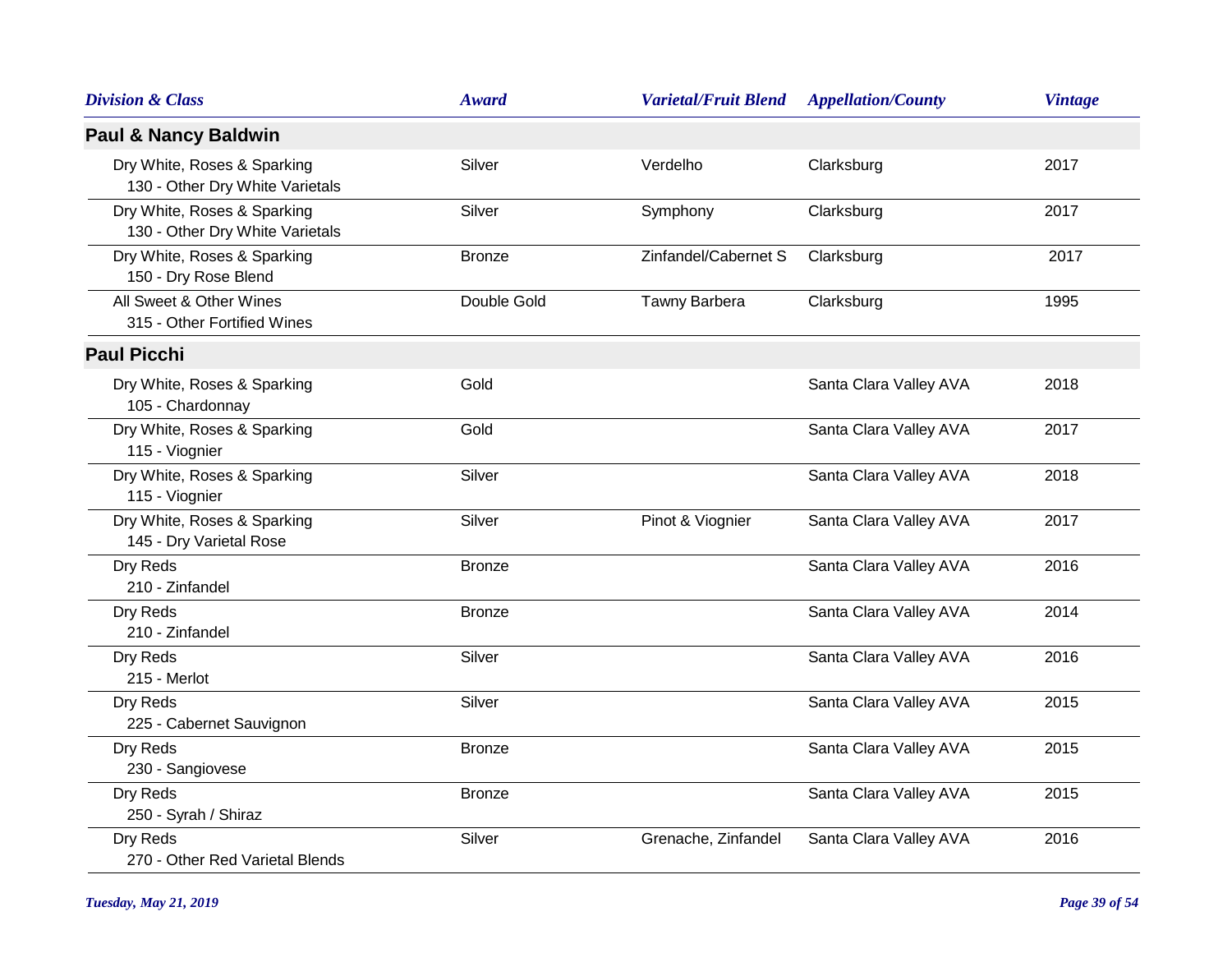| <b>Division &amp; Class</b>                                    | <b>Award</b>  | <b>Varietal/Fruit Blend</b> | <b>Appellation/County</b> | <b>Vintage</b> |
|----------------------------------------------------------------|---------------|-----------------------------|---------------------------|----------------|
| <b>Paul &amp; Nancy Baldwin</b>                                |               |                             |                           |                |
| Dry White, Roses & Sparking<br>130 - Other Dry White Varietals | Silver        | Verdelho                    | Clarksburg                | 2017           |
| Dry White, Roses & Sparking<br>130 - Other Dry White Varietals | Silver        | Symphony                    | Clarksburg                | 2017           |
| Dry White, Roses & Sparking<br>150 - Dry Rose Blend            | <b>Bronze</b> | Zinfandel/Cabernet S        | Clarksburg                | 2017           |
| All Sweet & Other Wines<br>315 - Other Fortified Wines         | Double Gold   | Tawny Barbera               | Clarksburg                | 1995           |
| <b>Paul Picchi</b>                                             |               |                             |                           |                |
| Dry White, Roses & Sparking<br>105 - Chardonnay                | Gold          |                             | Santa Clara Valley AVA    | 2018           |
| Dry White, Roses & Sparking<br>115 - Viognier                  | Gold          |                             | Santa Clara Valley AVA    | 2017           |
| Dry White, Roses & Sparking<br>115 - Viognier                  | Silver        |                             | Santa Clara Valley AVA    | 2018           |
| Dry White, Roses & Sparking<br>145 - Dry Varietal Rose         | Silver        | Pinot & Viognier            | Santa Clara Valley AVA    | 2017           |
| Dry Reds<br>210 - Zinfandel                                    | <b>Bronze</b> |                             | Santa Clara Valley AVA    | 2016           |
| Dry Reds<br>210 - Zinfandel                                    | <b>Bronze</b> |                             | Santa Clara Valley AVA    | 2014           |
| Dry Reds<br>215 - Merlot                                       | Silver        |                             | Santa Clara Valley AVA    | 2016           |
| Dry Reds<br>225 - Cabernet Sauvignon                           | Silver        |                             | Santa Clara Valley AVA    | 2015           |
| Dry Reds<br>230 - Sangiovese                                   | <b>Bronze</b> |                             | Santa Clara Valley AVA    | 2015           |
| Dry Reds<br>250 - Syrah / Shiraz                               | <b>Bronze</b> |                             | Santa Clara Valley AVA    | 2015           |
| Dry Reds<br>270 - Other Red Varietal Blends                    | Silver        | Grenache, Zinfandel         | Santa Clara Valley AVA    | 2016           |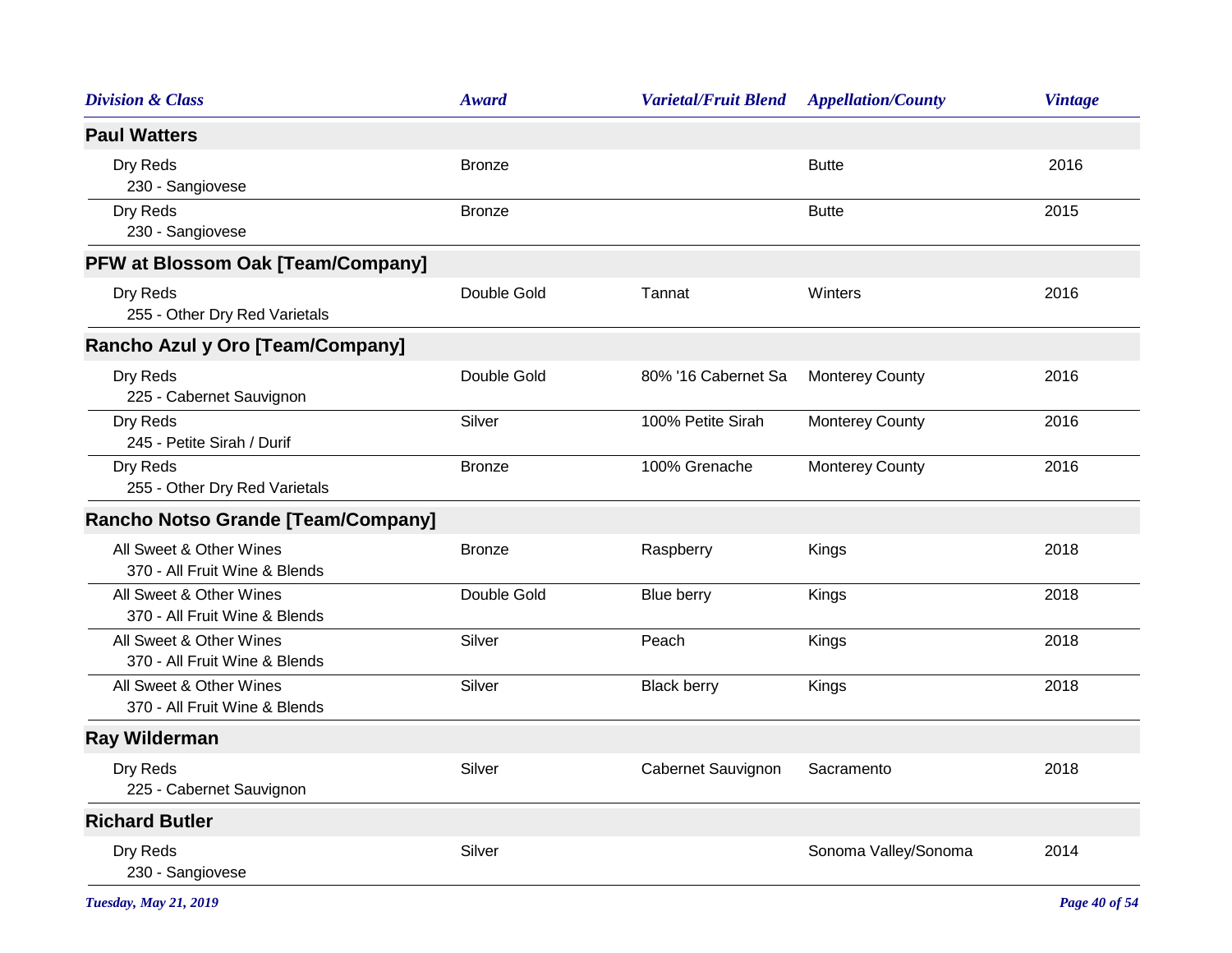| <b>Division &amp; Class</b>                              | <b>Award</b>  | <b>Varietal/Fruit Blend</b> | <b>Appellation/County</b> | <b>Vintage</b> |
|----------------------------------------------------------|---------------|-----------------------------|---------------------------|----------------|
| <b>Paul Watters</b>                                      |               |                             |                           |                |
| Dry Reds<br>230 - Sangiovese                             | <b>Bronze</b> |                             | <b>Butte</b>              | 2016           |
| Dry Reds<br>230 - Sangiovese                             | <b>Bronze</b> |                             | <b>Butte</b>              | 2015           |
| <b>PFW at Blossom Oak [Team/Company]</b>                 |               |                             |                           |                |
| Dry Reds<br>255 - Other Dry Red Varietals                | Double Gold   | Tannat                      | Winters                   | 2016           |
| Rancho Azul y Oro [Team/Company]                         |               |                             |                           |                |
| Dry Reds<br>225 - Cabernet Sauvignon                     | Double Gold   | 80% '16 Cabernet Sa         | <b>Monterey County</b>    | 2016           |
| Dry Reds<br>245 - Petite Sirah / Durif                   | Silver        | 100% Petite Sirah           | <b>Monterey County</b>    | 2016           |
| Dry Reds<br>255 - Other Dry Red Varietals                | <b>Bronze</b> | 100% Grenache               | <b>Monterey County</b>    | 2016           |
| Rancho Notso Grande [Team/Company]                       |               |                             |                           |                |
| All Sweet & Other Wines<br>370 - All Fruit Wine & Blends | <b>Bronze</b> | Raspberry                   | Kings                     | 2018           |
| All Sweet & Other Wines<br>370 - All Fruit Wine & Blends | Double Gold   | Blue berry                  | Kings                     | 2018           |
| All Sweet & Other Wines<br>370 - All Fruit Wine & Blends | Silver        | Peach                       | Kings                     | 2018           |
| All Sweet & Other Wines<br>370 - All Fruit Wine & Blends | Silver        | <b>Black berry</b>          | Kings                     | 2018           |
| <b>Ray Wilderman</b>                                     |               |                             |                           |                |
| Dry Reds<br>225 - Cabernet Sauvignon                     | Silver        | Cabernet Sauvignon          | Sacramento                | 2018           |
| <b>Richard Butler</b>                                    |               |                             |                           |                |
| Dry Reds<br>230 - Sangiovese                             | Silver        |                             | Sonoma Valley/Sonoma      | 2014           |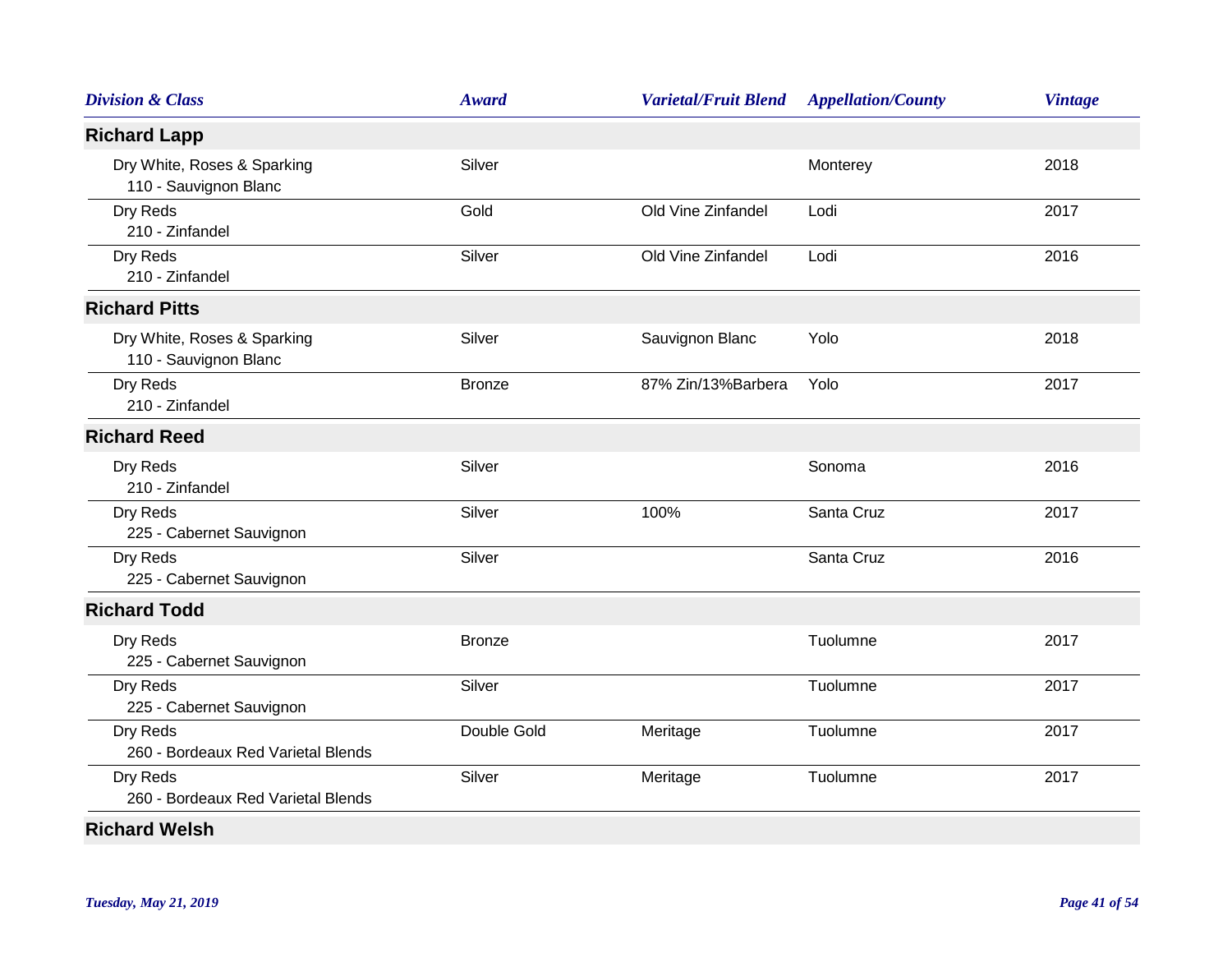| <b>Division &amp; Class</b>                          | <b>Award</b>  | <b>Varietal/Fruit Blend</b> | <b>Appellation/County</b> | <b>Vintage</b> |
|------------------------------------------------------|---------------|-----------------------------|---------------------------|----------------|
| <b>Richard Lapp</b>                                  |               |                             |                           |                |
| Dry White, Roses & Sparking<br>110 - Sauvignon Blanc | Silver        |                             | Monterey                  | 2018           |
| Dry Reds<br>210 - Zinfandel                          | Gold          | Old Vine Zinfandel          | Lodi                      | 2017           |
| Dry Reds<br>210 - Zinfandel                          | Silver        | Old Vine Zinfandel          | Lodi                      | 2016           |
| <b>Richard Pitts</b>                                 |               |                             |                           |                |
| Dry White, Roses & Sparking<br>110 - Sauvignon Blanc | Silver        | Sauvignon Blanc             | Yolo                      | 2018           |
| Dry Reds<br>210 - Zinfandel                          | <b>Bronze</b> | 87% Zin/13%Barbera          | Yolo                      | 2017           |
| <b>Richard Reed</b>                                  |               |                             |                           |                |
| Dry Reds<br>210 - Zinfandel                          | Silver        |                             | Sonoma                    | 2016           |
| Dry Reds<br>225 - Cabernet Sauvignon                 | Silver        | 100%                        | Santa Cruz                | 2017           |
| Dry Reds<br>225 - Cabernet Sauvignon                 | Silver        |                             | Santa Cruz                | 2016           |
| <b>Richard Todd</b>                                  |               |                             |                           |                |
| Dry Reds<br>225 - Cabernet Sauvignon                 | <b>Bronze</b> |                             | Tuolumne                  | 2017           |
| Dry Reds<br>225 - Cabernet Sauvignon                 | Silver        |                             | Tuolumne                  | 2017           |
| Dry Reds<br>260 - Bordeaux Red Varietal Blends       | Double Gold   | Meritage                    | Tuolumne                  | 2017           |
| Dry Reds<br>260 - Bordeaux Red Varietal Blends       | Silver        | Meritage                    | Tuolumne                  | 2017           |
| <b>Richard Welsh</b>                                 |               |                             |                           |                |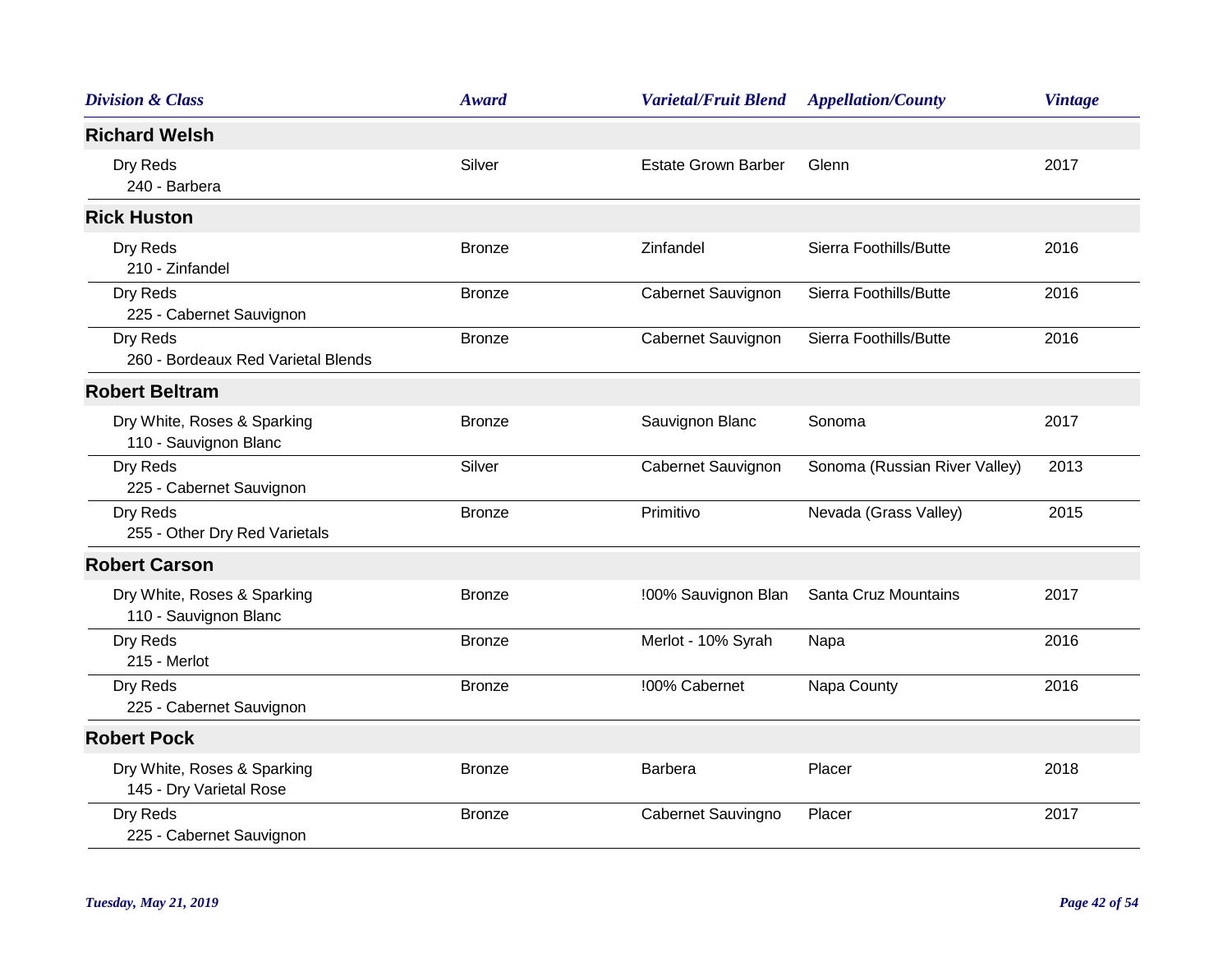| <b>Division &amp; Class</b>                            | <b>Award</b>  | <b>Varietal/Fruit Blend</b> | <b>Appellation/County</b>     | <b>Vintage</b> |
|--------------------------------------------------------|---------------|-----------------------------|-------------------------------|----------------|
| <b>Richard Welsh</b>                                   |               |                             |                               |                |
| Dry Reds<br>240 - Barbera                              | Silver        | <b>Estate Grown Barber</b>  | Glenn                         | 2017           |
| <b>Rick Huston</b>                                     |               |                             |                               |                |
| Dry Reds<br>210 - Zinfandel                            | <b>Bronze</b> | Zinfandel                   | Sierra Foothills/Butte        | 2016           |
| Dry Reds<br>225 - Cabernet Sauvignon                   | <b>Bronze</b> | Cabernet Sauvignon          | Sierra Foothills/Butte        | 2016           |
| Dry Reds<br>260 - Bordeaux Red Varietal Blends         | <b>Bronze</b> | Cabernet Sauvignon          | Sierra Foothills/Butte        | 2016           |
| <b>Robert Beltram</b>                                  |               |                             |                               |                |
| Dry White, Roses & Sparking<br>110 - Sauvignon Blanc   | <b>Bronze</b> | Sauvignon Blanc             | Sonoma                        | 2017           |
| Dry Reds<br>225 - Cabernet Sauvignon                   | Silver        | Cabernet Sauvignon          | Sonoma (Russian River Valley) | 2013           |
| Dry Reds<br>255 - Other Dry Red Varietals              | <b>Bronze</b> | Primitivo                   | Nevada (Grass Valley)         | 2015           |
| <b>Robert Carson</b>                                   |               |                             |                               |                |
| Dry White, Roses & Sparking<br>110 - Sauvignon Blanc   | <b>Bronze</b> | !00% Sauvignon Blan         | Santa Cruz Mountains          | 2017           |
| Dry Reds<br>215 - Merlot                               | <b>Bronze</b> | Merlot - 10% Syrah          | Napa                          | 2016           |
| Dry Reds<br>225 - Cabernet Sauvignon                   | <b>Bronze</b> | !00% Cabernet               | Napa County                   | 2016           |
| <b>Robert Pock</b>                                     |               |                             |                               |                |
| Dry White, Roses & Sparking<br>145 - Dry Varietal Rose | <b>Bronze</b> | Barbera                     | Placer                        | 2018           |
| Dry Reds<br>225 - Cabernet Sauvignon                   | <b>Bronze</b> | Cabernet Sauvingno          | Placer                        | 2017           |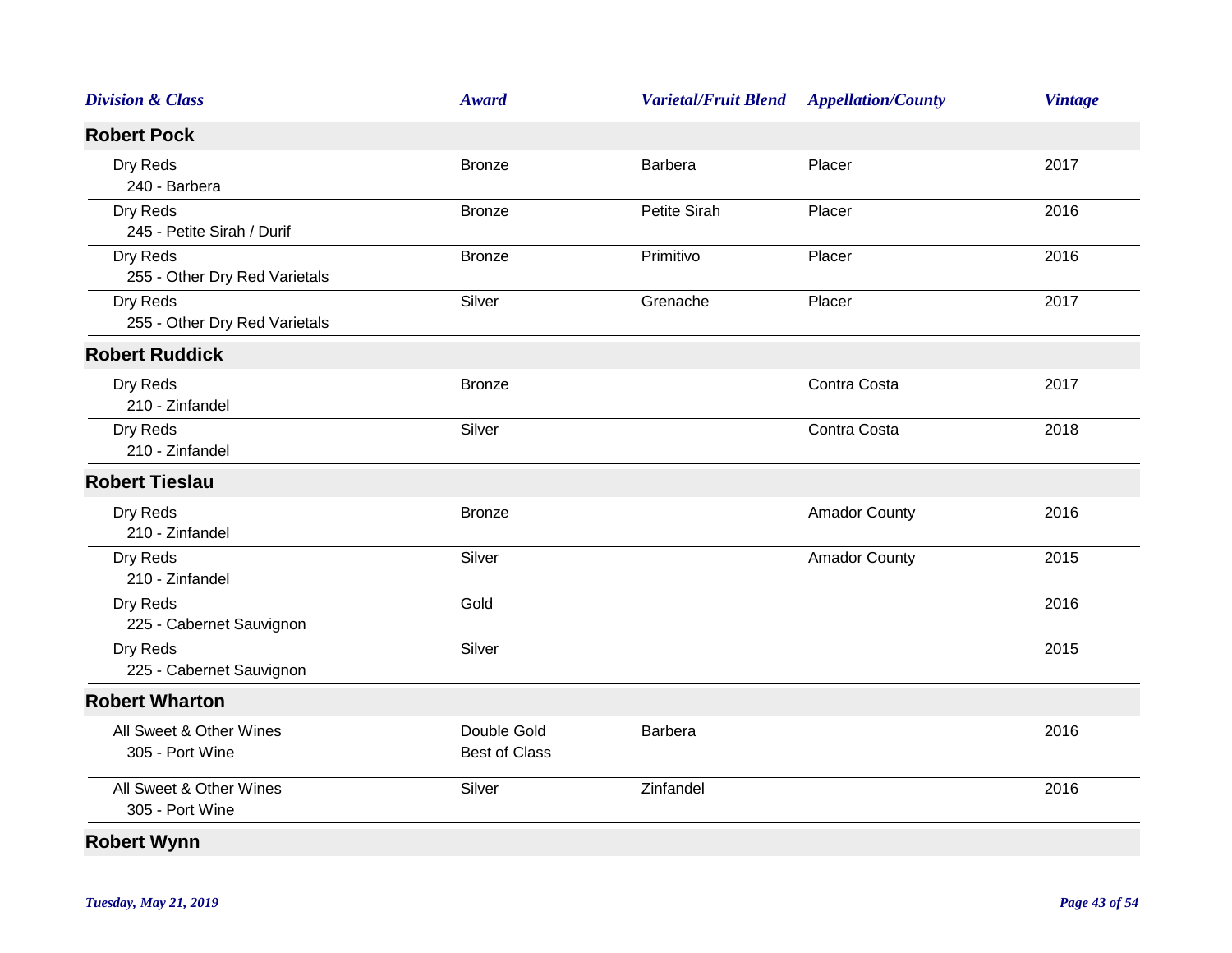| <b>Division &amp; Class</b>                | <b>Award</b>                        | <b>Varietal/Fruit Blend</b> | <b>Appellation/County</b> | <b>Vintage</b> |
|--------------------------------------------|-------------------------------------|-----------------------------|---------------------------|----------------|
| <b>Robert Pock</b>                         |                                     |                             |                           |                |
| Dry Reds<br>240 - Barbera                  | <b>Bronze</b>                       | <b>Barbera</b>              | Placer                    | 2017           |
| Dry Reds<br>245 - Petite Sirah / Durif     | <b>Bronze</b>                       | Petite Sirah                | Placer                    | 2016           |
| Dry Reds<br>255 - Other Dry Red Varietals  | <b>Bronze</b>                       | Primitivo                   | Placer                    | 2016           |
| Dry Reds<br>255 - Other Dry Red Varietals  | Silver                              | Grenache                    | Placer                    | 2017           |
| <b>Robert Ruddick</b>                      |                                     |                             |                           |                |
| Dry Reds<br>210 - Zinfandel                | <b>Bronze</b>                       |                             | Contra Costa              | 2017           |
| Dry Reds<br>210 - Zinfandel                | Silver                              |                             | Contra Costa              | 2018           |
| <b>Robert Tieslau</b>                      |                                     |                             |                           |                |
| Dry Reds<br>210 - Zinfandel                | <b>Bronze</b>                       |                             | <b>Amador County</b>      | 2016           |
| Dry Reds<br>210 - Zinfandel                | Silver                              |                             | <b>Amador County</b>      | 2015           |
| Dry Reds<br>225 - Cabernet Sauvignon       | Gold                                |                             |                           | 2016           |
| Dry Reds<br>225 - Cabernet Sauvignon       | Silver                              |                             |                           | 2015           |
| <b>Robert Wharton</b>                      |                                     |                             |                           |                |
| All Sweet & Other Wines<br>305 - Port Wine | Double Gold<br><b>Best of Class</b> | <b>Barbera</b>              |                           | 2016           |
| All Sweet & Other Wines<br>305 - Port Wine | Silver                              | Zinfandel                   |                           | 2016           |
| <b>Robert Wynn</b>                         |                                     |                             |                           |                |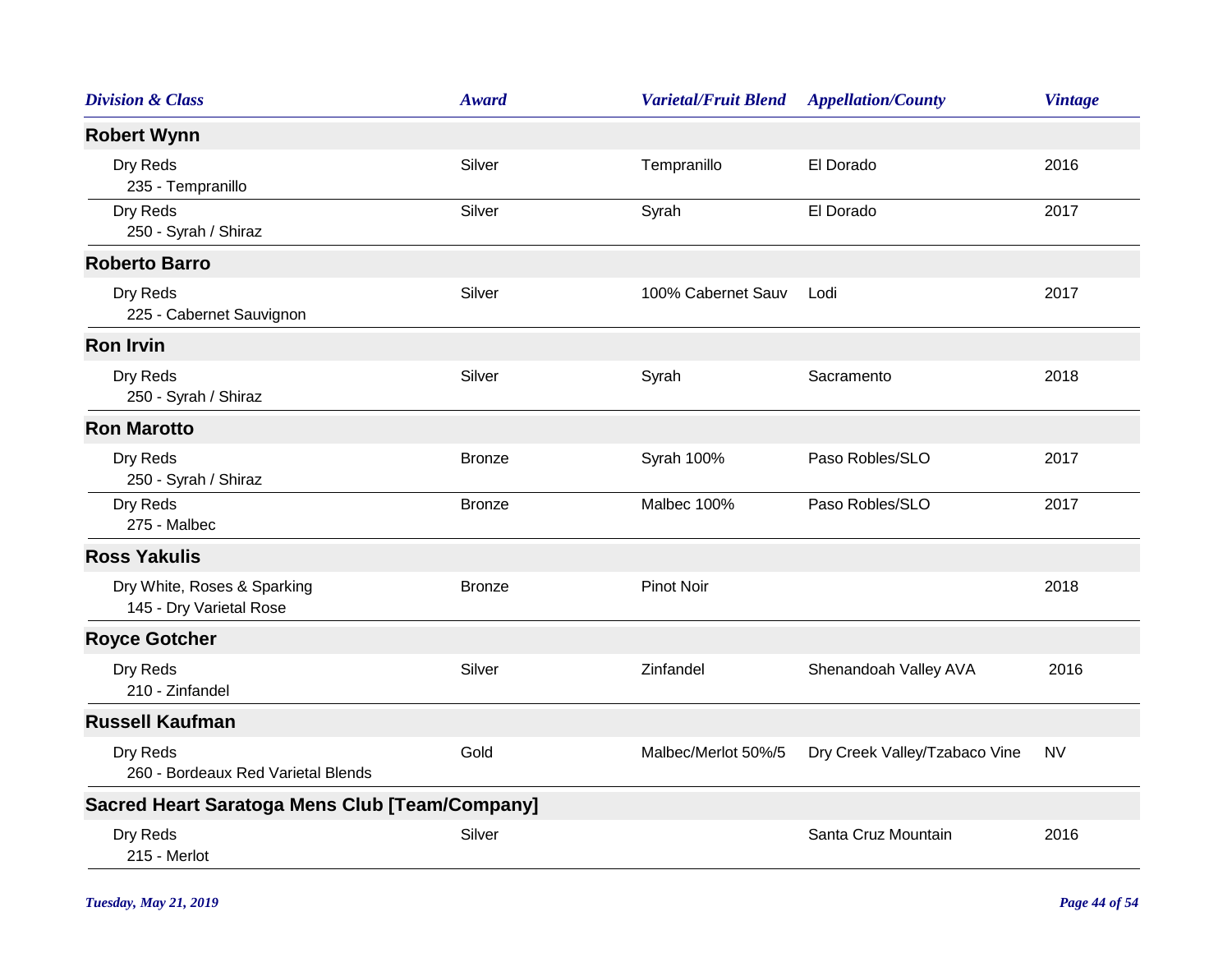| <b>Division &amp; Class</b>                            | Award         | <b>Varietal/Fruit Blend</b> | <b>Appellation/County</b>     | <b>Vintage</b> |
|--------------------------------------------------------|---------------|-----------------------------|-------------------------------|----------------|
| <b>Robert Wynn</b>                                     |               |                             |                               |                |
| Dry Reds<br>235 - Tempranillo                          | Silver        | Tempranillo                 | El Dorado                     | 2016           |
| Dry Reds<br>250 - Syrah / Shiraz                       | Silver        | Syrah                       | El Dorado                     | 2017           |
| <b>Roberto Barro</b>                                   |               |                             |                               |                |
| Dry Reds<br>225 - Cabernet Sauvignon                   | Silver        | 100% Cabernet Sauv          | Lodi                          | 2017           |
| <b>Ron Irvin</b>                                       |               |                             |                               |                |
| Dry Reds<br>250 - Syrah / Shiraz                       | Silver        | Syrah                       | Sacramento                    | 2018           |
| <b>Ron Marotto</b>                                     |               |                             |                               |                |
| Dry Reds<br>250 - Syrah / Shiraz                       | <b>Bronze</b> | Syrah 100%                  | Paso Robles/SLO               | 2017           |
| Dry Reds<br>275 - Malbec                               | <b>Bronze</b> | Malbec 100%                 | Paso Robles/SLO               | 2017           |
| <b>Ross Yakulis</b>                                    |               |                             |                               |                |
| Dry White, Roses & Sparking<br>145 - Dry Varietal Rose | <b>Bronze</b> | <b>Pinot Noir</b>           |                               | 2018           |
| <b>Royce Gotcher</b>                                   |               |                             |                               |                |
| Dry Reds<br>210 - Zinfandel                            | Silver        | Zinfandel                   | Shenandoah Valley AVA         | 2016           |
| <b>Russell Kaufman</b>                                 |               |                             |                               |                |
| Dry Reds<br>260 - Bordeaux Red Varietal Blends         | Gold          | Malbec/Merlot 50%/5         | Dry Creek Valley/Tzabaco Vine | <b>NV</b>      |
| <b>Sacred Heart Saratoga Mens Club [Team/Company]</b>  |               |                             |                               |                |
| Dry Reds<br>215 - Merlot                               | Silver        |                             | Santa Cruz Mountain           | 2016           |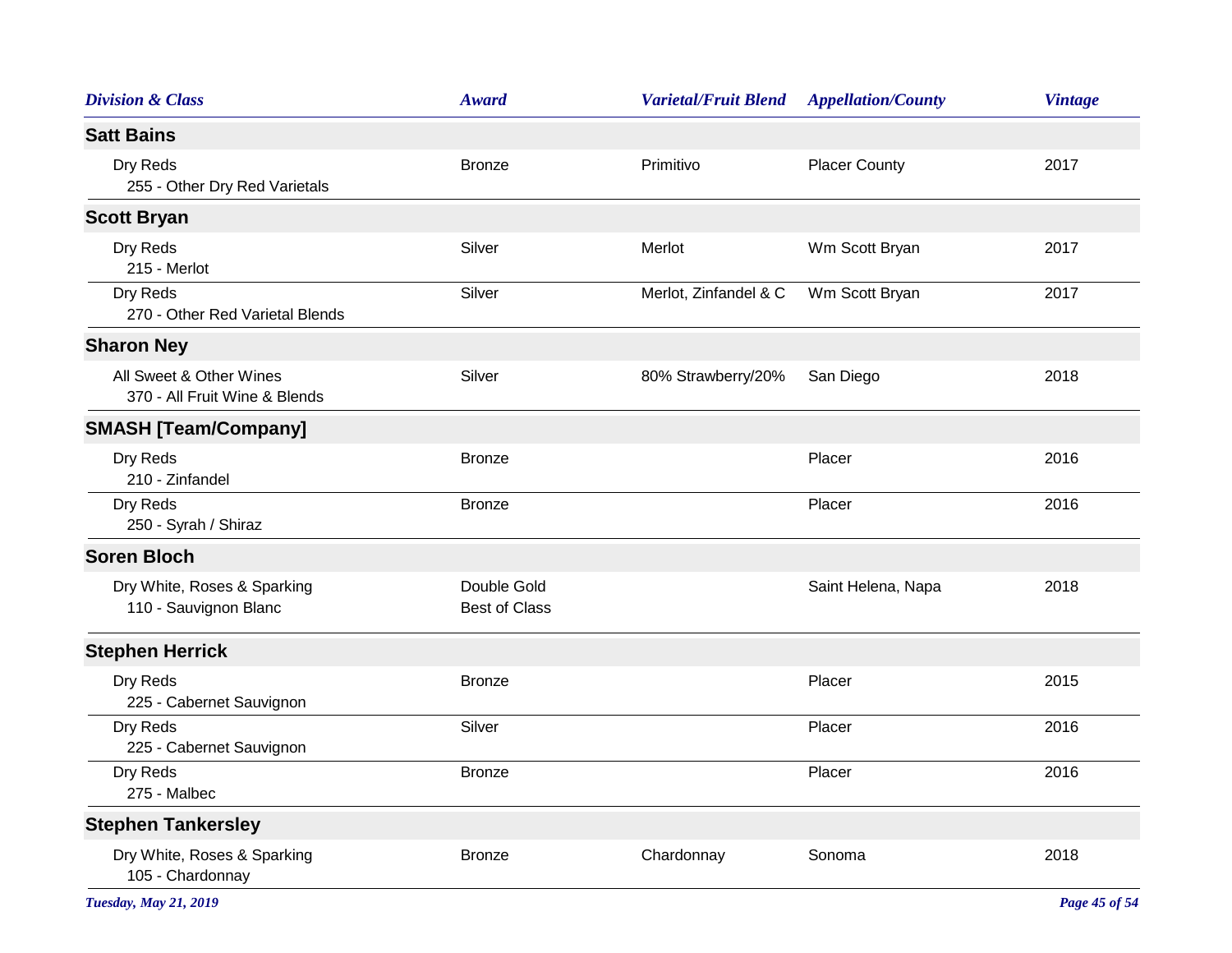| <b>Division &amp; Class</b>                              | <b>Award</b>                        | <b>Varietal/Fruit Blend</b> | <b>Appellation/County</b> | <b>Vintage</b> |
|----------------------------------------------------------|-------------------------------------|-----------------------------|---------------------------|----------------|
| <b>Satt Bains</b>                                        |                                     |                             |                           |                |
| Dry Reds<br>255 - Other Dry Red Varietals                | <b>Bronze</b>                       | Primitivo                   | <b>Placer County</b>      | 2017           |
| <b>Scott Bryan</b>                                       |                                     |                             |                           |                |
| Dry Reds<br>215 - Merlot                                 | Silver                              | Merlot                      | Wm Scott Bryan            | 2017           |
| Dry Reds<br>270 - Other Red Varietal Blends              | Silver                              | Merlot, Zinfandel & C       | Wm Scott Bryan            | 2017           |
| <b>Sharon Ney</b>                                        |                                     |                             |                           |                |
| All Sweet & Other Wines<br>370 - All Fruit Wine & Blends | Silver                              | 80% Strawberry/20%          | San Diego                 | 2018           |
| <b>SMASH [Team/Company]</b>                              |                                     |                             |                           |                |
| Dry Reds<br>210 - Zinfandel                              | <b>Bronze</b>                       |                             | Placer                    | 2016           |
| Dry Reds<br>250 - Syrah / Shiraz                         | <b>Bronze</b>                       |                             | Placer                    | 2016           |
| <b>Soren Bloch</b>                                       |                                     |                             |                           |                |
| Dry White, Roses & Sparking<br>110 - Sauvignon Blanc     | Double Gold<br><b>Best of Class</b> |                             | Saint Helena, Napa        | 2018           |
| <b>Stephen Herrick</b>                                   |                                     |                             |                           |                |
| Dry Reds<br>225 - Cabernet Sauvignon                     | <b>Bronze</b>                       |                             | Placer                    | 2015           |
| Dry Reds<br>225 - Cabernet Sauvignon                     | Silver                              |                             | Placer                    | 2016           |
| Dry Reds<br>275 - Malbec                                 | <b>Bronze</b>                       |                             | Placer                    | 2016           |
| <b>Stephen Tankersley</b>                                |                                     |                             |                           |                |
| Dry White, Roses & Sparking<br>105 - Chardonnay          | <b>Bronze</b>                       | Chardonnay                  | Sonoma                    | 2018           |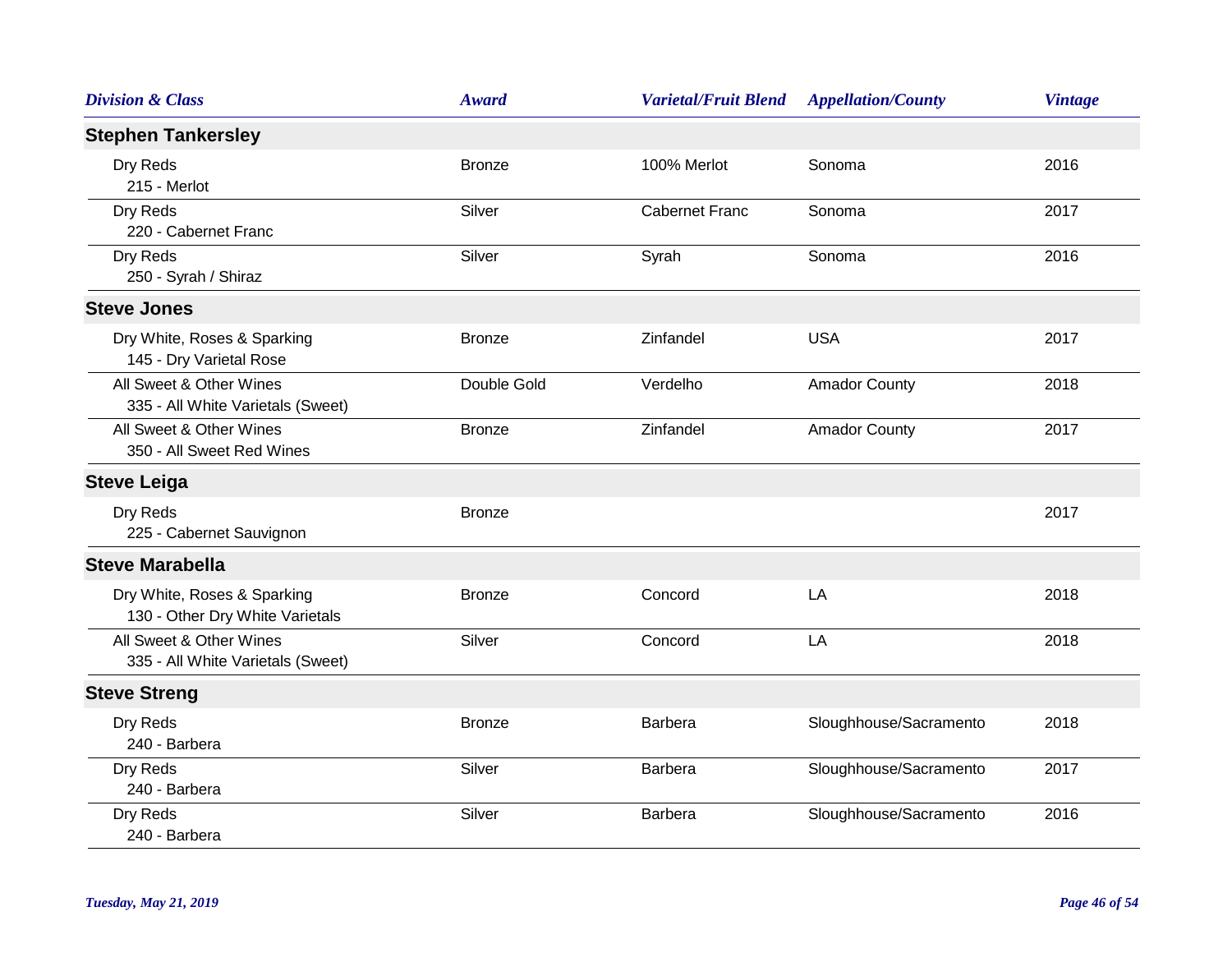| <b>Division &amp; Class</b>                                    | <b>Award</b>  | <b>Varietal/Fruit Blend</b> | <b>Appellation/County</b> | <b>Vintage</b> |
|----------------------------------------------------------------|---------------|-----------------------------|---------------------------|----------------|
| <b>Stephen Tankersley</b>                                      |               |                             |                           |                |
| Dry Reds<br>215 - Merlot                                       | <b>Bronze</b> | 100% Merlot                 | Sonoma                    | 2016           |
| Dry Reds<br>220 - Cabernet Franc                               | Silver        | <b>Cabernet Franc</b>       | Sonoma                    | 2017           |
| Dry Reds<br>250 - Syrah / Shiraz                               | Silver        | Syrah                       | Sonoma                    | 2016           |
| <b>Steve Jones</b>                                             |               |                             |                           |                |
| Dry White, Roses & Sparking<br>145 - Dry Varietal Rose         | <b>Bronze</b> | Zinfandel                   | <b>USA</b>                | 2017           |
| All Sweet & Other Wines<br>335 - All White Varietals (Sweet)   | Double Gold   | Verdelho                    | <b>Amador County</b>      | 2018           |
| All Sweet & Other Wines<br>350 - All Sweet Red Wines           | <b>Bronze</b> | Zinfandel                   | <b>Amador County</b>      | 2017           |
| <b>Steve Leiga</b>                                             |               |                             |                           |                |
| Dry Reds<br>225 - Cabernet Sauvignon                           | <b>Bronze</b> |                             |                           | 2017           |
| <b>Steve Marabella</b>                                         |               |                             |                           |                |
| Dry White, Roses & Sparking<br>130 - Other Dry White Varietals | <b>Bronze</b> | Concord                     | LA                        | 2018           |
| All Sweet & Other Wines<br>335 - All White Varietals (Sweet)   | Silver        | Concord                     | LA                        | 2018           |
| <b>Steve Streng</b>                                            |               |                             |                           |                |
| Dry Reds<br>240 - Barbera                                      | <b>Bronze</b> | Barbera                     | Sloughhouse/Sacramento    | 2018           |
| Dry Reds<br>240 - Barbera                                      | Silver        | Barbera                     | Sloughhouse/Sacramento    | 2017           |
| Dry Reds<br>240 - Barbera                                      | Silver        | Barbera                     | Sloughhouse/Sacramento    | 2016           |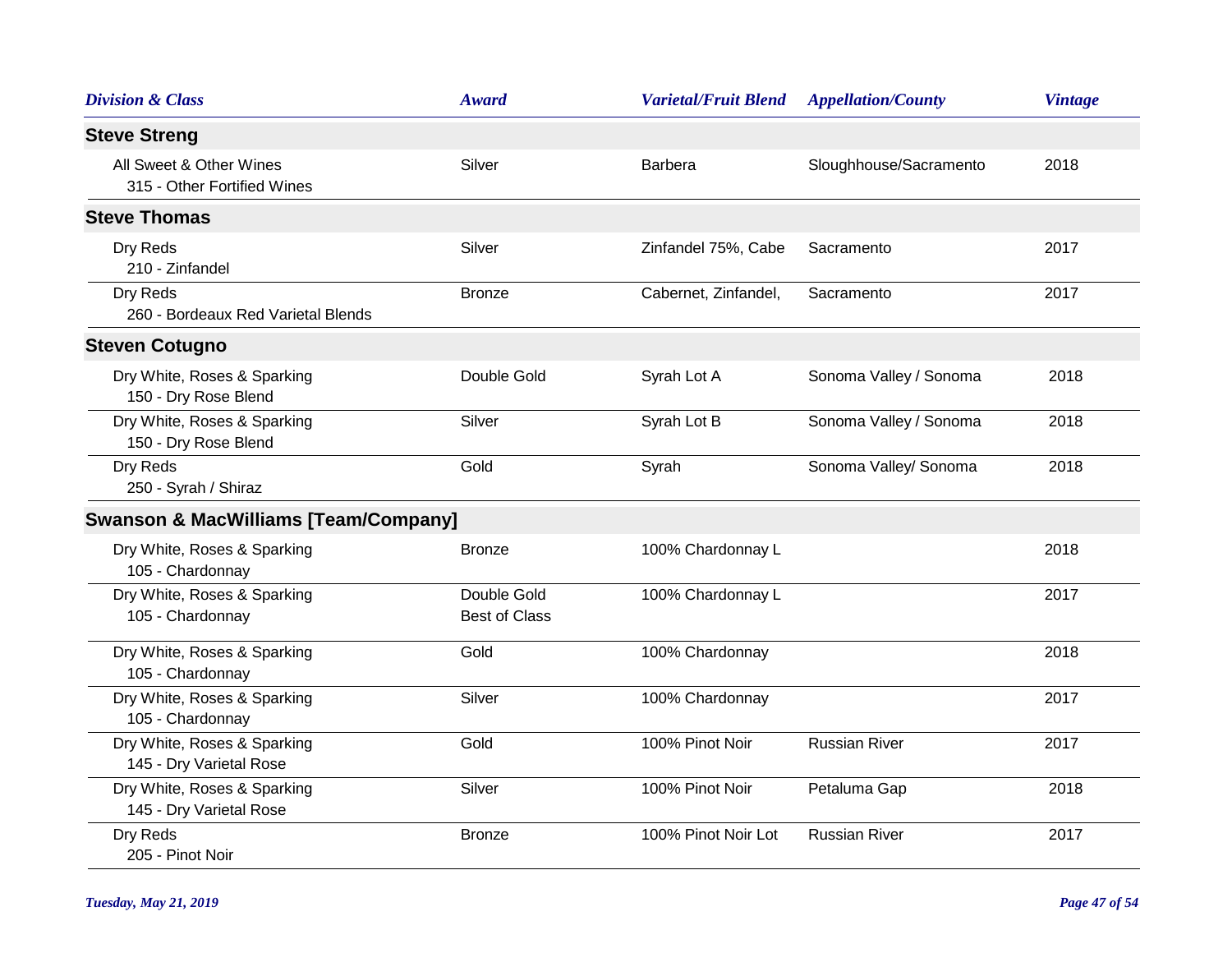| <b>Division &amp; Class</b>                            | <b>Award</b>                        | <b>Varietal/Fruit Blend</b> | <b>Appellation/County</b> | <b>Vintage</b> |
|--------------------------------------------------------|-------------------------------------|-----------------------------|---------------------------|----------------|
| <b>Steve Streng</b>                                    |                                     |                             |                           |                |
| All Sweet & Other Wines<br>315 - Other Fortified Wines | Silver                              | <b>Barbera</b>              | Sloughhouse/Sacramento    | 2018           |
| <b>Steve Thomas</b>                                    |                                     |                             |                           |                |
| Dry Reds<br>210 - Zinfandel                            | Silver                              | Zinfandel 75%, Cabe         | Sacramento                | 2017           |
| Dry Reds<br>260 - Bordeaux Red Varietal Blends         | <b>Bronze</b>                       | Cabernet, Zinfandel,        | Sacramento                | 2017           |
| <b>Steven Cotugno</b>                                  |                                     |                             |                           |                |
| Dry White, Roses & Sparking<br>150 - Dry Rose Blend    | Double Gold                         | Syrah Lot A                 | Sonoma Valley / Sonoma    | 2018           |
| Dry White, Roses & Sparking<br>150 - Dry Rose Blend    | Silver                              | Syrah Lot B                 | Sonoma Valley / Sonoma    | 2018           |
| Dry Reds<br>250 - Syrah / Shiraz                       | Gold                                | Syrah                       | Sonoma Valley/ Sonoma     | 2018           |
| <b>Swanson &amp; MacWilliams [Team/Company]</b>        |                                     |                             |                           |                |
| Dry White, Roses & Sparking<br>105 - Chardonnay        | <b>Bronze</b>                       | 100% Chardonnay L           |                           | 2018           |
| Dry White, Roses & Sparking<br>105 - Chardonnay        | Double Gold<br><b>Best of Class</b> | 100% Chardonnay L           |                           | 2017           |
| Dry White, Roses & Sparking<br>105 - Chardonnay        | Gold                                | 100% Chardonnay             |                           | 2018           |
| Dry White, Roses & Sparking<br>105 - Chardonnay        | Silver                              | 100% Chardonnay             |                           | 2017           |
| Dry White, Roses & Sparking<br>145 - Dry Varietal Rose | Gold                                | 100% Pinot Noir             | <b>Russian River</b>      | 2017           |
| Dry White, Roses & Sparking<br>145 - Dry Varietal Rose | Silver                              | 100% Pinot Noir             | Petaluma Gap              | 2018           |
| Dry Reds<br>205 - Pinot Noir                           | <b>Bronze</b>                       | 100% Pinot Noir Lot         | <b>Russian River</b>      | 2017           |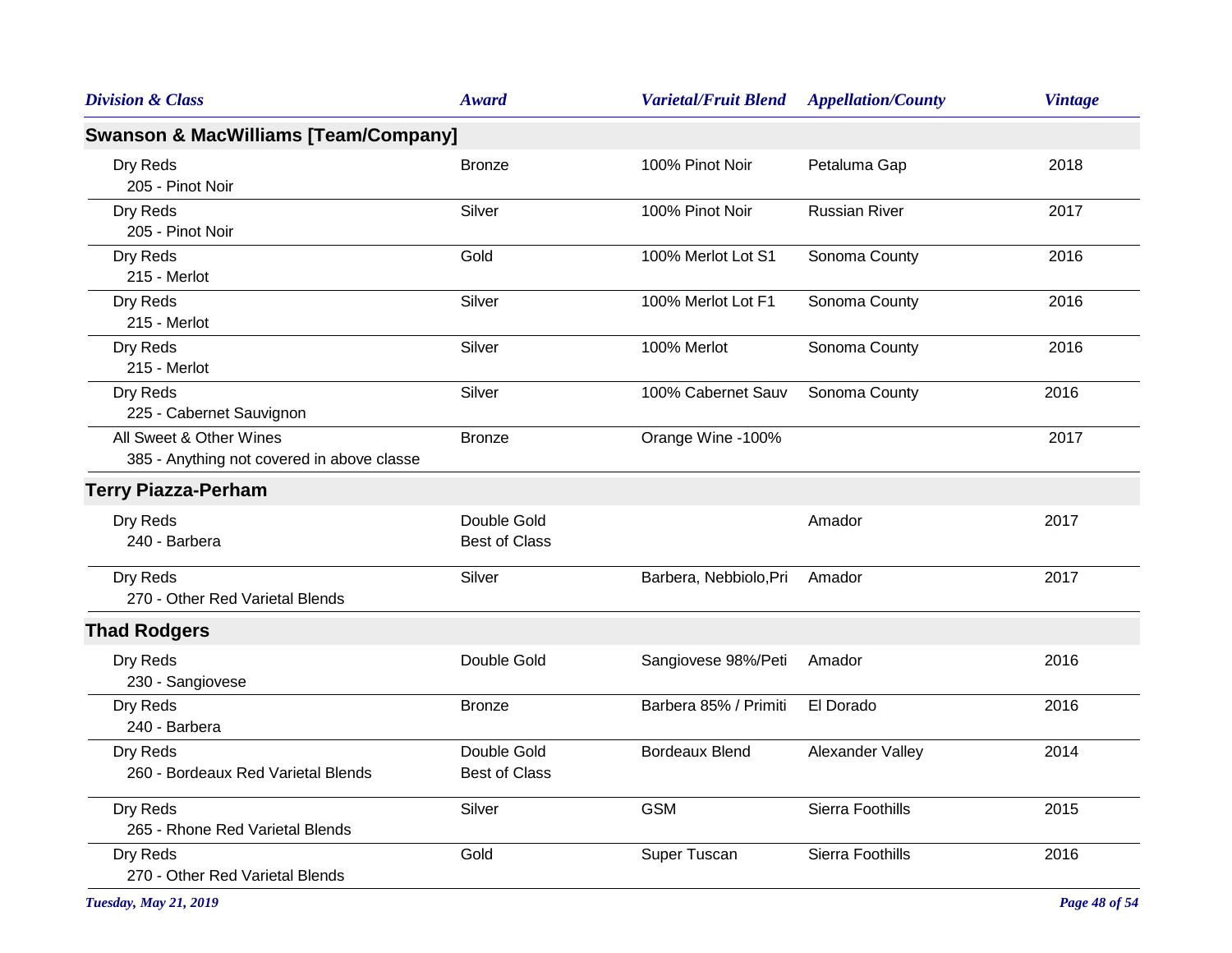| <b>Division &amp; Class</b>                                           | Award                               | <b>Varietal/Fruit Blend</b> | <b>Appellation/County</b> | <b>Vintage</b> |
|-----------------------------------------------------------------------|-------------------------------------|-----------------------------|---------------------------|----------------|
| <b>Swanson &amp; MacWilliams [Team/Company]</b>                       |                                     |                             |                           |                |
| Dry Reds<br>205 - Pinot Noir                                          | <b>Bronze</b>                       | 100% Pinot Noir             | Petaluma Gap              | 2018           |
| Dry Reds<br>205 - Pinot Noir                                          | Silver                              | 100% Pinot Noir             | <b>Russian River</b>      | 2017           |
| Dry Reds<br>215 - Merlot                                              | Gold                                | 100% Merlot Lot S1          | Sonoma County             | 2016           |
| Dry Reds<br>215 - Merlot                                              | Silver                              | 100% Merlot Lot F1          | Sonoma County             | 2016           |
| Dry Reds<br>215 - Merlot                                              | Silver                              | 100% Merlot                 | Sonoma County             | 2016           |
| Dry Reds<br>225 - Cabernet Sauvignon                                  | Silver                              | 100% Cabernet Sauv          | Sonoma County             | 2016           |
| All Sweet & Other Wines<br>385 - Anything not covered in above classe | <b>Bronze</b>                       | Orange Wine -100%           |                           | 2017           |
| <b>Terry Piazza-Perham</b>                                            |                                     |                             |                           |                |
| Dry Reds<br>240 - Barbera                                             | Double Gold<br><b>Best of Class</b> |                             | Amador                    | 2017           |
| Dry Reds<br>270 - Other Red Varietal Blends                           | Silver                              | Barbera, Nebbiolo, Pri      | Amador                    | 2017           |
| <b>Thad Rodgers</b>                                                   |                                     |                             |                           |                |
| Dry Reds<br>230 - Sangiovese                                          | Double Gold                         | Sangiovese 98%/Peti         | Amador                    | 2016           |
| Dry Reds<br>240 - Barbera                                             | <b>Bronze</b>                       | Barbera 85% / Primiti       | El Dorado                 | 2016           |
| Dry Reds<br>260 - Bordeaux Red Varietal Blends                        | Double Gold<br><b>Best of Class</b> | <b>Bordeaux Blend</b>       | Alexander Valley          | 2014           |
| Dry Reds<br>265 - Rhone Red Varietal Blends                           | Silver                              | <b>GSM</b>                  | Sierra Foothills          | 2015           |
| Dry Reds<br>270 - Other Red Varietal Blends                           | Gold                                | Super Tuscan                | Sierra Foothills          | 2016           |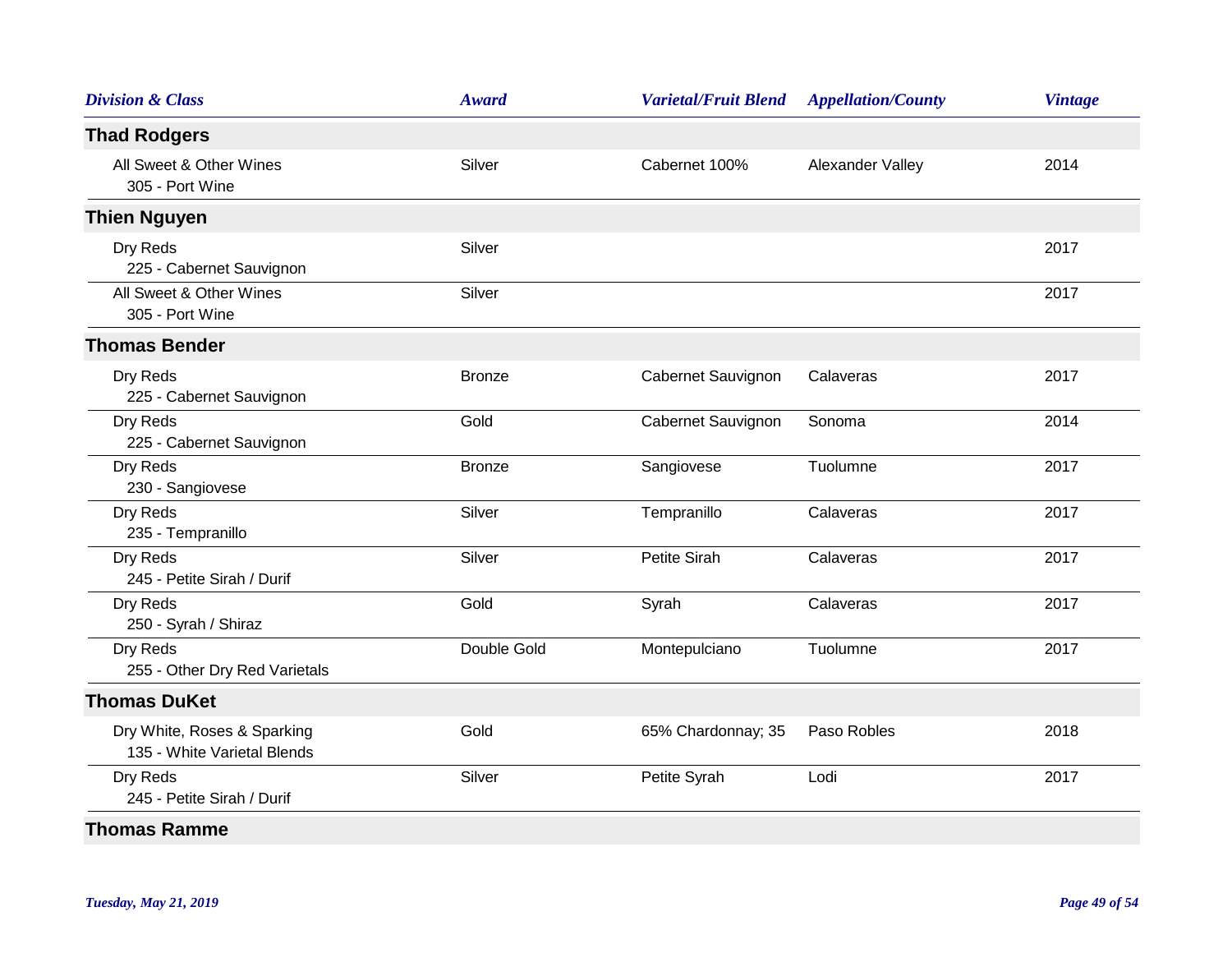| <b>Award</b>  | <b>Varietal/Fruit Blend</b> | <b>Appellation/County</b> | <b>Vintage</b> |
|---------------|-----------------------------|---------------------------|----------------|
|               |                             |                           |                |
| Silver        | Cabernet 100%               | Alexander Valley          | 2014           |
|               |                             |                           |                |
| Silver        |                             |                           | 2017           |
| Silver        |                             |                           | 2017           |
|               |                             |                           |                |
| <b>Bronze</b> | Cabernet Sauvignon          | Calaveras                 | 2017           |
| Gold          | Cabernet Sauvignon          | Sonoma                    | 2014           |
| <b>Bronze</b> | Sangiovese                  | Tuolumne                  | 2017           |
| Silver        | Tempranillo                 | Calaveras                 | 2017           |
| Silver        | <b>Petite Sirah</b>         | Calaveras                 | 2017           |
| Gold          | Syrah                       | Calaveras                 | 2017           |
| Double Gold   | Montepulciano               | Tuolumne                  | 2017           |
|               |                             |                           |                |
| Gold          | 65% Chardonnay; 35          | Paso Robles               | 2018           |
| Silver        | Petite Syrah                | Lodi                      | 2017           |
|               |                             |                           |                |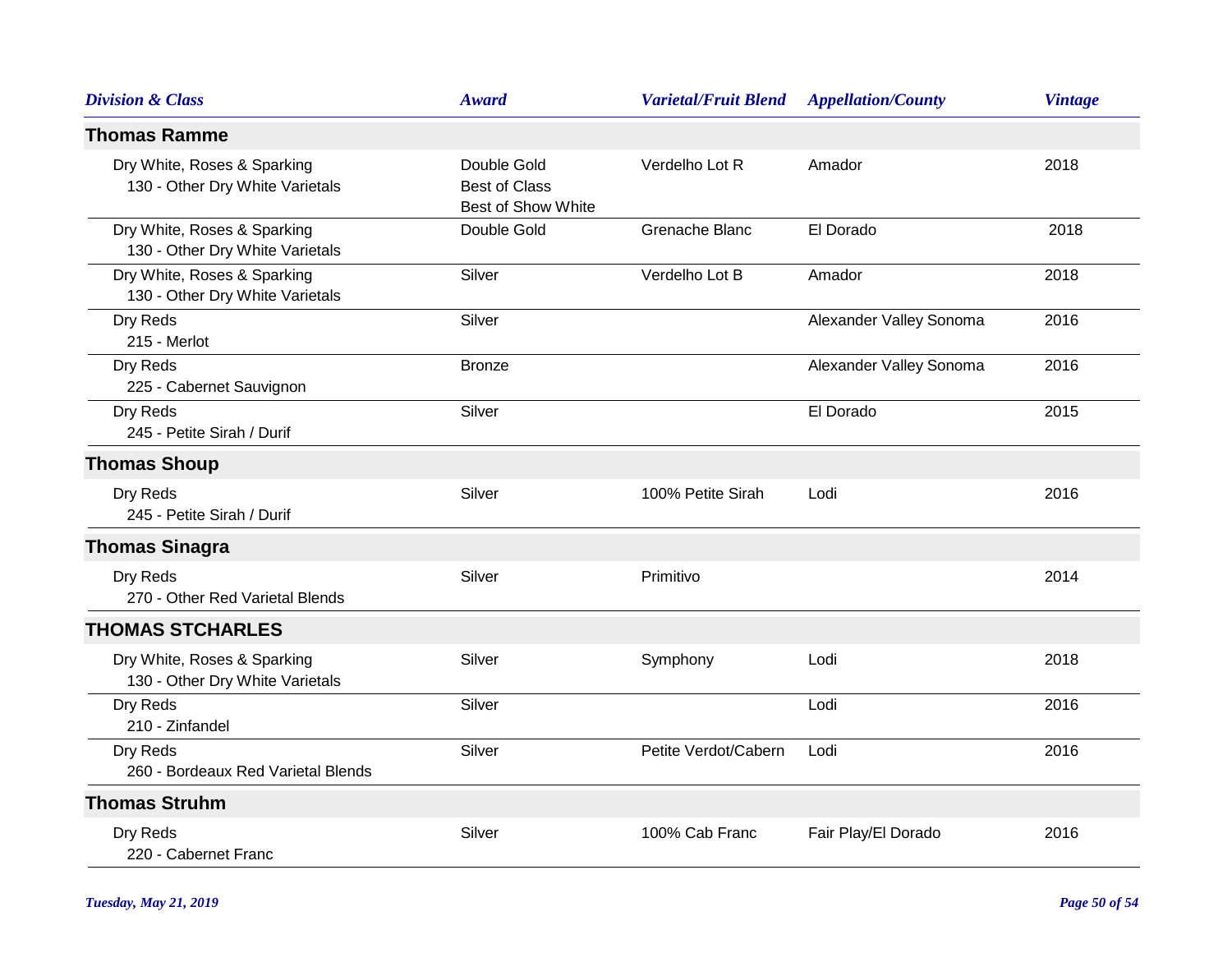| <b>Division &amp; Class</b>                                    | <b>Award</b>                                                     | <b>Varietal/Fruit Blend</b> | <b>Appellation/County</b> | <b>Vintage</b> |
|----------------------------------------------------------------|------------------------------------------------------------------|-----------------------------|---------------------------|----------------|
| <b>Thomas Ramme</b>                                            |                                                                  |                             |                           |                |
| Dry White, Roses & Sparking<br>130 - Other Dry White Varietals | Double Gold<br><b>Best of Class</b><br><b>Best of Show White</b> | Verdelho Lot R              | Amador                    | 2018           |
| Dry White, Roses & Sparking<br>130 - Other Dry White Varietals | Double Gold                                                      | Grenache Blanc              | El Dorado                 | 2018           |
| Dry White, Roses & Sparking<br>130 - Other Dry White Varietals | Silver                                                           | Verdelho Lot B              | Amador                    | 2018           |
| Dry Reds<br>215 - Merlot                                       | Silver                                                           |                             | Alexander Valley Sonoma   | 2016           |
| Dry Reds<br>225 - Cabernet Sauvignon                           | <b>Bronze</b>                                                    |                             | Alexander Valley Sonoma   | 2016           |
| Dry Reds<br>245 - Petite Sirah / Durif                         | Silver                                                           |                             | El Dorado                 | 2015           |
| <b>Thomas Shoup</b>                                            |                                                                  |                             |                           |                |
| Dry Reds<br>245 - Petite Sirah / Durif                         | Silver                                                           | 100% Petite Sirah           | Lodi                      | 2016           |
| <b>Thomas Sinagra</b>                                          |                                                                  |                             |                           |                |
| Dry Reds<br>270 - Other Red Varietal Blends                    | Silver                                                           | Primitivo                   |                           | 2014           |
| <b>THOMAS STCHARLES</b>                                        |                                                                  |                             |                           |                |
| Dry White, Roses & Sparking<br>130 - Other Dry White Varietals | Silver                                                           | Symphony                    | Lodi                      | 2018           |
| Dry Reds<br>210 - Zinfandel                                    | Silver                                                           |                             | Lodi                      | 2016           |
| Dry Reds<br>260 - Bordeaux Red Varietal Blends                 | Silver                                                           | Petite Verdot/Cabern        | Lodi                      | 2016           |
| <b>Thomas Struhm</b>                                           |                                                                  |                             |                           |                |
| Dry Reds<br>220 - Cabernet Franc                               | Silver                                                           | 100% Cab Franc              | Fair Play/El Dorado       | 2016           |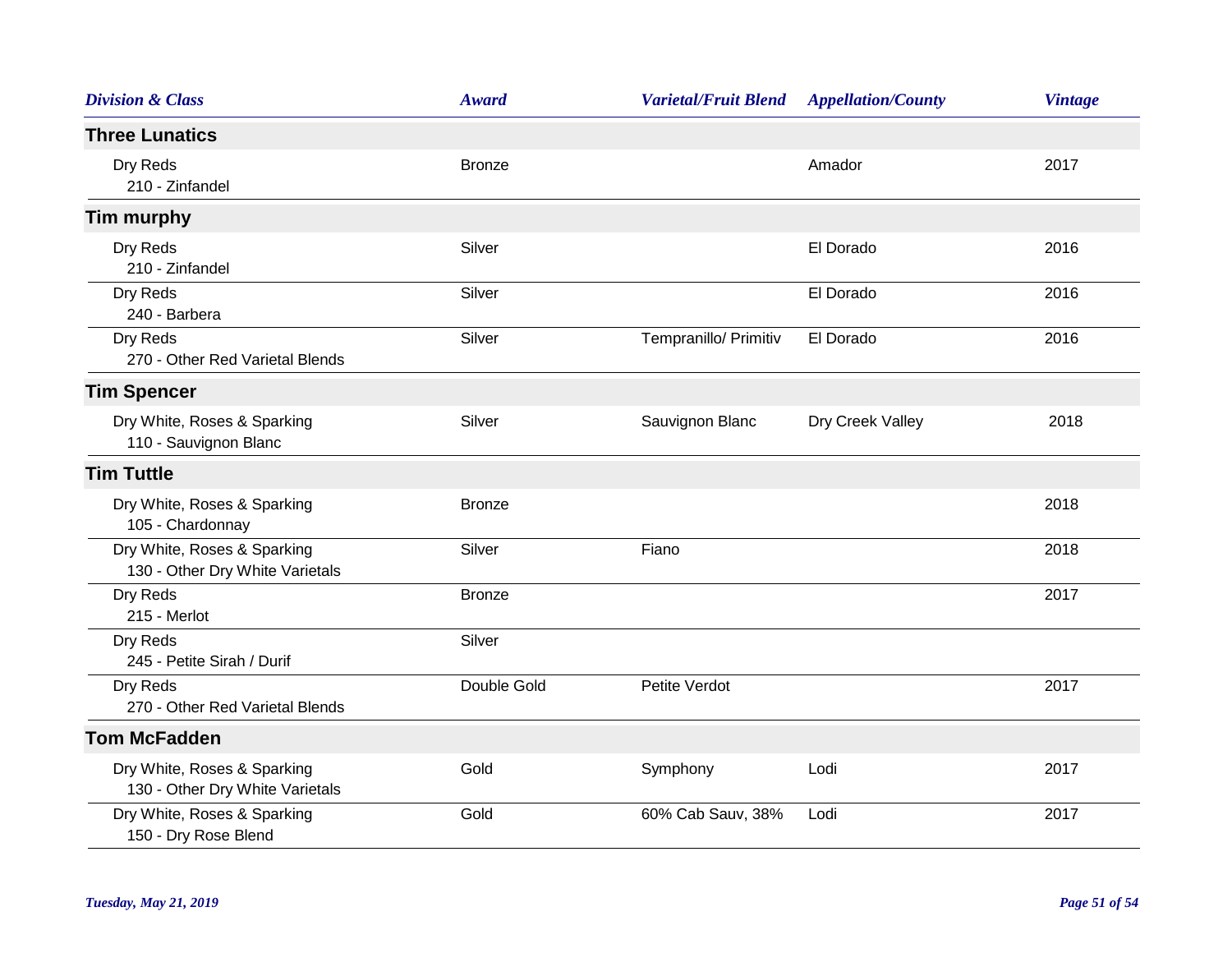| <b>Division &amp; Class</b>                                    | <b>Award</b>  | <b>Varietal/Fruit Blend</b> | <b>Appellation/County</b> | <b>Vintage</b> |
|----------------------------------------------------------------|---------------|-----------------------------|---------------------------|----------------|
| <b>Three Lunatics</b>                                          |               |                             |                           |                |
| Dry Reds<br>210 - Zinfandel                                    | <b>Bronze</b> |                             | Amador                    | 2017           |
| <b>Tim murphy</b>                                              |               |                             |                           |                |
| Dry Reds<br>210 - Zinfandel                                    | Silver        |                             | El Dorado                 | 2016           |
| Dry Reds<br>240 - Barbera                                      | Silver        |                             | El Dorado                 | 2016           |
| Dry Reds<br>270 - Other Red Varietal Blends                    | Silver        | Tempranillo/ Primitiv       | El Dorado                 | 2016           |
| <b>Tim Spencer</b>                                             |               |                             |                           |                |
| Dry White, Roses & Sparking<br>110 - Sauvignon Blanc           | Silver        | Sauvignon Blanc             | Dry Creek Valley          | 2018           |
| <b>Tim Tuttle</b>                                              |               |                             |                           |                |
| Dry White, Roses & Sparking<br>105 - Chardonnay                | <b>Bronze</b> |                             |                           | 2018           |
| Dry White, Roses & Sparking<br>130 - Other Dry White Varietals | Silver        | Fiano                       |                           | 2018           |
| Dry Reds<br>215 - Merlot                                       | <b>Bronze</b> |                             |                           | 2017           |
| Dry Reds<br>245 - Petite Sirah / Durif                         | Silver        |                             |                           |                |
| Dry Reds<br>270 - Other Red Varietal Blends                    | Double Gold   | Petite Verdot               |                           | 2017           |
| <b>Tom McFadden</b>                                            |               |                             |                           |                |
| Dry White, Roses & Sparking<br>130 - Other Dry White Varietals | Gold          | Symphony                    | Lodi                      | 2017           |
| Dry White, Roses & Sparking<br>150 - Dry Rose Blend            | Gold          | 60% Cab Sauv, 38%           | Lodi                      | 2017           |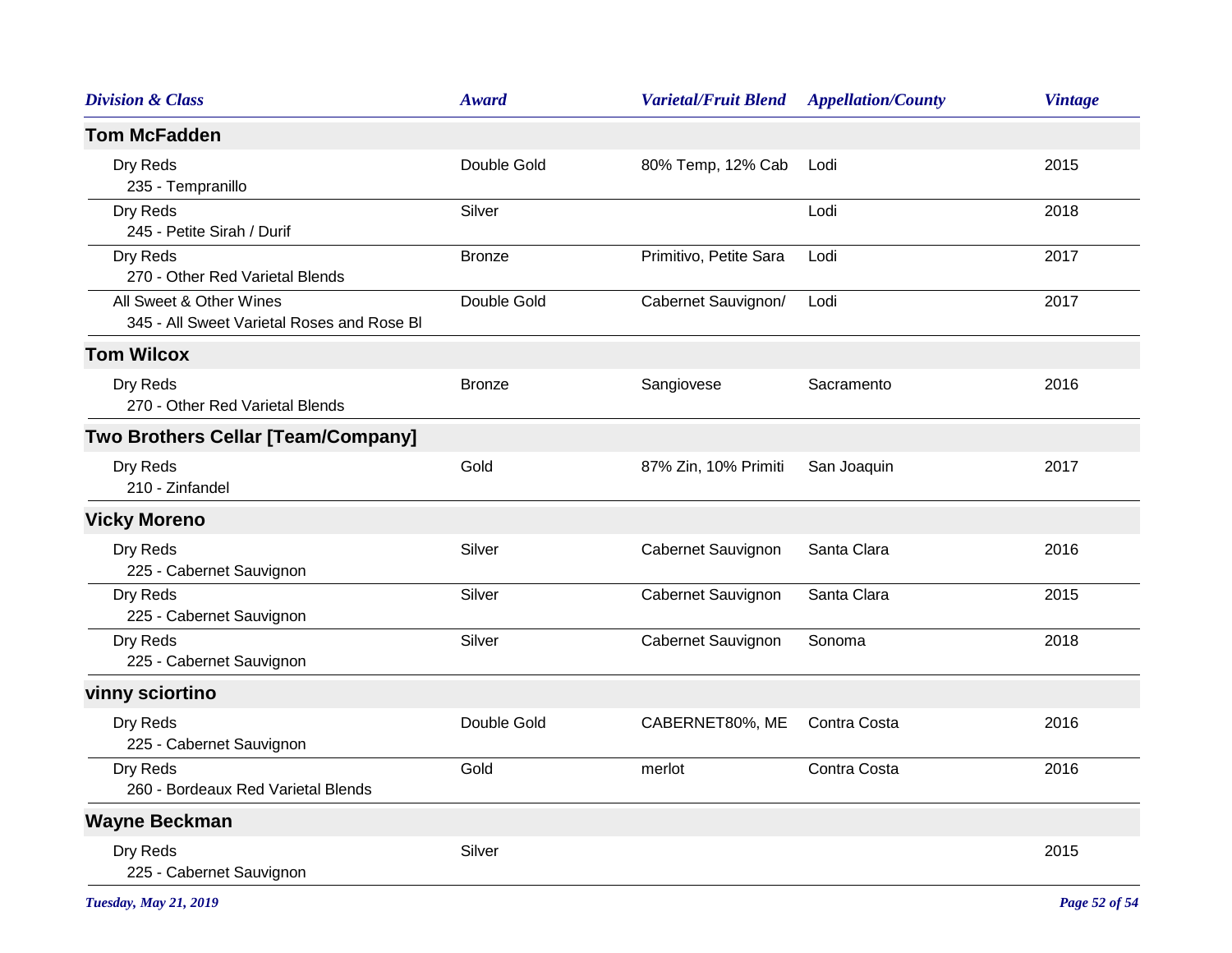| <b>Division &amp; Class</b>                                           | <b>Award</b>  | <b>Varietal/Fruit Blend</b> | <b>Appellation/County</b> | <b>Vintage</b> |
|-----------------------------------------------------------------------|---------------|-----------------------------|---------------------------|----------------|
| <b>Tom McFadden</b>                                                   |               |                             |                           |                |
| Dry Reds<br>235 - Tempranillo                                         | Double Gold   | 80% Temp, 12% Cab           | Lodi                      | 2015           |
| Dry Reds<br>245 - Petite Sirah / Durif                                | Silver        |                             | Lodi                      | 2018           |
| Dry Reds<br>270 - Other Red Varietal Blends                           | <b>Bronze</b> | Primitivo, Petite Sara      | Lodi                      | 2017           |
| All Sweet & Other Wines<br>345 - All Sweet Varietal Roses and Rose BI | Double Gold   | Cabernet Sauvignon/         | Lodi                      | 2017           |
| <b>Tom Wilcox</b>                                                     |               |                             |                           |                |
| Dry Reds<br>270 - Other Red Varietal Blends                           | <b>Bronze</b> | Sangiovese                  | Sacramento                | 2016           |
| <b>Two Brothers Cellar [Team/Company]</b>                             |               |                             |                           |                |
| Dry Reds<br>210 - Zinfandel                                           | Gold          | 87% Zin, 10% Primiti        | San Joaquin               | 2017           |
| <b>Vicky Moreno</b>                                                   |               |                             |                           |                |
| Dry Reds<br>225 - Cabernet Sauvignon                                  | Silver        | Cabernet Sauvignon          | Santa Clara               | 2016           |
| Dry Reds<br>225 - Cabernet Sauvignon                                  | Silver        | Cabernet Sauvignon          | Santa Clara               | 2015           |
| Dry Reds<br>225 - Cabernet Sauvignon                                  | Silver        | Cabernet Sauvignon          | Sonoma                    | 2018           |
| vinny sciortino                                                       |               |                             |                           |                |
| Dry Reds<br>225 - Cabernet Sauvignon                                  | Double Gold   | CABERNET80%, ME             | Contra Costa              | 2016           |
| Dry Reds<br>260 - Bordeaux Red Varietal Blends                        | Gold          | merlot                      | Contra Costa              | 2016           |
| <b>Wayne Beckman</b>                                                  |               |                             |                           |                |
| Dry Reds<br>225 - Cabernet Sauvignon                                  | Silver        |                             |                           | 2015           |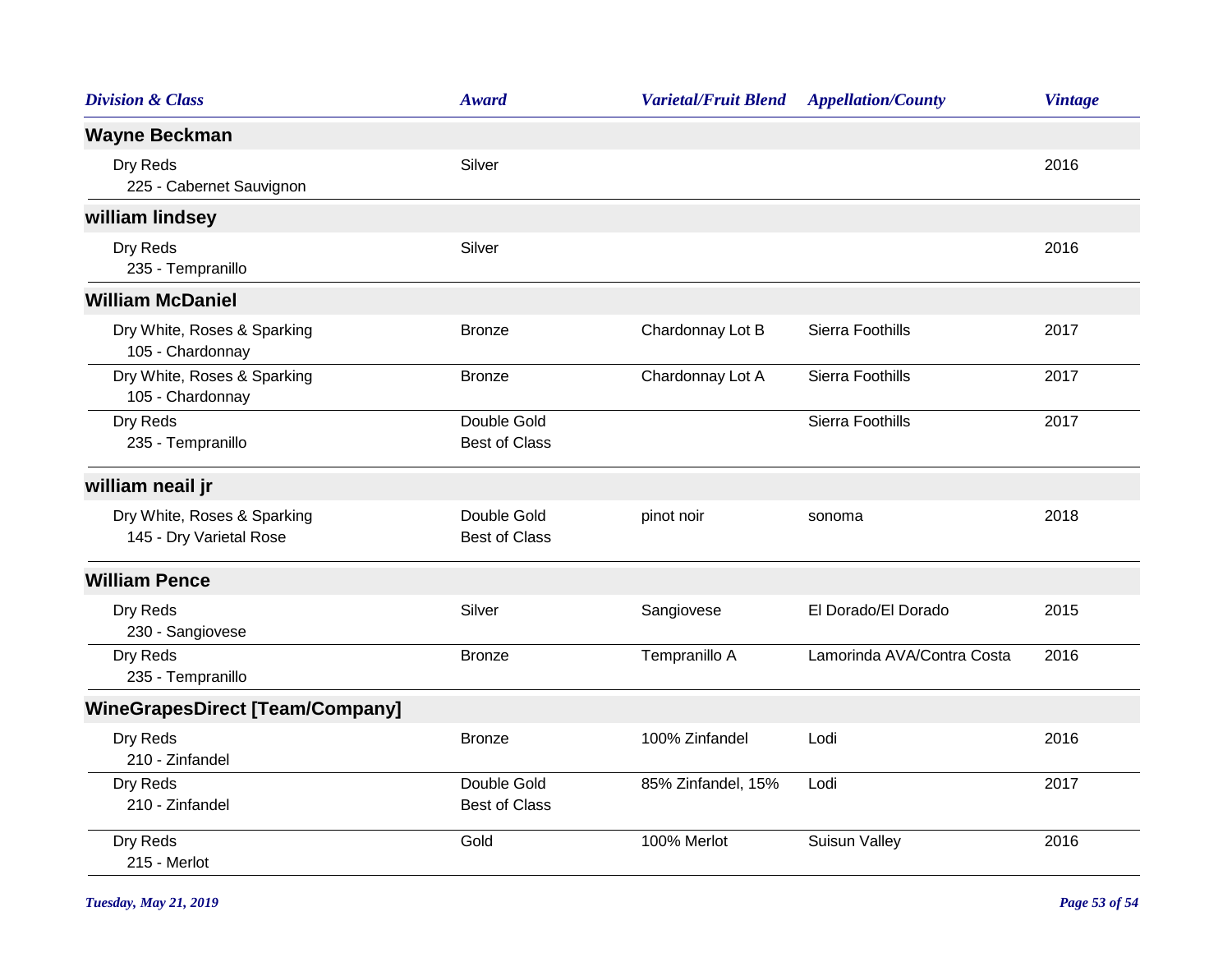| <b>Division &amp; Class</b>                            | <b>Award</b>                        | <b>Varietal/Fruit Blend</b> | <b>Appellation/County</b>  | <b>Vintage</b> |
|--------------------------------------------------------|-------------------------------------|-----------------------------|----------------------------|----------------|
| <b>Wayne Beckman</b>                                   |                                     |                             |                            |                |
| Dry Reds<br>225 - Cabernet Sauvignon                   | Silver                              |                             |                            | 2016           |
| william lindsey                                        |                                     |                             |                            |                |
| Dry Reds<br>235 - Tempranillo                          | Silver                              |                             |                            | 2016           |
| <b>William McDaniel</b>                                |                                     |                             |                            |                |
| Dry White, Roses & Sparking<br>105 - Chardonnay        | <b>Bronze</b>                       | Chardonnay Lot B            | Sierra Foothills           | 2017           |
| Dry White, Roses & Sparking<br>105 - Chardonnay        | <b>Bronze</b>                       | Chardonnay Lot A            | Sierra Foothills           | 2017           |
| Dry Reds<br>235 - Tempranillo                          | Double Gold<br><b>Best of Class</b> |                             | Sierra Foothills           | 2017           |
| william neail jr                                       |                                     |                             |                            |                |
| Dry White, Roses & Sparking<br>145 - Dry Varietal Rose | Double Gold<br><b>Best of Class</b> | pinot noir                  | sonoma                     | 2018           |
| <b>William Pence</b>                                   |                                     |                             |                            |                |
| Dry Reds<br>230 - Sangiovese                           | Silver                              | Sangiovese                  | El Dorado/El Dorado        | 2015           |
| Dry Reds<br>235 - Tempranillo                          | <b>Bronze</b>                       | Tempranillo A               | Lamorinda AVA/Contra Costa | 2016           |
| <b>WineGrapesDirect [Team/Company]</b>                 |                                     |                             |                            |                |
| Dry Reds<br>210 - Zinfandel                            | <b>Bronze</b>                       | 100% Zinfandel              | Lodi                       | 2016           |
| Dry Reds<br>210 - Zinfandel                            | Double Gold<br><b>Best of Class</b> | 85% Zinfandel, 15%          | Lodi                       | 2017           |
| Dry Reds<br>215 - Merlot                               | Gold                                | 100% Merlot                 | Suisun Valley              | 2016           |